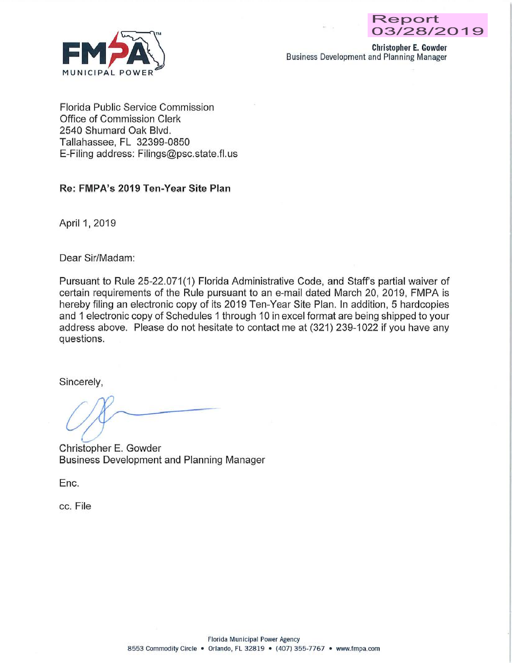

Christopher E. Gowder Business Development and Planning Manager

Florida Public Service Commission Office of Commission Clerk 2540 Shumard Oak Blvd. Tallahassee, FL 32399-0850 E-Filing address: Filings@psc.state.fl.us

#### Re: FMPA's 2019 Ten-Year Site Plan

April 1, 2019

Dear Sir/Madam:

Pursuant to Rule 25-22.071(1) Florida Administrative Code, and Staff's partial waiver of certain requirements of the Rule pursuant to an e-mail dated March 20, 2019, FMPA is hereby filing an electronic copy of its 2019 Ten-Year Site Plan. In addition, 5 hardcopies and 1 electronic copy of Schedules 1 through 10 in excel format are being shipped to your address above. Please do not hesitate to contact me at (321) 239-1022 if you have any questions.

Sincerely,

 $\sim$ 

Christopher E. Gowder Business Development and Planning Manager

Enc.

cc. File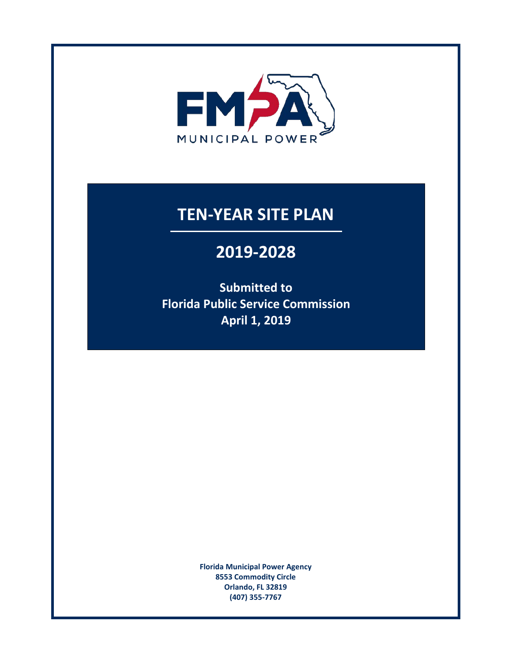

# **TEN-YEAR SITE PLAN**

# **2019-2028**

**Submitted to Florida Public Service Commission April 1, 2019** 

> **Florida Municipal Power Agency 8553 Commodity Circle Orlando, FL 32819 (407) 355-7767**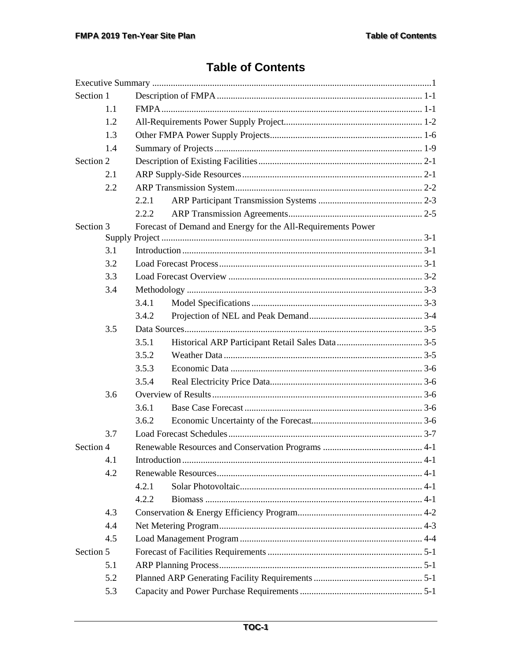# **Table of Contents**

| Section 1 |     |       |                                                              |  |  |
|-----------|-----|-------|--------------------------------------------------------------|--|--|
|           | 1.1 |       |                                                              |  |  |
|           | 1.2 |       |                                                              |  |  |
|           | 1.3 |       |                                                              |  |  |
|           | 1.4 |       |                                                              |  |  |
| Section 2 |     |       |                                                              |  |  |
|           | 2.1 |       |                                                              |  |  |
|           | 2.2 |       |                                                              |  |  |
|           |     | 2.2.1 |                                                              |  |  |
|           |     | 2.2.2 |                                                              |  |  |
| Section 3 |     |       | Forecast of Demand and Energy for the All-Requirements Power |  |  |
|           |     |       |                                                              |  |  |
|           | 3.1 |       |                                                              |  |  |
|           | 3.2 |       |                                                              |  |  |
|           | 3.3 |       |                                                              |  |  |
|           | 3.4 |       |                                                              |  |  |
|           |     | 3.4.1 |                                                              |  |  |
|           |     | 3.4.2 |                                                              |  |  |
|           | 3.5 |       |                                                              |  |  |
|           |     | 3.5.1 |                                                              |  |  |
|           |     | 3.5.2 |                                                              |  |  |
|           |     | 3.5.3 |                                                              |  |  |
|           |     | 3.5.4 |                                                              |  |  |
|           | 3.6 |       |                                                              |  |  |
|           |     | 3.6.1 |                                                              |  |  |
|           |     | 3.6.2 |                                                              |  |  |
|           | 3.7 |       |                                                              |  |  |
| Section 4 |     |       |                                                              |  |  |
|           | 4.1 |       |                                                              |  |  |
|           | 4.2 |       |                                                              |  |  |
|           |     | 4.2.1 |                                                              |  |  |
|           |     | 4.2.2 |                                                              |  |  |
|           | 4.3 |       |                                                              |  |  |
|           | 4.4 |       |                                                              |  |  |
|           | 4.5 |       |                                                              |  |  |
| Section 5 |     |       |                                                              |  |  |
|           | 5.1 |       |                                                              |  |  |
|           | 5.2 |       |                                                              |  |  |
|           | 5.3 |       |                                                              |  |  |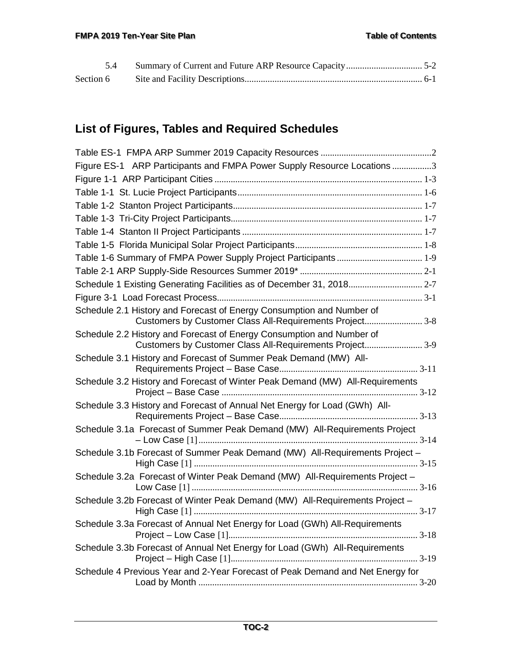# **List of Figures, Tables and Required Schedules**

| Figure ES-1 ARP Participants and FMPA Power Supply Resource Locations 3                                                           |
|-----------------------------------------------------------------------------------------------------------------------------------|
|                                                                                                                                   |
|                                                                                                                                   |
|                                                                                                                                   |
|                                                                                                                                   |
|                                                                                                                                   |
|                                                                                                                                   |
|                                                                                                                                   |
|                                                                                                                                   |
| Schedule 1 Existing Generating Facilities as of December 31, 2018 2-7                                                             |
|                                                                                                                                   |
| Schedule 2.1 History and Forecast of Energy Consumption and Number of<br>Customers by Customer Class All-Requirements Project 3-8 |
| Schedule 2.2 History and Forecast of Energy Consumption and Number of<br>Customers by Customer Class All-Requirements Project 3-9 |
| Schedule 3.1 History and Forecast of Summer Peak Demand (MW) All-                                                                 |
| Schedule 3.2 History and Forecast of Winter Peak Demand (MW) All-Requirements                                                     |
| Schedule 3.3 History and Forecast of Annual Net Energy for Load (GWh) All-                                                        |
| Schedule 3.1a Forecast of Summer Peak Demand (MW) All-Requirements Project                                                        |
| Schedule 3.1b Forecast of Summer Peak Demand (MW) All-Requirements Project -                                                      |
| Schedule 3.2a Forecast of Winter Peak Demand (MW) All-Requirements Project -                                                      |
| Schedule 3.2b Forecast of Winter Peak Demand (MW) All-Requirements Project -                                                      |
| Schedule 3.3a Forecast of Annual Net Energy for Load (GWh) All-Requirements                                                       |
| Schedule 3.3b Forecast of Annual Net Energy for Load (GWh) All-Requirements                                                       |
| Schedule 4 Previous Year and 2-Year Forecast of Peak Demand and Net Energy for                                                    |
|                                                                                                                                   |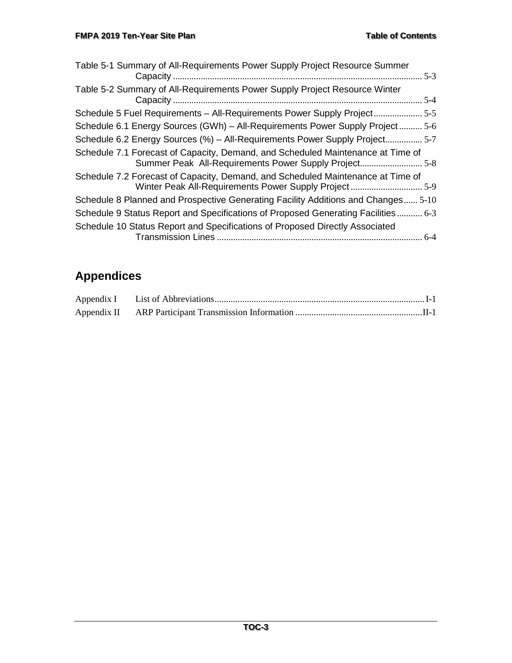| Table 5-1 Summary of All-Requirements Power Supply Project Resource Summer<br>$5-3$                                                      |  |
|------------------------------------------------------------------------------------------------------------------------------------------|--|
| Table 5-2 Summary of All-Requirements Power Supply Project Resource Winter                                                               |  |
| Schedule 5 Fuel Requirements - All-Requirements Power Supply Project 5-5                                                                 |  |
| Schedule 6.1 Energy Sources (GWh) - All-Requirements Power Supply Project 5-6                                                            |  |
| Schedule 6.2 Energy Sources (%) - All-Requirements Power Supply Project 5-7                                                              |  |
| Schedule 7.1 Forecast of Capacity, Demand, and Scheduled Maintenance at Time of<br>Summer Peak All-Requirements Power Supply Project5-8  |  |
| Schedule 7.2 Forecast of Capacity, Demand, and Scheduled Maintenance at Time of<br>Winter Peak All-Requirements Power Supply Project 5-9 |  |
| Schedule 8 Planned and Prospective Generating Facility Additions and Changes 5-10                                                        |  |
| Schedule 9 Status Report and Specifications of Proposed Generating Facilities 6-3                                                        |  |
| Schedule 10 Status Report and Specifications of Proposed Directly Associated                                                             |  |

# **Appendices**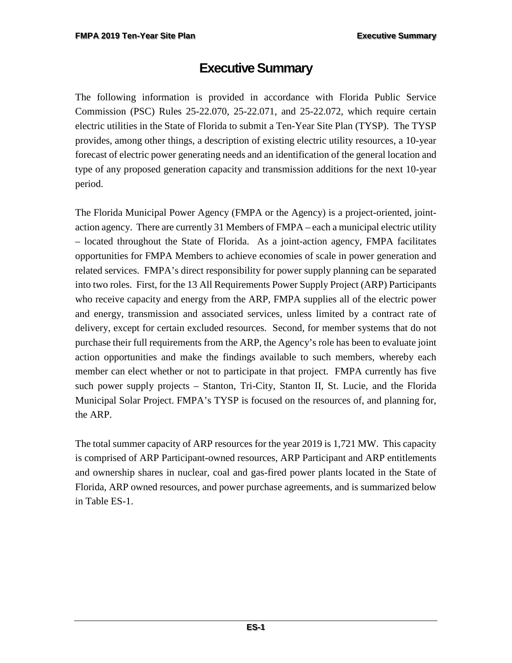# **Executive Summary**

<span id="page-5-0"></span>The following information is provided in accordance with Florida Public Service Commission (PSC) Rules 25-22.070, 25-22.071, and 25-22.072, which require certain electric utilities in the State of Florida to submit a Ten-Year Site Plan (TYSP). The TYSP provides, among other things, a description of existing electric utility resources, a 10-year forecast of electric power generating needs and an identification of the general location and type of any proposed generation capacity and transmission additions for the next 10-year period.

The Florida Municipal Power Agency (FMPA or the Agency) is a project-oriented, jointaction agency. There are currently 31 Members of FMPA – each a municipal electric utility – located throughout the State of Florida. As a joint-action agency, FMPA facilitates opportunities for FMPA Members to achieve economies of scale in power generation and related services. FMPA's direct responsibility for power supply planning can be separated into two roles. First, for the 13 All Requirements Power Supply Project (ARP) Participants who receive capacity and energy from the ARP, FMPA supplies all of the electric power and energy, transmission and associated services, unless limited by a contract rate of delivery, except for certain excluded resources. Second, for member systems that do not purchase their full requirements from the ARP, the Agency's role has been to evaluate joint action opportunities and make the findings available to such members, whereby each member can elect whether or not to participate in that project. FMPA currently has five such power supply projects – Stanton, Tri-City, Stanton II, St. Lucie, and the Florida Municipal Solar Project. FMPA's TYSP is focused on the resources of, and planning for, the ARP.

The total summer capacity of ARP resources for the year 2019 is 1,721 MW. This capacity is comprised of ARP Participant-owned resources, ARP Participant and ARP entitlements and ownership shares in nuclear, coal and gas-fired power plants located in the State of Florida, ARP owned resources, and power purchase agreements, and is summarized below in Table ES-1.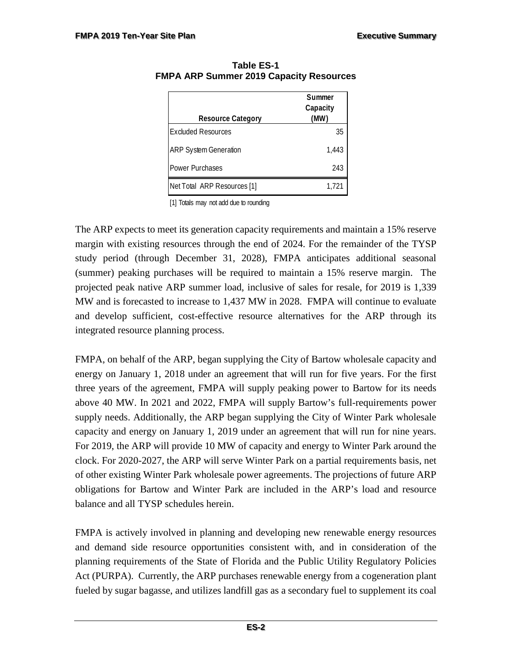| <b>Resource Category</b>     | Summer<br>Capacity<br>(MW) |  |
|------------------------------|----------------------------|--|
| <b>Excluded Resources</b>    | 35                         |  |
| <b>ARP System Generation</b> | 1.443                      |  |
| Power Purchases              | 243                        |  |
| Net Total ARP Resources [1]  | 1.721                      |  |

<span id="page-6-0"></span>**Table ES-1 FMPA ARP Summer 2019 Capacity Resources** 

[1] Totals may not add due to rounding

The ARP expects to meet its generation capacity requirements and maintain a 15% reserve margin with existing resources through the end of 2024. For the remainder of the TYSP study period (through December 31, 2028), FMPA anticipates additional seasonal (summer) peaking purchases will be required to maintain a 15% reserve margin. The projected peak native ARP summer load, inclusive of sales for resale, for 2019 is 1,339 MW and is forecasted to increase to 1,437 MW in 2028. FMPA will continue to evaluate and develop sufficient, cost-effective resource alternatives for the ARP through its integrated resource planning process.

FMPA, on behalf of the ARP, began supplying the City of Bartow wholesale capacity and energy on January 1, 2018 under an agreement that will run for five years. For the first three years of the agreement, FMPA will supply peaking power to Bartow for its needs above 40 MW. In 2021 and 2022, FMPA will supply Bartow's full-requirements power supply needs. Additionally, the ARP began supplying the City of Winter Park wholesale capacity and energy on January 1, 2019 under an agreement that will run for nine years. For 2019, the ARP will provide 10 MW of capacity and energy to Winter Park around the clock. For 2020-2027, the ARP will serve Winter Park on a partial requirements basis, net of other existing Winter Park wholesale power agreements. The projections of future ARP obligations for Bartow and Winter Park are included in the ARP's load and resource balance and all TYSP schedules herein.

FMPA is actively involved in planning and developing new renewable energy resources and demand side resource opportunities consistent with, and in consideration of the planning requirements of the State of Florida and the Public Utility Regulatory Policies Act (PURPA). Currently, the ARP purchases renewable energy from a cogeneration plant fueled by sugar bagasse, and utilizes landfill gas as a secondary fuel to supplement its coal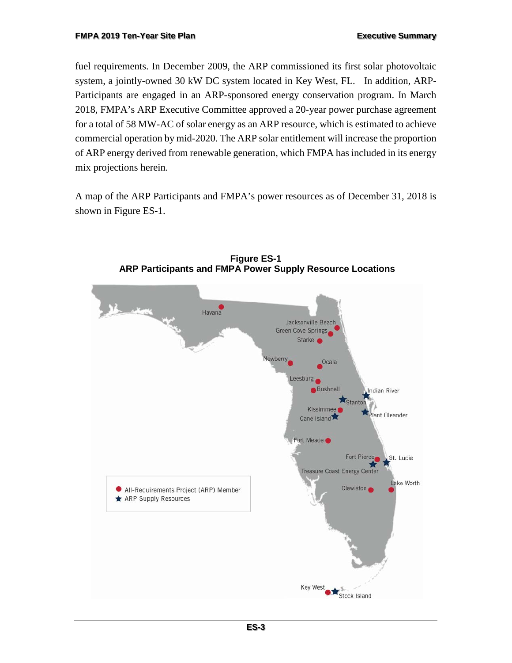fuel requirements. In December 2009, the ARP commissioned its first solar photovoltaic system, a jointly-owned 30 kW DC system located in Key West, FL. In addition, ARP-Participants are engaged in an ARP-sponsored energy conservation program. In March 2018, FMPA's ARP Executive Committee approved a 20-year power purchase agreement for a total of 58 MW-AC of solar energy as an ARP resource, which is estimated to achieve commercial operation by mid-2020. The ARP solar entitlement will increase the proportion of ARP energy derived from renewable generation, which FMPA has included in its energy mix projections herein.

A map of the ARP Participants and FMPA's power resources as of December 31, 2018 is shown in Figure ES-1.

<span id="page-7-0"></span>

**Figure ES-1 ARP Participants and FMPA Power Supply Resource Locations**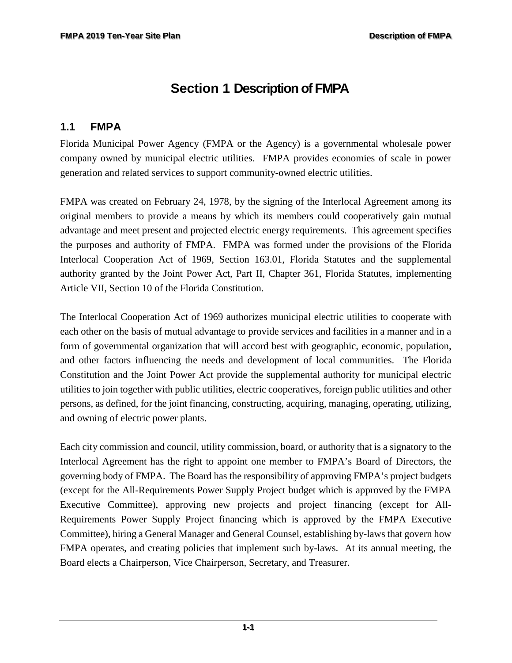# <span id="page-8-0"></span>**Section 1 Description of FMPA**

## <span id="page-8-1"></span>**1.1 FMPA**

Florida Municipal Power Agency (FMPA or the Agency) is a governmental wholesale power company owned by municipal electric utilities. FMPA provides economies of scale in power generation and related services to support community-owned electric utilities.

FMPA was created on February 24, 1978, by the signing of the Interlocal Agreement among its original members to provide a means by which its members could cooperatively gain mutual advantage and meet present and projected electric energy requirements. This agreement specifies the purposes and authority of FMPA. FMPA was formed under the provisions of the Florida Interlocal Cooperation Act of 1969, Section 163.01, Florida Statutes and the supplemental authority granted by the Joint Power Act, Part II, Chapter 361, Florida Statutes, implementing Article VII, Section 10 of the Florida Constitution.

The Interlocal Cooperation Act of 1969 authorizes municipal electric utilities to cooperate with each other on the basis of mutual advantage to provide services and facilities in a manner and in a form of governmental organization that will accord best with geographic, economic, population, and other factors influencing the needs and development of local communities. The Florida Constitution and the Joint Power Act provide the supplemental authority for municipal electric utilities to join together with public utilities, electric cooperatives, foreign public utilities and other persons, as defined, for the joint financing, constructing, acquiring, managing, operating, utilizing, and owning of electric power plants.

Each city commission and council, utility commission, board, or authority that is a signatory to the Interlocal Agreement has the right to appoint one member to FMPA's Board of Directors, the governing body of FMPA. The Board has the responsibility of approving FMPA's project budgets (except for the All-Requirements Power Supply Project budget which is approved by the FMPA Executive Committee), approving new projects and project financing (except for All-Requirements Power Supply Project financing which is approved by the FMPA Executive Committee), hiring a General Manager and General Counsel, establishing by-laws that govern how FMPA operates, and creating policies that implement such by-laws. At its annual meeting, the Board elects a Chairperson, Vice Chairperson, Secretary, and Treasurer.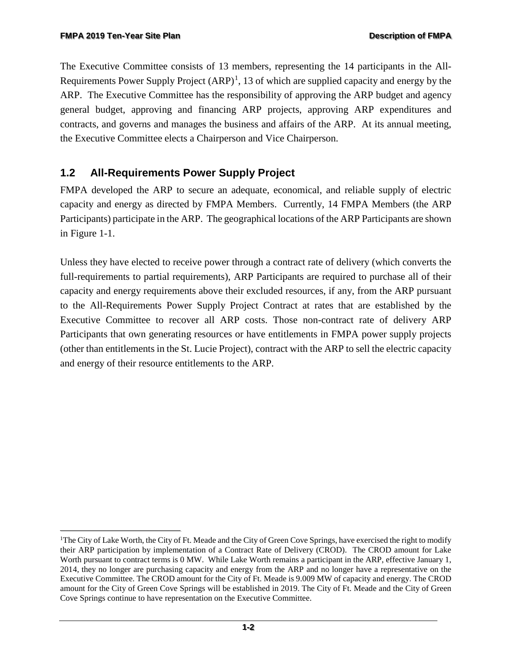The Executive Committee consists of 13 members, representing the 14 participants in the All-Requirements Power Supply Project  $(ARP)^1$  $(ARP)^1$ , 13 of which are supplied capacity and energy by the ARP. The Executive Committee has the responsibility of approving the ARP budget and agency general budget, approving and financing ARP projects, approving ARP expenditures and contracts, and governs and manages the business and affairs of the ARP. At its annual meeting, the Executive Committee elects a Chairperson and Vice Chairperson.

# <span id="page-9-0"></span>**1.2 All-Requirements Power Supply Project**

FMPA developed the ARP to secure an adequate, economical, and reliable supply of electric capacity and energy as directed by FMPA Members. Currently, 14 FMPA Members (the ARP Participants) participate in the ARP. The geographical locations of the ARP Participants are shown in Figure 1-1.

Unless they have elected to receive power through a contract rate of delivery (which converts the full-requirements to partial requirements), ARP Participants are required to purchase all of their capacity and energy requirements above their excluded resources, if any, from the ARP pursuant to the All-Requirements Power Supply Project Contract at rates that are established by the Executive Committee to recover all ARP costs. Those non-contract rate of delivery ARP Participants that own generating resources or have entitlements in FMPA power supply projects (other than entitlements in the St. Lucie Project), contract with the ARP to sell the electric capacity and energy of their resource entitlements to the ARP.

<span id="page-9-1"></span>f <sup>1</sup>The City of Lake Worth, the City of Ft. Meade and the City of Green Cove Springs, have exercised the right to modify their ARP participation by implementation of a Contract Rate of Delivery (CROD). The CROD amount for Lake Worth pursuant to contract terms is 0 MW. While Lake Worth remains a participant in the ARP, effective January 1, 2014, they no longer are purchasing capacity and energy from the ARP and no longer have a representative on the Executive Committee. The CROD amount for the City of Ft. Meade is 9.009 MW of capacity and energy. The CROD amount for the City of Green Cove Springs will be established in 2019. The City of Ft. Meade and the City of Green Cove Springs continue to have representation on the Executive Committee.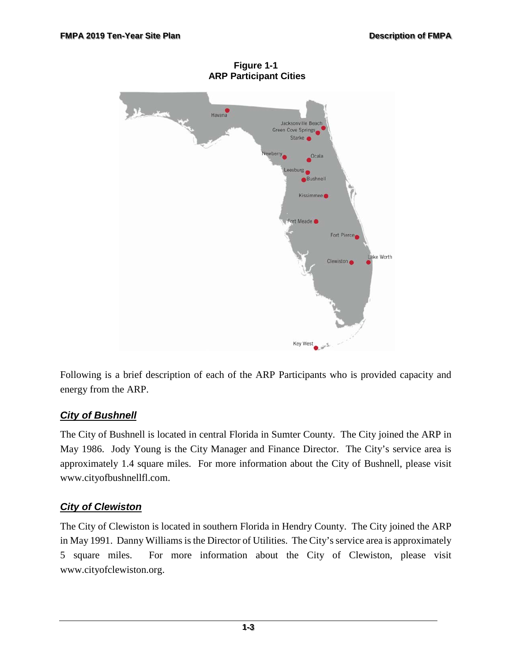<span id="page-10-0"></span>

**Figure 1-1 ARP Participant Cities**

Following is a brief description of each of the ARP Participants who is provided capacity and energy from the ARP.

### *City of Bushnell*

The City of Bushnell is located in central Florida in Sumter County. The City joined the ARP in May 1986. Jody Young is the City Manager and Finance Director. The City's service area is approximately 1.4 square miles. For more information about the City of Bushnell, please visit www[.cityofbushnellfl.com.](http://www.cityofnewberryfl.com/)

### *City of Clewiston*

The City of Clewiston is located in southern Florida in Hendry County. The City joined the ARP in May 1991. Danny Williams is the Director of Utilities. The City's service area is approximately 5 square miles. For more information about the City of Clewiston, please visit [www.cityo](http://www.clewiston-fl.gov/)fclewiston.org.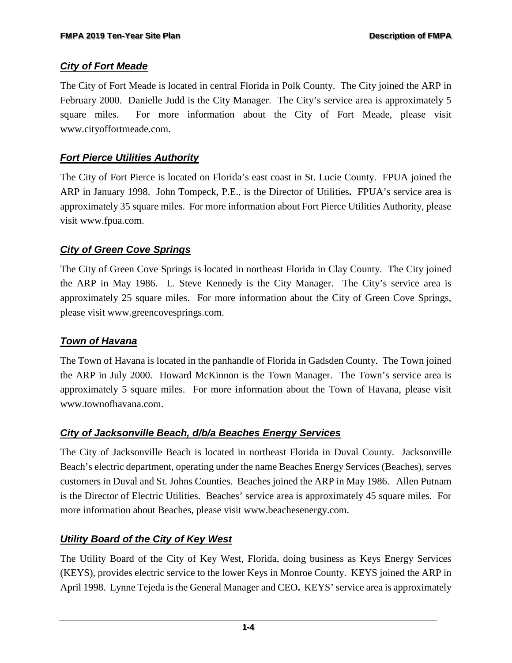#### *City of Fort Meade*

The City of Fort Meade is located in central Florida in Polk County. The City joined the ARP in February 2000. Danielle Judd is the City Manager. The City's service area is approximately 5 square miles. For more information about the City of Fort Meade, please visit [www.cityoffortmeade.com.](http://www.state.fl.us/ftmeade/)

### *Fort Pierce Utilities Authority*

The City of Fort Pierce is located on Florida's east coast in St. Lucie County. FPUA joined the ARP in January 1998. John Tompeck, P.E., is the Director of Utilities**.** FPUA's service area is approximately 35 square miles. For more information about Fort Pierce Utilities Authority, please visit [www.fpua.com.](http://www.fpua.com/)

#### *City of Green Cove Springs*

The City of Green Cove Springs is located in northeast Florida in Clay County. The City joined the ARP in May 1986. L. Steve Kennedy is the City Manager. The City's service area is approximately 25 square miles. For more information about the City of Green Cove Springs, please visit [www.greencovesprings.com.](http://www.greencovesprings.com/)

### *Town of Havana*

The Town of Havana is located in the panhandle of Florida in Gadsden County. The Town joined the ARP in July 2000. Howard McKinnon is the Town Manager. The Town's service area is approximately 5 square miles. For more information about the Town of Havana, please visit [www.townofhavana.com.](http://www.havanaflorida.com/)

### *City of Jacksonville Beach, d/b/a Beaches Energy Services*

The City of Jacksonville Beach is located in northeast Florida in Duval County. Jacksonville Beach's electric department, operating under the name Beaches Energy Services (Beaches), serves customers in Duval and St. Johns Counties. Beaches joined the ARP in May 1986. Allen Putnam is the Director of Electric Utilities. Beaches' service area is approximately 45 square miles. For more information about Beaches, please visit [www.beachesenergy.com.](http://www.beachesenergy.com/)

### *Utility Board of the City of Key West*

The Utility Board of the City of Key West, Florida, doing business as Keys Energy Services (KEYS), provides electric service to the lower Keys in Monroe County. KEYS joined the ARP in April 1998. Lynne Tejeda is the General Manager and CEO**.** KEYS' service area is approximately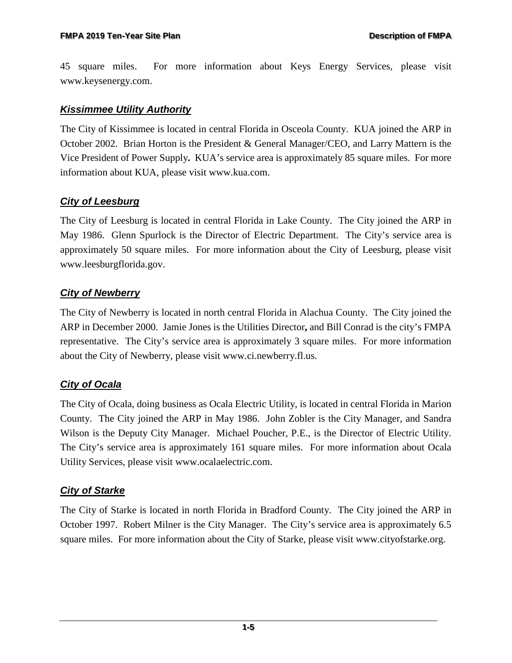45 square miles. For more information about Keys Energy Services, please visit [www.keysenergy.com.](http://www.keysenergy.com/)

#### *Kissimmee Utility Authority*

The City of Kissimmee is located in central Florida in Osceola County. KUA joined the ARP in October 2002. Brian Horton is the President & General Manager/CEO, and Larry Mattern is the Vice President of Power Supply**.** KUA's service area is approximately 85 square miles. For more information about KUA, please visit [www.kua.com.](http://www.kua.com/)

#### *City of Leesburg*

The City of Leesburg is located in central Florida in Lake County. The City joined the ARP in May 1986. Glenn Spurlock is the Director of Electric Department. The City's service area is approximately 50 square miles. For more information about the City of Leesburg, please visit [www.leesburgflorida.gov.](http://www.leesburgflorida.gov/)

### *City of Newberry*

The City of Newberry is located in north central Florida in Alachua County. The City joined the ARP in December 2000. Jamie Jones is the Utilities Director**,** and Bill Conrad is the city's FMPA representative. The City's service area is approximately 3 square miles. For more information about the City of Newberry, please visit [www.ci.newberry.fl.us.](http://www.cityofnewberryfl.com/)

### *City of Ocala*

The City of Ocala, doing business as Ocala Electric Utility, is located in central Florida in Marion County. The City joined the ARP in May 1986. John Zobler is the City Manager, and Sandra Wilson is the Deputy City Manager.Michael Poucher, P.E., is the Director of Electric Utility. The City's service area is approximately 161 square miles. For more information about Ocala Utility Services, please visit [www.ocalaelectric.com.](http://www.ocalafl.org/)

#### *City of Starke*

The City of Starke is located in north Florida in Bradford County. The City joined the ARP in October 1997. Robert Milner is the City Manager. The City's service area is approximately 6.5 square miles. For more information about the City of Starke, please visit [www.cityofstarke.org.](http://www.cityofstarke.org/)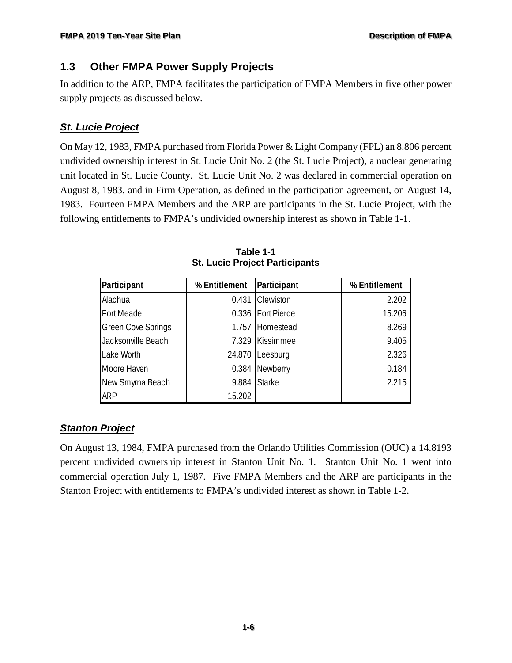## <span id="page-13-0"></span>**1.3 Other FMPA Power Supply Projects**

In addition to the ARP, FMPA facilitates the participation of FMPA Members in five other power supply projects as discussed below.

## *St. Lucie Project*

On May 12, 1983, FMPA purchased from Florida Power & Light Company (FPL) an 8.806 percent undivided ownership interest in St. Lucie Unit No. 2 (the St. Lucie Project), a nuclear generating unit located in St. Lucie County. St. Lucie Unit No. 2 was declared in commercial operation on August 8, 1983, and in Firm Operation, as defined in the participation agreement, on August 14, 1983. Fourteen FMPA Members and the ARP are participants in the St. Lucie Project, with the following entitlements to FMPA's undivided ownership interest as shown in Table 1-1.

<span id="page-13-1"></span>

| Participant               | Participant<br>% Entitlement |                   | % Entitlement |  |
|---------------------------|------------------------------|-------------------|---------------|--|
| Alachua                   |                              | 0.431 Clewiston   | 2.202         |  |
| Fort Meade                |                              | 0.336 Fort Pierce | 15.206        |  |
| <b>Green Cove Springs</b> |                              | 1.757 Homestead   | 8.269         |  |
| Jacksonville Beach        |                              | 7.329 Kissimmee   | 9.405         |  |
| Lake Worth                |                              | 24.870 Leesburg   | 2.326         |  |
| Moore Haven               |                              | 0.384 Newberry    | 0.184         |  |
| New Smyrna Beach          | 9.884                        | <b>Starke</b>     | 2.215         |  |
| <b>ARP</b>                | 15.202                       |                   |               |  |

**Table 1-1 St. Lucie Project Participants**

## *Stanton Project*

On August 13, 1984, FMPA purchased from the Orlando Utilities Commission (OUC) a 14.8193 percent undivided ownership interest in Stanton Unit No. 1. Stanton Unit No. 1 went into commercial operation July 1, 1987. Five FMPA Members and the ARP are participants in the Stanton Project with entitlements to FMPA's undivided interest as shown in Table 1-2.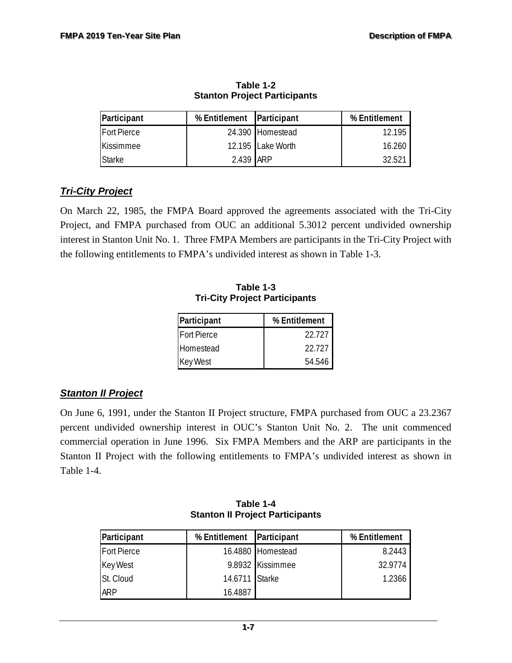<span id="page-14-0"></span>

| Participant        | % Entitlement Participant |                   | % Entitlement   |  |
|--------------------|---------------------------|-------------------|-----------------|--|
| <b>Fort Pierce</b> |                           | 24.390 Homestead  | 12.195          |  |
| <b>Kissimmee</b>   |                           | 12.195 Lake Worth | 16.260          |  |
| <b>Starke</b>      | 2.439 ARP                 |                   | $32.52^{\circ}$ |  |

**Table 1-2 Stanton Project Participants**

## *Tri-City Project*

<span id="page-14-1"></span>On March 22, 1985, the FMPA Board approved the agreements associated with the Tri-City Project, and FMPA purchased from OUC an additional 5.3012 percent undivided ownership interest in Stanton Unit No. 1. Three FMPA Members are participants in the Tri-City Project with the following entitlements to FMPA's undivided interest as shown in Table 1-3.

**Table 1-3 Tri-City Project Participants**

| Participant        | % Entitlement |  |  |
|--------------------|---------------|--|--|
| <b>Fort Pierce</b> | 22.727        |  |  |
| Homestead          | 22.727        |  |  |
| <b>Key West</b>    | 54.546        |  |  |

### *Stanton II Project*

On June 6, 1991, under the Stanton II Project structure, FMPA purchased from OUC a 23.2367 percent undivided ownership interest in OUC's Stanton Unit No. 2. The unit commenced commercial operation in June 1996. Six FMPA Members and the ARP are participants in the Stanton II Project with the following entitlements to FMPA's undivided interest as shown in Table 1-4.

<span id="page-14-2"></span>

| Participant        | % Entitlement Participant |                   | % Entitlement |  |
|--------------------|---------------------------|-------------------|---------------|--|
| <b>Fort Pierce</b> |                           | 16.4880 Homestead | 8.2443        |  |
| <b>Key West</b>    |                           | 9.8932 Kissimmee  | 32.9774       |  |
| St. Cloud          | 14.6711 Starke            |                   | 1.2366        |  |
| <b>ARP</b>         | 16.4887                   |                   |               |  |

**Table 1-4 Stanton II Project Participants**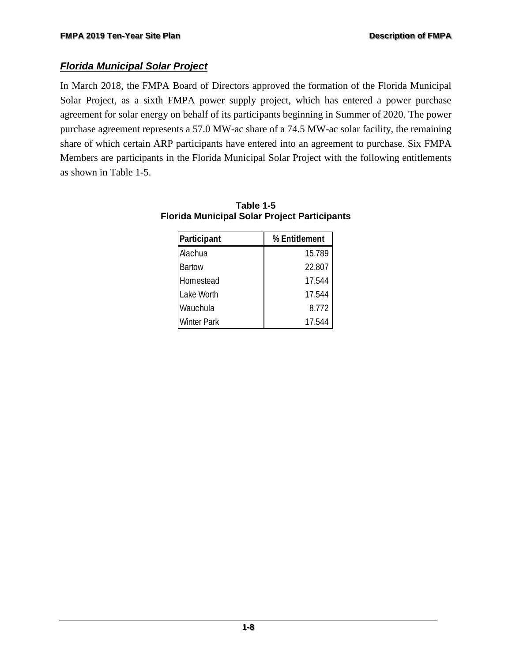### *Florida Municipal Solar Project*

In March 2018, the FMPA Board of Directors approved the formation of the Florida Municipal Solar Project, as a sixth FMPA power supply project, which has entered a power purchase agreement for solar energy on behalf of its participants beginning in Summer of 2020. The power purchase agreement represents a 57.0 MW-ac share of a 74.5 MW-ac solar facility, the remaining share of which certain ARP participants have entered into an agreement to purchase. Six FMPA Members are participants in the Florida Municipal Solar Project with the following entitlements as shown in Table 1-5.

| Participant        | % Entitlement |
|--------------------|---------------|
| Alachua            | 15.789        |
| <b>Bartow</b>      | 22.807        |
| Homestead          | 17.544        |
| Lake Worth         | 17.544        |
| Wauchula           | 8.772         |
| <b>Winter Park</b> | 17.544        |

#### <span id="page-15-0"></span>**Table 1-5 Florida Municipal Solar Project Participants**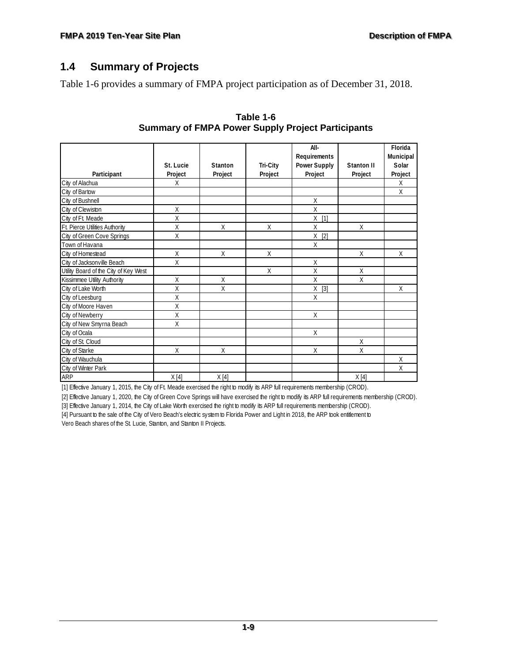## <span id="page-16-0"></span>**1.4 Summary of Projects**

<span id="page-16-1"></span>Table 1-6 provides a summary of FMPA project participation as of December 31, 2018.

|                                       |              |              |          | All-                |            | Florida   |
|---------------------------------------|--------------|--------------|----------|---------------------|------------|-----------|
|                                       |              |              |          | Requirements        |            | Municipal |
|                                       | St. Lucie    | Stanton      | Tri-City | <b>Power Supply</b> | Stanton II | Solar     |
| Participant                           | Project      | Project      | Project  | Project             | Project    | Project   |
| City of Alachua                       | X            |              |          |                     |            | X         |
| City of Bartow                        |              |              |          |                     |            | X         |
| City of Bushnell                      |              |              |          | $\chi$              |            |           |
| City of Clewiston                     | X            |              |          | Χ                   |            |           |
| City of Ft. Meade                     | X            |              |          | Χ<br>$[1]$          |            |           |
| Ft. Pierce Utilities Authority        | X            | X            | X        | X                   | X          |           |
| City of Green Cove Springs            | X            |              |          | X<br>$[2]$          |            |           |
| Town of Havana                        |              |              |          | $\mathsf{X}$        |            |           |
| City of Homestead                     | X            | X            | X        |                     | X          | X         |
| City of Jacksonville Beach            | X            |              |          | X                   |            |           |
| Utility Board of the City of Key West |              |              | X        | X                   | X          |           |
| Kissimmee Utility Authority           | Χ            | X            |          | X                   | X          |           |
| City of Lake Worth                    | Χ            | X            |          | Χ<br>$[3]$          |            | X         |
| City of Leesburg                      | X            |              |          | X                   |            |           |
| City of Moore Haven                   | X            |              |          |                     |            |           |
| City of Newberry                      | Χ            |              |          | X                   |            |           |
| City of New Smyrna Beach              | X            |              |          |                     |            |           |
| City of Ocala                         |              |              |          | X                   |            |           |
| City of St. Cloud                     |              |              |          |                     | X          |           |
| City of Starke                        | $\mathsf{X}$ | $\mathsf{X}$ |          | X                   | X          |           |
| City of Wauchula                      |              |              |          |                     |            | X         |
| City of Winter Park                   |              |              |          |                     |            | X         |
| <b>ARP</b>                            | X[4]         | X[4]         |          |                     | X[4]       |           |

#### **Table 1-6 Summary of FMPA Power Supply Project Participants**

[1] Effective January 1, 2015, the City of Ft. Meade exercised the right to modify its ARP full requirements membership (CROD).

[2] Effective January 1, 2020, the City of Green Cove Springs will have exercised the right to modify its ARP full requirements membership (CROD).

[3] Effective January 1, 2014, the City of Lake Worth exercised the right to modify its ARP full requirements membership (CROD).

[4] Pursuant to the sale of the City of Vero Beach's electric system to Florida Power and Light in 2018, the ARP took entitlement to Vero Beach shares of the St. Lucie, Stanton, and Stanton II Projects.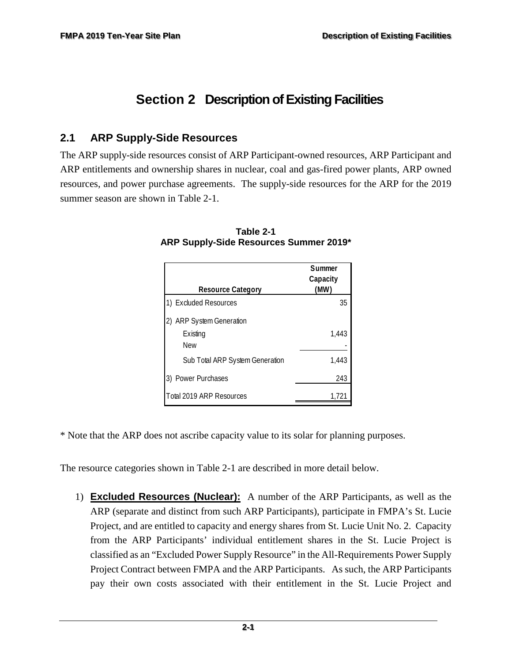# <span id="page-17-0"></span>**Section 2 Description of Existing Facilities**

## <span id="page-17-1"></span>**2.1 ARP Supply-Side Resources**

<span id="page-17-2"></span>The ARP supply-side resources consist of ARP Participant-owned resources, ARP Participant and ARP entitlements and ownership shares in nuclear, coal and gas-fired power plants, ARP owned resources, and power purchase agreements. The supply-side resources for the ARP for the 2019 summer season are shown in Table 2-1.

|                                 | Summer<br>Capacity |
|---------------------------------|--------------------|
| <b>Resource Category</b>        | (MW)               |
| 1) Excluded Resources           | 35                 |
| 2) ARP System Generation        |                    |
| Existing                        | 1,443              |
| <b>New</b>                      |                    |
| Sub Total ARP System Generation | 1,443              |
| Power Purchases                 | 243                |
| <b>Total 2019 ARP Resources</b> | 1.721              |

#### **Table 2-1 ARP Supply-Side Resources Summer 2019\***

\* Note that the ARP does not ascribe capacity value to its solar for planning purposes.

The resource categories shown in Table 2-1 are described in more detail below.

1) **Excluded Resources (Nuclear):** A number of the ARP Participants, as well as the ARP (separate and distinct from such ARP Participants), participate in FMPA's St. Lucie Project, and are entitled to capacity and energy shares from St. Lucie Unit No. 2. Capacity from the ARP Participants' individual entitlement shares in the St. Lucie Project is classified as an "Excluded Power Supply Resource" in the All-Requirements Power Supply Project Contract between FMPA and the ARP Participants. As such, the ARP Participants pay their own costs associated with their entitlement in the St. Lucie Project and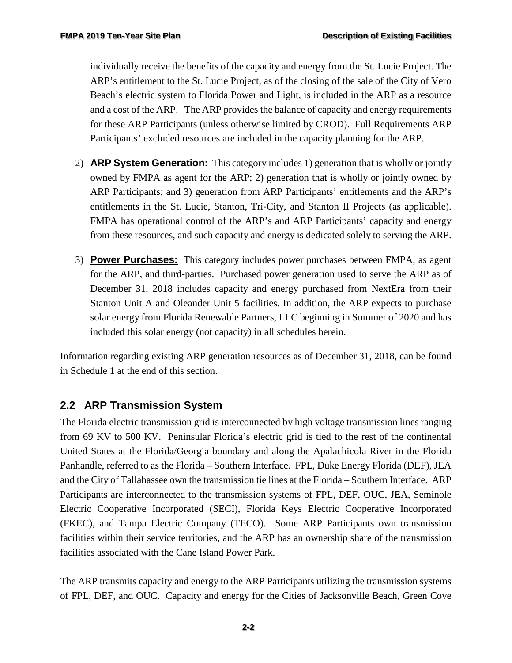individually receive the benefits of the capacity and energy from the St. Lucie Project. The ARP's entitlement to the St. Lucie Project, as of the closing of the sale of the City of Vero Beach's electric system to Florida Power and Light, is included in the ARP as a resource and a cost of the ARP. The ARP provides the balance of capacity and energy requirements for these ARP Participants (unless otherwise limited by CROD). Full Requirements ARP Participants' excluded resources are included in the capacity planning for the ARP.

- 2) **ARP System Generation:** This category includes 1) generation that is wholly or jointly owned by FMPA as agent for the ARP; 2) generation that is wholly or jointly owned by ARP Participants; and 3) generation from ARP Participants' entitlements and the ARP's entitlements in the St. Lucie, Stanton, Tri-City, and Stanton II Projects (as applicable). FMPA has operational control of the ARP's and ARP Participants' capacity and energy from these resources, and such capacity and energy is dedicated solely to serving the ARP.
- 3) **Power Purchases:** This category includes power purchases between FMPA, as agent for the ARP, and third-parties. Purchased power generation used to serve the ARP as of December 31, 2018 includes capacity and energy purchased from NextEra from their Stanton Unit A and Oleander Unit 5 facilities. In addition, the ARP expects to purchase solar energy from Florida Renewable Partners, LLC beginning in Summer of 2020 and has included this solar energy (not capacity) in all schedules herein.

Information regarding existing ARP generation resources as of December 31, 2018, can be found in Schedule 1 at the end of this section.

# <span id="page-18-0"></span>**2.2 ARP Transmission System**

The Florida electric transmission grid is interconnected by high voltage transmission lines ranging from 69 KV to 500 KV. Peninsular Florida's electric grid is tied to the rest of the continental United States at the Florida/Georgia boundary and along the Apalachicola River in the Florida Panhandle, referred to as the Florida – Southern Interface. FPL, Duke Energy Florida (DEF), JEA and the City of Tallahassee own the transmission tie lines at the Florida – Southern Interface. ARP Participants are interconnected to the transmission systems of FPL, DEF, OUC, JEA, Seminole Electric Cooperative Incorporated (SECI), Florida Keys Electric Cooperative Incorporated (FKEC), and Tampa Electric Company (TECO). Some ARP Participants own transmission facilities within their service territories, and the ARP has an ownership share of the transmission facilities associated with the Cane Island Power Park.

The ARP transmits capacity and energy to the ARP Participants utilizing the transmission systems of FPL, DEF, and OUC. Capacity and energy for the Cities of Jacksonville Beach, Green Cove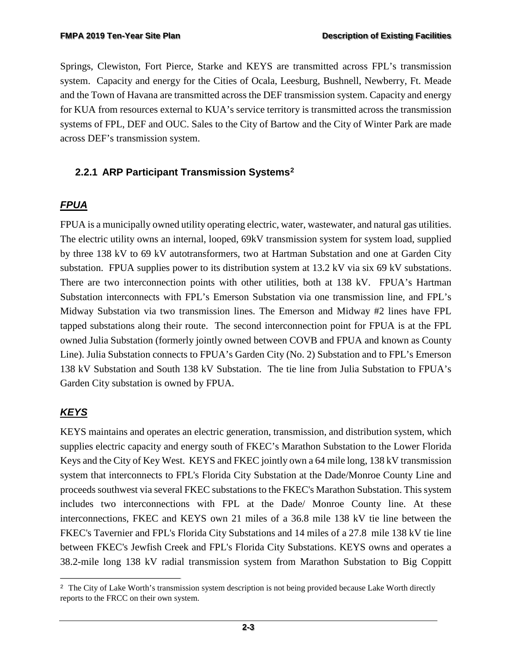Springs, Clewiston, Fort Pierce, Starke and KEYS are transmitted across FPL's transmission system. Capacity and energy for the Cities of Ocala, Leesburg, Bushnell, Newberry, Ft. Meade and the Town of Havana are transmitted across the DEF transmission system. Capacity and energy for KUA from resources external to KUA's service territory is transmitted across the transmission systems of FPL, DEF and OUC. Sales to the City of Bartow and the City of Winter Park are made across DEF's transmission system.

#### <span id="page-19-0"></span>**2.2.1 ARP Participant Transmission Systems[2](#page-19-1)**

### *FPUA*

FPUA is a municipally owned utility operating electric, water, wastewater, and natural gas utilities. The electric utility owns an internal, looped, 69kV transmission system for system load, supplied by three 138 kV to 69 kV autotransformers, two at Hartman Substation and one at Garden City substation. FPUA supplies power to its distribution system at 13.2 kV via six 69 kV substations. There are two interconnection points with other utilities, both at 138 kV. FPUA's Hartman Substation interconnects with FPL's Emerson Substation via one transmission line, and FPL's Midway Substation via two transmission lines. The Emerson and Midway #2 lines have FPL tapped substations along their route. The second interconnection point for FPUA is at the FPL owned Julia Substation (formerly jointly owned between COVB and FPUA and known as County Line). Julia Substation connects to FPUA's Garden City (No. 2) Substation and to FPL's Emerson 138 kV Substation and South 138 kV Substation. The tie line from Julia Substation to FPUA's Garden City substation is owned by FPUA.

### *KEYS*

KEYS maintains and operates an electric generation, transmission, and distribution system, which supplies electric capacity and energy south of FKEC's Marathon Substation to the Lower Florida Keys and the City of Key West. KEYS and FKEC jointly own a 64 mile long, 138 kV transmission system that interconnects to FPL's Florida City Substation at the Dade/Monroe County Line and proceeds southwest via several FKEC substations to the FKEC's Marathon Substation. This system includes two interconnections with FPL at the Dade/ Monroe County line. At these interconnections, FKEC and KEYS own 21 miles of a 36.8 mile 138 kV tie line between the FKEC's Tavernier and FPL's Florida City Substations and 14 miles of a 27.8 mile 138 kV tie line between FKEC's Jewfish Creek and FPL's Florida City Substations. KEYS owns and operates a 38.2-mile long 138 kV radial transmission system from Marathon Substation to Big Coppitt

<span id="page-19-1"></span>f <sup>2</sup> The City of Lake Worth's transmission system description is not being provided because Lake Worth directly reports to the FRCC on their own system.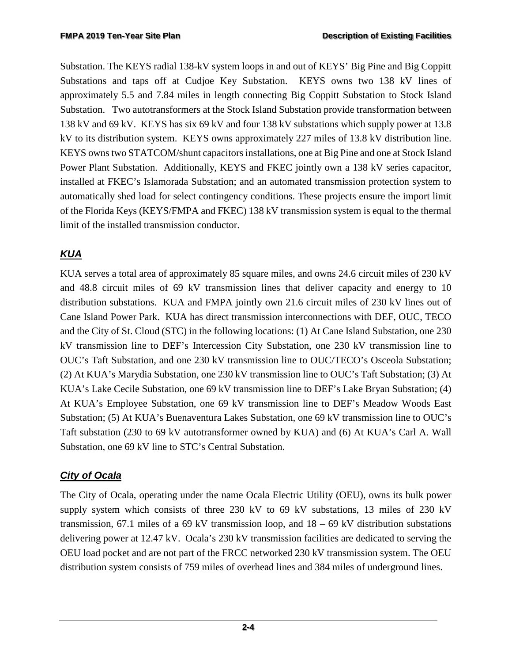Substation. The KEYS radial 138-kV system loops in and out of KEYS' Big Pine and Big Coppitt Substations and taps off at Cudjoe Key Substation. KEYS owns two 138 kV lines of approximately 5.5 and 7.84 miles in length connecting Big Coppitt Substation to Stock Island Substation. Two autotransformers at the Stock Island Substation provide transformation between 138 kV and 69 kV. KEYS has six 69 kV and four 138 kV substations which supply power at 13.8 kV to its distribution system. KEYS owns approximately 227 miles of 13.8 kV distribution line. KEYS owns two STATCOM/shunt capacitors installations, one at Big Pine and one at Stock Island Power Plant Substation. Additionally, KEYS and FKEC jointly own a 138 kV series capacitor, installed at FKEC's Islamorada Substation; and an automated transmission protection system to automatically shed load for select contingency conditions. These projects ensure the import limit of the Florida Keys (KEYS/FMPA and FKEC) 138 kV transmission system is equal to the thermal limit of the installed transmission conductor.

# *KUA*

KUA serves a total area of approximately 85 square miles, and owns 24.6 circuit miles of 230 kV and 48.8 circuit miles of 69 kV transmission lines that deliver capacity and energy to 10 distribution substations. KUA and FMPA jointly own 21.6 circuit miles of 230 kV lines out of Cane Island Power Park. KUA has direct transmission interconnections with DEF, OUC, TECO and the City of St. Cloud (STC) in the following locations: (1) At Cane Island Substation, one 230 kV transmission line to DEF's Intercession City Substation, one 230 kV transmission line to OUC's Taft Substation, and one 230 kV transmission line to OUC/TECO's Osceola Substation; (2) At KUA's Marydia Substation, one 230 kV transmission line to OUC's Taft Substation; (3) At KUA's Lake Cecile Substation, one 69 kV transmission line to DEF's Lake Bryan Substation; (4) At KUA's Employee Substation, one 69 kV transmission line to DEF's Meadow Woods East Substation; (5) At KUA's Buenaventura Lakes Substation, one 69 kV transmission line to OUC's Taft substation (230 to 69 kV autotransformer owned by KUA) and (6) At KUA's Carl A. Wall Substation, one 69 kV line to STC's Central Substation.

## *City of Ocala*

The City of Ocala, operating under the name Ocala Electric Utility (OEU), owns its bulk power supply system which consists of three 230 kV to 69 kV substations, 13 miles of 230 kV transmission, 67.1 miles of a 69 kV transmission loop, and  $18 - 69$  kV distribution substations delivering power at 12.47 kV. Ocala's 230 kV transmission facilities are dedicated to serving the OEU load pocket and are not part of the FRCC networked 230 kV transmission system. The OEU distribution system consists of 759 miles of overhead lines and 384 miles of underground lines.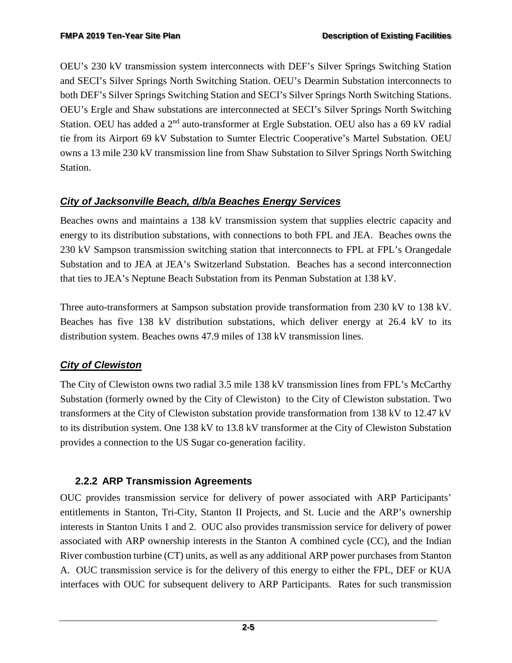OEU's 230 kV transmission system interconnects with DEF's Silver Springs Switching Station and SECI's Silver Springs North Switching Station. OEU's Dearmin Substation interconnects to both DEF's Silver Springs Switching Station and SECI's Silver Springs North Switching Stations. OEU's Ergle and Shaw substations are interconnected at SECI's Silver Springs North Switching Station. OEU has added a 2<sup>nd</sup> auto-transformer at Ergle Substation. OEU also has a 69 kV radial tie from its Airport 69 kV Substation to Sumter Electric Cooperative's Martel Substation. OEU owns a 13 mile 230 kV transmission line from Shaw Substation to Silver Springs North Switching Station.

## *City of Jacksonville Beach, d/b/a Beaches Energy Services*

Beaches owns and maintains a 138 kV transmission system that supplies electric capacity and energy to its distribution substations, with connections to both FPL and JEA. Beaches owns the 230 kV Sampson transmission switching station that interconnects to FPL at FPL's Orangedale Substation and to JEA at JEA's Switzerland Substation. Beaches has a second interconnection that ties to JEA's Neptune Beach Substation from its Penman Substation at 138 kV.

Three auto-transformers at Sampson substation provide transformation from 230 kV to 138 kV. Beaches has five 138 kV distribution substations, which deliver energy at 26.4 kV to its distribution system. Beaches owns 47.9 miles of 138 kV transmission lines.

## *City of Clewiston*

The City of Clewiston owns two radial 3.5 mile 138 kV transmission lines from FPL's McCarthy Substation (formerly owned by the City of Clewiston) to the City of Clewiston substation. Two transformers at the City of Clewiston substation provide transformation from 138 kV to 12.47 kV to its distribution system. One 138 kV to 13.8 kV transformer at the City of Clewiston Substation provides a connection to the US Sugar co-generation facility.

## <span id="page-21-0"></span>**2.2.2 ARP Transmission Agreements**

OUC provides transmission service for delivery of power associated with ARP Participants' entitlements in Stanton, Tri-City, Stanton II Projects, and St. Lucie and the ARP's ownership interests in Stanton Units 1 and 2. OUC also provides transmission service for delivery of power associated with ARP ownership interests in the Stanton A combined cycle (CC), and the Indian River combustion turbine (CT) units, as well as any additional ARP power purchases from Stanton A. OUC transmission service is for the delivery of this energy to either the FPL, DEF or KUA interfaces with OUC for subsequent delivery to ARP Participants. Rates for such transmission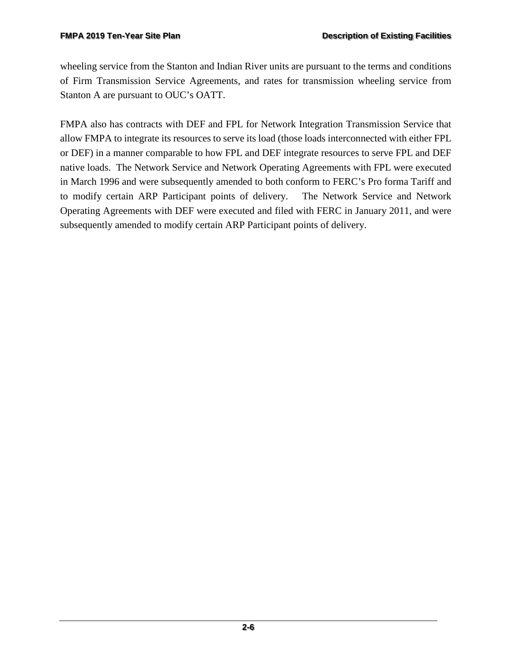wheeling service from the Stanton and Indian River units are pursuant to the terms and conditions of Firm Transmission Service Agreements, and rates for transmission wheeling service from Stanton A are pursuant to OUC's OATT.

FMPA also has contracts with DEF and FPL for Network Integration Transmission Service that allow FMPA to integrate its resources to serve its load (those loads interconnected with either FPL or DEF) in a manner comparable to how FPL and DEF integrate resources to serve FPL and DEF native loads. The Network Service and Network Operating Agreements with FPL were executed in March 1996 and were subsequently amended to both conform to FERC's Pro forma Tariff and to modify certain ARP Participant points of delivery. The Network Service and Network Operating Agreements with DEF were executed and filed with FERC in January 2011, and were subsequently amended to modify certain ARP Participant points of delivery.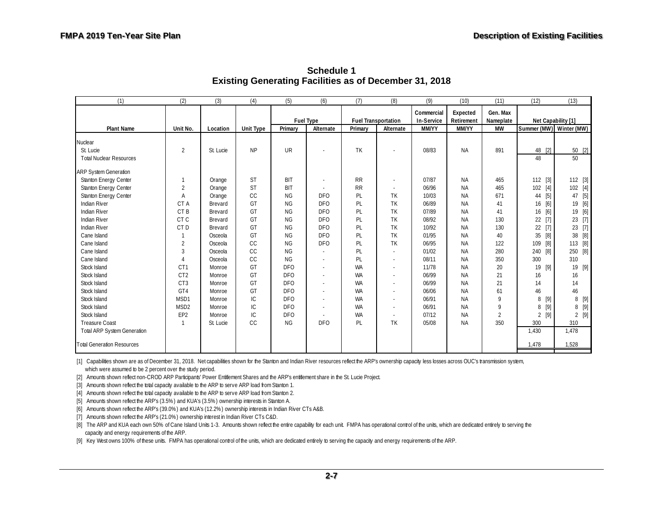<span id="page-23-0"></span>

| Gen. Max<br>Commercial<br>Expected<br><b>Fuel Type</b><br><b>Fuel Transportation</b><br>Net Capability [1]<br>In-Service<br>Retirement<br>Nameplate<br>Summer (MW) Winter (MW)<br>Alternate<br><b>MM/YY</b><br><b>Plant Name</b><br>Unit No.<br><b>Unit Type</b><br><b>MM/YY</b><br><b>MW</b><br>Primary<br>Primary<br>Alternate<br>Location<br><b>UR</b><br><b>TK</b><br>$\overline{2}$<br><b>NP</b><br>48 [2]<br>08/83<br><b>NA</b><br>891<br>50 [2]<br>St. Lucie<br>St. Lucie<br>50<br><b>Total Nuclear Resources</b><br>48<br><b>ST</b><br><b>BIT</b><br><b>RR</b><br>Stanton Energy Center<br>07/87<br><b>NA</b><br>465<br>$112$ [3]<br>112 [3]<br>1<br>Orange<br><b>ST</b><br>$\overline{2}$<br><b>RR</b><br>$[4]$<br>102 [4]<br>Stanton Energy Center<br><b>BIT</b><br>06/96<br><b>NA</b><br>465<br>102<br>Orange<br>CC<br>$[5]$<br>Stanton Energy Center<br><b>NG</b><br><b>DFO</b><br>PL<br>TK<br>10/03<br>47 [5]<br>A<br>NA<br>671<br>44<br>Orange<br>Indian River<br>TK<br>06/89<br>16 [6]<br>19 [6]<br>CTA<br>GT<br><b>NG</b><br><b>DFO</b><br>PL<br><b>NA</b><br>41<br>Brevard<br>$[6]$<br>19 [6]<br><b>Indian River</b><br>GT<br><b>NG</b><br><b>DFO</b><br>TK<br>07/89<br>CT <sub>B</sub><br>PL<br><b>NA</b><br>41<br>Brevard<br>16<br><b>Indian River</b><br>$[7]$<br>23 [7]<br>CT <sub>C</sub><br>GT<br><b>DFO</b><br>TK<br><b>NG</b><br>PL<br>08/92<br><b>NA</b><br>130<br>22<br>Brevard<br>23 [7]<br>CT <sub>D</sub><br>TK<br><b>Indian River</b><br>GT<br><b>NG</b><br><b>DFO</b><br>PL<br>10/92<br><b>NA</b><br>22<br>[7]<br>130<br>Brevard<br>$[8]$<br>38 [8]<br>TK<br>Cane Island<br>GT<br>ΝG<br><b>DFO</b><br>PL<br>01/95<br><b>NA</b><br>40<br>35<br>Osceola<br>CC<br>TK<br>[8]<br>113 [8]<br>Cane Island<br>2<br><b>NG</b><br><b>DFO</b><br>PL<br>06/95<br><b>NA</b><br>122<br>109<br>Osceola<br>CC<br>Cane Island<br>3<br><b>NG</b><br>PL<br>01/02<br>[8]<br>250 [8]<br><b>NA</b><br>280<br>240<br>Osceola<br>CC<br><b>NG</b><br>310<br>Cane Island<br>PL<br>08/11<br><b>NA</b><br>350<br>300<br>Osceola<br>GT<br>19 [9]<br>19 [9]<br>Stock Island<br>CT <sub>1</sub><br><b>DFO</b><br><b>WA</b><br>11/78<br>20<br><b>NA</b><br>Monroe<br>GT<br>21<br>Stock Island<br>CT <sub>2</sub><br><b>DFO</b><br><b>WA</b><br>06/99<br><b>NA</b><br>16<br>16<br>Monroe<br>14<br>Stock Island<br>CT <sub>3</sub><br>GT<br><b>DFO</b><br><b>WA</b><br>06/99<br><b>NA</b><br>21<br>14<br>Monroe<br>46<br>Stock Island<br>GT4<br>GT<br><b>DFO</b><br><b>WA</b><br>06/06<br><b>NA</b><br>61<br>46<br>Monroe<br>IC<br>$[9]$<br>Stock Island<br>MSD1<br>DF <sub>O</sub><br><b>WA</b><br>06/91<br><b>NA</b><br>9<br>8 [9]<br>8<br>Monroe<br>IC<br>$[9]$<br>8[9]<br>MSD <sub>2</sub><br>DF <sub>O</sub><br><b>WA</b><br>06/91<br>Stock Island<br><b>NA</b><br>9<br>8<br>Monroe<br>EP <sub>2</sub><br>IC<br>$\overline{2}$<br>$2$ [9]<br>Stock Island<br><b>DFO</b><br>07/12<br>[9]<br><b>WA</b><br><b>NA</b><br>2<br>Monroe<br>CC<br>350<br><b>Treasure Coast</b><br><b>NG</b><br><b>DFO</b><br>PL<br>TK<br>05/08<br>St Lucie<br><b>NA</b><br>300<br>310<br>-1<br><b>Total ARP System Generation</b><br>1,430<br>1,478<br>1,478<br>1,528 | (1)                               | (2) | (3) | (4) | (5) | (6) | (7) | (8) | (9) | (10) | (11) | (12) | (13) |
|--------------------------------------------------------------------------------------------------------------------------------------------------------------------------------------------------------------------------------------------------------------------------------------------------------------------------------------------------------------------------------------------------------------------------------------------------------------------------------------------------------------------------------------------------------------------------------------------------------------------------------------------------------------------------------------------------------------------------------------------------------------------------------------------------------------------------------------------------------------------------------------------------------------------------------------------------------------------------------------------------------------------------------------------------------------------------------------------------------------------------------------------------------------------------------------------------------------------------------------------------------------------------------------------------------------------------------------------------------------------------------------------------------------------------------------------------------------------------------------------------------------------------------------------------------------------------------------------------------------------------------------------------------------------------------------------------------------------------------------------------------------------------------------------------------------------------------------------------------------------------------------------------------------------------------------------------------------------------------------------------------------------------------------------------------------------------------------------------------------------------------------------------------------------------------------------------------------------------------------------------------------------------------------------------------------------------------------------------------------------------------------------------------------------------------------------------------------------------------------------------------------------------------------------------------------------------------------------------------------------------------------------------------------------------------------------------------------------------------------------------------------------------------------------------------------------------------------------------------------------------------------------------------------------------------------------------------------------------------------------------------------------------------------------------------------------------------------------------------------------------------------------------|-----------------------------------|-----|-----|-----|-----|-----|-----|-----|-----|------|------|------|------|
|                                                                                                                                                                                                                                                                                                                                                                                                                                                                                                                                                                                                                                                                                                                                                                                                                                                                                                                                                                                                                                                                                                                                                                                                                                                                                                                                                                                                                                                                                                                                                                                                                                                                                                                                                                                                                                                                                                                                                                                                                                                                                                                                                                                                                                                                                                                                                                                                                                                                                                                                                                                                                                                                                                                                                                                                                                                                                                                                                                                                                                                                                                                                                  |                                   |     |     |     |     |     |     |     |     |      |      |      |      |
|                                                                                                                                                                                                                                                                                                                                                                                                                                                                                                                                                                                                                                                                                                                                                                                                                                                                                                                                                                                                                                                                                                                                                                                                                                                                                                                                                                                                                                                                                                                                                                                                                                                                                                                                                                                                                                                                                                                                                                                                                                                                                                                                                                                                                                                                                                                                                                                                                                                                                                                                                                                                                                                                                                                                                                                                                                                                                                                                                                                                                                                                                                                                                  |                                   |     |     |     |     |     |     |     |     |      |      |      |      |
|                                                                                                                                                                                                                                                                                                                                                                                                                                                                                                                                                                                                                                                                                                                                                                                                                                                                                                                                                                                                                                                                                                                                                                                                                                                                                                                                                                                                                                                                                                                                                                                                                                                                                                                                                                                                                                                                                                                                                                                                                                                                                                                                                                                                                                                                                                                                                                                                                                                                                                                                                                                                                                                                                                                                                                                                                                                                                                                                                                                                                                                                                                                                                  |                                   |     |     |     |     |     |     |     |     |      |      |      |      |
|                                                                                                                                                                                                                                                                                                                                                                                                                                                                                                                                                                                                                                                                                                                                                                                                                                                                                                                                                                                                                                                                                                                                                                                                                                                                                                                                                                                                                                                                                                                                                                                                                                                                                                                                                                                                                                                                                                                                                                                                                                                                                                                                                                                                                                                                                                                                                                                                                                                                                                                                                                                                                                                                                                                                                                                                                                                                                                                                                                                                                                                                                                                                                  | Nuclear                           |     |     |     |     |     |     |     |     |      |      |      |      |
|                                                                                                                                                                                                                                                                                                                                                                                                                                                                                                                                                                                                                                                                                                                                                                                                                                                                                                                                                                                                                                                                                                                                                                                                                                                                                                                                                                                                                                                                                                                                                                                                                                                                                                                                                                                                                                                                                                                                                                                                                                                                                                                                                                                                                                                                                                                                                                                                                                                                                                                                                                                                                                                                                                                                                                                                                                                                                                                                                                                                                                                                                                                                                  |                                   |     |     |     |     |     |     |     |     |      |      |      |      |
|                                                                                                                                                                                                                                                                                                                                                                                                                                                                                                                                                                                                                                                                                                                                                                                                                                                                                                                                                                                                                                                                                                                                                                                                                                                                                                                                                                                                                                                                                                                                                                                                                                                                                                                                                                                                                                                                                                                                                                                                                                                                                                                                                                                                                                                                                                                                                                                                                                                                                                                                                                                                                                                                                                                                                                                                                                                                                                                                                                                                                                                                                                                                                  |                                   |     |     |     |     |     |     |     |     |      |      |      |      |
|                                                                                                                                                                                                                                                                                                                                                                                                                                                                                                                                                                                                                                                                                                                                                                                                                                                                                                                                                                                                                                                                                                                                                                                                                                                                                                                                                                                                                                                                                                                                                                                                                                                                                                                                                                                                                                                                                                                                                                                                                                                                                                                                                                                                                                                                                                                                                                                                                                                                                                                                                                                                                                                                                                                                                                                                                                                                                                                                                                                                                                                                                                                                                  | <b>ARP System Generation</b>      |     |     |     |     |     |     |     |     |      |      |      |      |
|                                                                                                                                                                                                                                                                                                                                                                                                                                                                                                                                                                                                                                                                                                                                                                                                                                                                                                                                                                                                                                                                                                                                                                                                                                                                                                                                                                                                                                                                                                                                                                                                                                                                                                                                                                                                                                                                                                                                                                                                                                                                                                                                                                                                                                                                                                                                                                                                                                                                                                                                                                                                                                                                                                                                                                                                                                                                                                                                                                                                                                                                                                                                                  |                                   |     |     |     |     |     |     |     |     |      |      |      |      |
|                                                                                                                                                                                                                                                                                                                                                                                                                                                                                                                                                                                                                                                                                                                                                                                                                                                                                                                                                                                                                                                                                                                                                                                                                                                                                                                                                                                                                                                                                                                                                                                                                                                                                                                                                                                                                                                                                                                                                                                                                                                                                                                                                                                                                                                                                                                                                                                                                                                                                                                                                                                                                                                                                                                                                                                                                                                                                                                                                                                                                                                                                                                                                  |                                   |     |     |     |     |     |     |     |     |      |      |      |      |
|                                                                                                                                                                                                                                                                                                                                                                                                                                                                                                                                                                                                                                                                                                                                                                                                                                                                                                                                                                                                                                                                                                                                                                                                                                                                                                                                                                                                                                                                                                                                                                                                                                                                                                                                                                                                                                                                                                                                                                                                                                                                                                                                                                                                                                                                                                                                                                                                                                                                                                                                                                                                                                                                                                                                                                                                                                                                                                                                                                                                                                                                                                                                                  |                                   |     |     |     |     |     |     |     |     |      |      |      |      |
|                                                                                                                                                                                                                                                                                                                                                                                                                                                                                                                                                                                                                                                                                                                                                                                                                                                                                                                                                                                                                                                                                                                                                                                                                                                                                                                                                                                                                                                                                                                                                                                                                                                                                                                                                                                                                                                                                                                                                                                                                                                                                                                                                                                                                                                                                                                                                                                                                                                                                                                                                                                                                                                                                                                                                                                                                                                                                                                                                                                                                                                                                                                                                  |                                   |     |     |     |     |     |     |     |     |      |      |      |      |
|                                                                                                                                                                                                                                                                                                                                                                                                                                                                                                                                                                                                                                                                                                                                                                                                                                                                                                                                                                                                                                                                                                                                                                                                                                                                                                                                                                                                                                                                                                                                                                                                                                                                                                                                                                                                                                                                                                                                                                                                                                                                                                                                                                                                                                                                                                                                                                                                                                                                                                                                                                                                                                                                                                                                                                                                                                                                                                                                                                                                                                                                                                                                                  |                                   |     |     |     |     |     |     |     |     |      |      |      |      |
|                                                                                                                                                                                                                                                                                                                                                                                                                                                                                                                                                                                                                                                                                                                                                                                                                                                                                                                                                                                                                                                                                                                                                                                                                                                                                                                                                                                                                                                                                                                                                                                                                                                                                                                                                                                                                                                                                                                                                                                                                                                                                                                                                                                                                                                                                                                                                                                                                                                                                                                                                                                                                                                                                                                                                                                                                                                                                                                                                                                                                                                                                                                                                  |                                   |     |     |     |     |     |     |     |     |      |      |      |      |
|                                                                                                                                                                                                                                                                                                                                                                                                                                                                                                                                                                                                                                                                                                                                                                                                                                                                                                                                                                                                                                                                                                                                                                                                                                                                                                                                                                                                                                                                                                                                                                                                                                                                                                                                                                                                                                                                                                                                                                                                                                                                                                                                                                                                                                                                                                                                                                                                                                                                                                                                                                                                                                                                                                                                                                                                                                                                                                                                                                                                                                                                                                                                                  |                                   |     |     |     |     |     |     |     |     |      |      |      |      |
|                                                                                                                                                                                                                                                                                                                                                                                                                                                                                                                                                                                                                                                                                                                                                                                                                                                                                                                                                                                                                                                                                                                                                                                                                                                                                                                                                                                                                                                                                                                                                                                                                                                                                                                                                                                                                                                                                                                                                                                                                                                                                                                                                                                                                                                                                                                                                                                                                                                                                                                                                                                                                                                                                                                                                                                                                                                                                                                                                                                                                                                                                                                                                  |                                   |     |     |     |     |     |     |     |     |      |      |      |      |
|                                                                                                                                                                                                                                                                                                                                                                                                                                                                                                                                                                                                                                                                                                                                                                                                                                                                                                                                                                                                                                                                                                                                                                                                                                                                                                                                                                                                                                                                                                                                                                                                                                                                                                                                                                                                                                                                                                                                                                                                                                                                                                                                                                                                                                                                                                                                                                                                                                                                                                                                                                                                                                                                                                                                                                                                                                                                                                                                                                                                                                                                                                                                                  |                                   |     |     |     |     |     |     |     |     |      |      |      |      |
|                                                                                                                                                                                                                                                                                                                                                                                                                                                                                                                                                                                                                                                                                                                                                                                                                                                                                                                                                                                                                                                                                                                                                                                                                                                                                                                                                                                                                                                                                                                                                                                                                                                                                                                                                                                                                                                                                                                                                                                                                                                                                                                                                                                                                                                                                                                                                                                                                                                                                                                                                                                                                                                                                                                                                                                                                                                                                                                                                                                                                                                                                                                                                  |                                   |     |     |     |     |     |     |     |     |      |      |      |      |
|                                                                                                                                                                                                                                                                                                                                                                                                                                                                                                                                                                                                                                                                                                                                                                                                                                                                                                                                                                                                                                                                                                                                                                                                                                                                                                                                                                                                                                                                                                                                                                                                                                                                                                                                                                                                                                                                                                                                                                                                                                                                                                                                                                                                                                                                                                                                                                                                                                                                                                                                                                                                                                                                                                                                                                                                                                                                                                                                                                                                                                                                                                                                                  |                                   |     |     |     |     |     |     |     |     |      |      |      |      |
|                                                                                                                                                                                                                                                                                                                                                                                                                                                                                                                                                                                                                                                                                                                                                                                                                                                                                                                                                                                                                                                                                                                                                                                                                                                                                                                                                                                                                                                                                                                                                                                                                                                                                                                                                                                                                                                                                                                                                                                                                                                                                                                                                                                                                                                                                                                                                                                                                                                                                                                                                                                                                                                                                                                                                                                                                                                                                                                                                                                                                                                                                                                                                  |                                   |     |     |     |     |     |     |     |     |      |      |      |      |
|                                                                                                                                                                                                                                                                                                                                                                                                                                                                                                                                                                                                                                                                                                                                                                                                                                                                                                                                                                                                                                                                                                                                                                                                                                                                                                                                                                                                                                                                                                                                                                                                                                                                                                                                                                                                                                                                                                                                                                                                                                                                                                                                                                                                                                                                                                                                                                                                                                                                                                                                                                                                                                                                                                                                                                                                                                                                                                                                                                                                                                                                                                                                                  |                                   |     |     |     |     |     |     |     |     |      |      |      |      |
|                                                                                                                                                                                                                                                                                                                                                                                                                                                                                                                                                                                                                                                                                                                                                                                                                                                                                                                                                                                                                                                                                                                                                                                                                                                                                                                                                                                                                                                                                                                                                                                                                                                                                                                                                                                                                                                                                                                                                                                                                                                                                                                                                                                                                                                                                                                                                                                                                                                                                                                                                                                                                                                                                                                                                                                                                                                                                                                                                                                                                                                                                                                                                  |                                   |     |     |     |     |     |     |     |     |      |      |      |      |
|                                                                                                                                                                                                                                                                                                                                                                                                                                                                                                                                                                                                                                                                                                                                                                                                                                                                                                                                                                                                                                                                                                                                                                                                                                                                                                                                                                                                                                                                                                                                                                                                                                                                                                                                                                                                                                                                                                                                                                                                                                                                                                                                                                                                                                                                                                                                                                                                                                                                                                                                                                                                                                                                                                                                                                                                                                                                                                                                                                                                                                                                                                                                                  |                                   |     |     |     |     |     |     |     |     |      |      |      |      |
|                                                                                                                                                                                                                                                                                                                                                                                                                                                                                                                                                                                                                                                                                                                                                                                                                                                                                                                                                                                                                                                                                                                                                                                                                                                                                                                                                                                                                                                                                                                                                                                                                                                                                                                                                                                                                                                                                                                                                                                                                                                                                                                                                                                                                                                                                                                                                                                                                                                                                                                                                                                                                                                                                                                                                                                                                                                                                                                                                                                                                                                                                                                                                  |                                   |     |     |     |     |     |     |     |     |      |      |      |      |
|                                                                                                                                                                                                                                                                                                                                                                                                                                                                                                                                                                                                                                                                                                                                                                                                                                                                                                                                                                                                                                                                                                                                                                                                                                                                                                                                                                                                                                                                                                                                                                                                                                                                                                                                                                                                                                                                                                                                                                                                                                                                                                                                                                                                                                                                                                                                                                                                                                                                                                                                                                                                                                                                                                                                                                                                                                                                                                                                                                                                                                                                                                                                                  |                                   |     |     |     |     |     |     |     |     |      |      |      |      |
|                                                                                                                                                                                                                                                                                                                                                                                                                                                                                                                                                                                                                                                                                                                                                                                                                                                                                                                                                                                                                                                                                                                                                                                                                                                                                                                                                                                                                                                                                                                                                                                                                                                                                                                                                                                                                                                                                                                                                                                                                                                                                                                                                                                                                                                                                                                                                                                                                                                                                                                                                                                                                                                                                                                                                                                                                                                                                                                                                                                                                                                                                                                                                  |                                   |     |     |     |     |     |     |     |     |      |      |      |      |
|                                                                                                                                                                                                                                                                                                                                                                                                                                                                                                                                                                                                                                                                                                                                                                                                                                                                                                                                                                                                                                                                                                                                                                                                                                                                                                                                                                                                                                                                                                                                                                                                                                                                                                                                                                                                                                                                                                                                                                                                                                                                                                                                                                                                                                                                                                                                                                                                                                                                                                                                                                                                                                                                                                                                                                                                                                                                                                                                                                                                                                                                                                                                                  |                                   |     |     |     |     |     |     |     |     |      |      |      |      |
|                                                                                                                                                                                                                                                                                                                                                                                                                                                                                                                                                                                                                                                                                                                                                                                                                                                                                                                                                                                                                                                                                                                                                                                                                                                                                                                                                                                                                                                                                                                                                                                                                                                                                                                                                                                                                                                                                                                                                                                                                                                                                                                                                                                                                                                                                                                                                                                                                                                                                                                                                                                                                                                                                                                                                                                                                                                                                                                                                                                                                                                                                                                                                  |                                   |     |     |     |     |     |     |     |     |      |      |      |      |
|                                                                                                                                                                                                                                                                                                                                                                                                                                                                                                                                                                                                                                                                                                                                                                                                                                                                                                                                                                                                                                                                                                                                                                                                                                                                                                                                                                                                                                                                                                                                                                                                                                                                                                                                                                                                                                                                                                                                                                                                                                                                                                                                                                                                                                                                                                                                                                                                                                                                                                                                                                                                                                                                                                                                                                                                                                                                                                                                                                                                                                                                                                                                                  | <b>Total Generation Resources</b> |     |     |     |     |     |     |     |     |      |      |      |      |

**Schedule 1 Existing Generating Facilities as of December 31, 2018** 

[1] Capabilities shown are as of December 31, 2018. Net capabilities shown for the Stanton and Indian River resources reflect the ARP's ownership capacity less losses across OUC's transmission system,

which were assumed to be 2 percent over the study period.

[2] Amounts shown reflect non-CROD ARP Participants' Power Entitlement Shares and the ARP's entitlement share in the St. Lucie Project.

[3] Amounts shown reflect the total capacity available to the ARP to serve ARP load from Stanton 1.

[4] Amounts shown reflect the total capacity available to the ARP to serve ARP load from Stanton 2.

[5] Amounts shown reflect the ARP's (3.5%) and KUA's (3.5%) ownership interests in Stanton A.

[6] Amounts shown reflect the ARP's (39.0%) and KUA's (12.2%) ownership interests in Indian River CTs A&B.

[7] Amounts shown reflect the ARP's (21.0% ) ownership interest in Indian River CTs C&D.

[8] The ARP and KUA each own 50% of Cane Island Units 1-3. Amounts shown reflect the entire capability for each unit. FMPA has operational control of the units, which are dedicated entirely to serving the capacity and energy requirements of the ARP.

[9] Key West owns 100% of these units. FMPA has operational control of the units, which are dedicated entirely to serving the capacity and energy requirements of the ARP.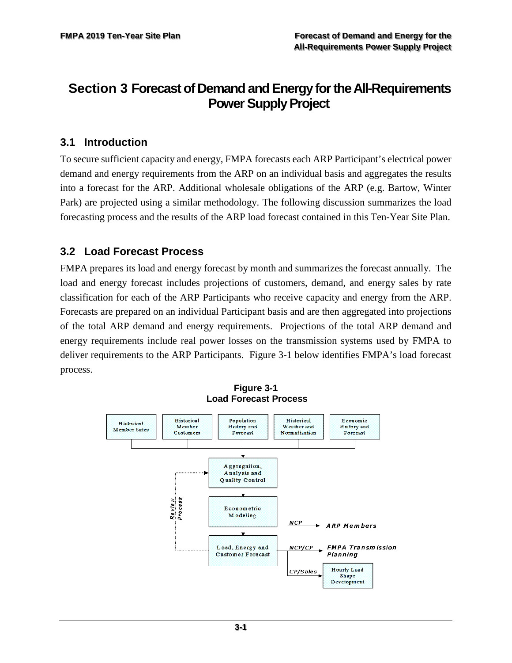# <span id="page-24-0"></span>**Section 3 Forecast of Demand and Energy for the All-Requirements Power Supply Project**

## <span id="page-24-1"></span>**3.1 Introduction**

To secure sufficient capacity and energy, FMPA forecasts each ARP Participant's electrical power demand and energy requirements from the ARP on an individual basis and aggregates the results into a forecast for the ARP. Additional wholesale obligations of the ARP (e.g. Bartow, Winter Park) are projected using a similar methodology. The following discussion summarizes the load forecasting process and the results of the ARP load forecast contained in this Ten-Year Site Plan.

## <span id="page-24-2"></span>**3.2 Load Forecast Process**

FMPA prepares its load and energy forecast by month and summarizes the forecast annually. The load and energy forecast includes projections of customers, demand, and energy sales by rate classification for each of the ARP Participants who receive capacity and energy from the ARP. Forecasts are prepared on an individual Participant basis and are then aggregated into projections of the total ARP demand and energy requirements. Projections of the total ARP demand and energy requirements include real power losses on the transmission systems used by FMPA to deliver requirements to the ARP Participants. Figure 3-1 below identifies FMPA's load forecast process.

<span id="page-24-3"></span>

**Figure 3-1 Load Forecast Process**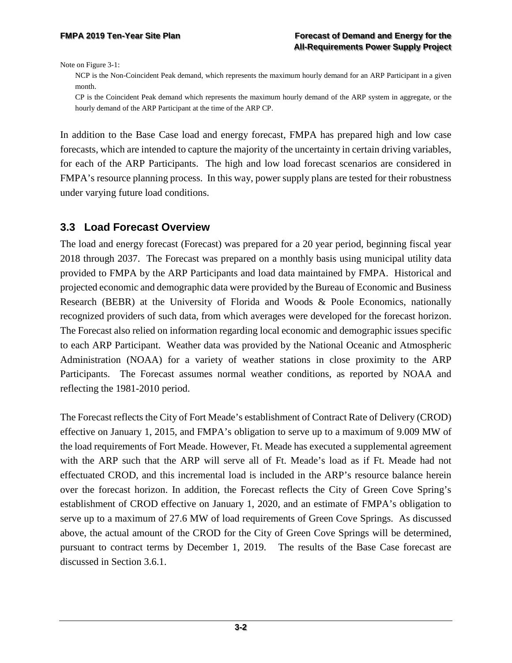Note on Figure 3-1:

NCP is the Non-Coincident Peak demand, which represents the maximum hourly demand for an ARP Participant in a given month.

CP is the Coincident Peak demand which represents the maximum hourly demand of the ARP system in aggregate, or the hourly demand of the ARP Participant at the time of the ARP CP.

In addition to the Base Case load and energy forecast, FMPA has prepared high and low case forecasts, which are intended to capture the majority of the uncertainty in certain driving variables, for each of the ARP Participants. The high and low load forecast scenarios are considered in FMPA's resource planning process. In this way, power supply plans are tested for their robustness under varying future load conditions.

### <span id="page-25-0"></span>**3.3 Load Forecast Overview**

The load and energy forecast (Forecast) was prepared for a 20 year period, beginning fiscal year 2018 through 2037. The Forecast was prepared on a monthly basis using municipal utility data provided to FMPA by the ARP Participants and load data maintained by FMPA. Historical and projected economic and demographic data were provided by the Bureau of Economic and Business Research (BEBR) at the University of Florida and Woods & Poole Economics, nationally recognized providers of such data, from which averages were developed for the forecast horizon. The Forecast also relied on information regarding local economic and demographic issues specific to each ARP Participant. Weather data was provided by the National Oceanic and Atmospheric Administration (NOAA) for a variety of weather stations in close proximity to the ARP Participants. The Forecast assumes normal weather conditions, as reported by NOAA and reflecting the 1981-2010 period.

The Forecast reflects the City of Fort Meade's establishment of Contract Rate of Delivery (CROD) effective on January 1, 2015, and FMPA's obligation to serve up to a maximum of 9.009 MW of the load requirements of Fort Meade. However, Ft. Meade has executed a supplemental agreement with the ARP such that the ARP will serve all of Ft. Meade's load as if Ft. Meade had not effectuated CROD, and this incremental load is included in the ARP's resource balance herein over the forecast horizon. In addition, the Forecast reflects the City of Green Cove Spring's establishment of CROD effective on January 1, 2020, and an estimate of FMPA's obligation to serve up to a maximum of 27.6 MW of load requirements of Green Cove Springs. As discussed above, the actual amount of the CROD for the City of Green Cove Springs will be determined, pursuant to contract terms by December 1, 2019. The results of the Base Case forecast are discussed in Section 3.6.1.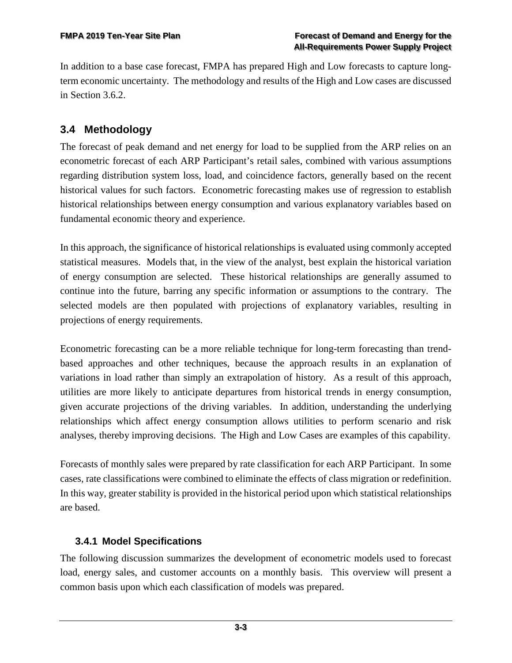In addition to a base case forecast, FMPA has prepared High and Low forecasts to capture longterm economic uncertainty. The methodology and results of the High and Low cases are discussed in Section 3.6.2.

# <span id="page-26-0"></span>**3.4 Methodology**

The forecast of peak demand and net energy for load to be supplied from the ARP relies on an econometric forecast of each ARP Participant's retail sales, combined with various assumptions regarding distribution system loss, load, and coincidence factors, generally based on the recent historical values for such factors. Econometric forecasting makes use of regression to establish historical relationships between energy consumption and various explanatory variables based on fundamental economic theory and experience.

In this approach, the significance of historical relationships is evaluated using commonly accepted statistical measures. Models that, in the view of the analyst, best explain the historical variation of energy consumption are selected. These historical relationships are generally assumed to continue into the future, barring any specific information or assumptions to the contrary. The selected models are then populated with projections of explanatory variables, resulting in projections of energy requirements.

Econometric forecasting can be a more reliable technique for long-term forecasting than trendbased approaches and other techniques, because the approach results in an explanation of variations in load rather than simply an extrapolation of history. As a result of this approach, utilities are more likely to anticipate departures from historical trends in energy consumption, given accurate projections of the driving variables. In addition, understanding the underlying relationships which affect energy consumption allows utilities to perform scenario and risk analyses, thereby improving decisions. The High and Low Cases are examples of this capability.

Forecasts of monthly sales were prepared by rate classification for each ARP Participant. In some cases, rate classifications were combined to eliminate the effects of class migration or redefinition. In this way, greater stability is provided in the historical period upon which statistical relationships are based.

### <span id="page-26-1"></span>**3.4.1 Model Specifications**

The following discussion summarizes the development of econometric models used to forecast load, energy sales, and customer accounts on a monthly basis. This overview will present a common basis upon which each classification of models was prepared.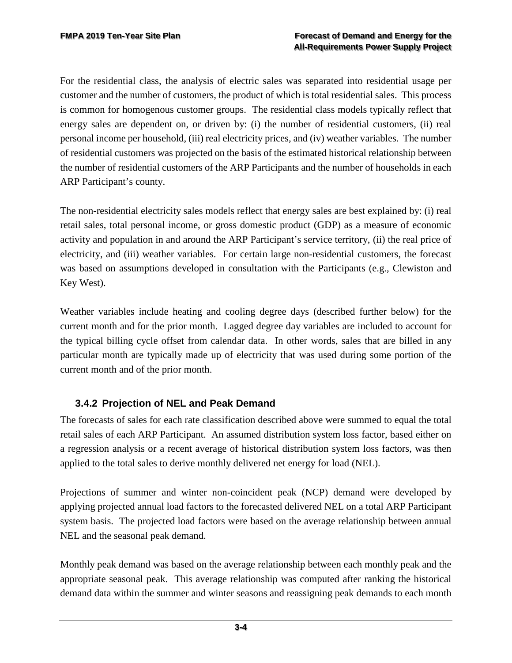For the residential class, the analysis of electric sales was separated into residential usage per customer and the number of customers, the product of which is total residential sales. This process is common for homogenous customer groups. The residential class models typically reflect that energy sales are dependent on, or driven by: (i) the number of residential customers, (ii) real personal income per household, (iii) real electricity prices, and (iv) weather variables. The number of residential customers was projected on the basis of the estimated historical relationship between the number of residential customers of the ARP Participants and the number of households in each ARP Participant's county.

The non-residential electricity sales models reflect that energy sales are best explained by: (i) real retail sales, total personal income, or gross domestic product (GDP) as a measure of economic activity and population in and around the ARP Participant's service territory, (ii) the real price of electricity, and (iii) weather variables. For certain large non-residential customers, the forecast was based on assumptions developed in consultation with the Participants (e.g., Clewiston and Key West).

Weather variables include heating and cooling degree days (described further below) for the current month and for the prior month. Lagged degree day variables are included to account for the typical billing cycle offset from calendar data. In other words, sales that are billed in any particular month are typically made up of electricity that was used during some portion of the current month and of the prior month.

### <span id="page-27-0"></span>**3.4.2 Projection of NEL and Peak Demand**

The forecasts of sales for each rate classification described above were summed to equal the total retail sales of each ARP Participant. An assumed distribution system loss factor, based either on a regression analysis or a recent average of historical distribution system loss factors, was then applied to the total sales to derive monthly delivered net energy for load (NEL).

Projections of summer and winter non-coincident peak (NCP) demand were developed by applying projected annual load factors to the forecasted delivered NEL on a total ARP Participant system basis. The projected load factors were based on the average relationship between annual NEL and the seasonal peak demand.

Monthly peak demand was based on the average relationship between each monthly peak and the appropriate seasonal peak. This average relationship was computed after ranking the historical demand data within the summer and winter seasons and reassigning peak demands to each month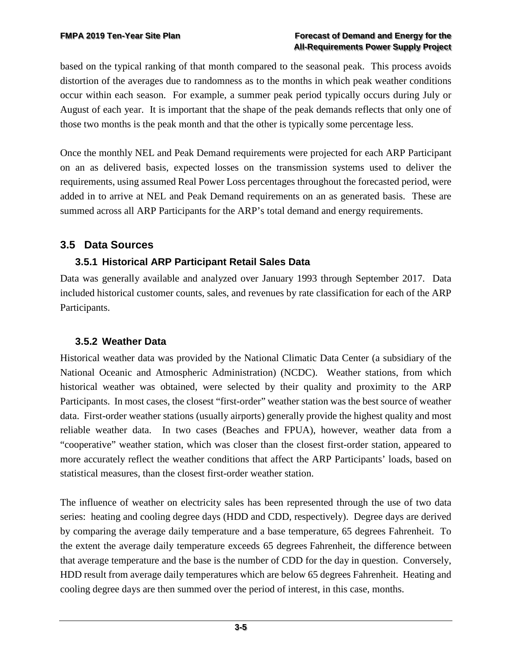based on the typical ranking of that month compared to the seasonal peak. This process avoids distortion of the averages due to randomness as to the months in which peak weather conditions occur within each season. For example, a summer peak period typically occurs during July or August of each year. It is important that the shape of the peak demands reflects that only one of those two months is the peak month and that the other is typically some percentage less.

Once the monthly NEL and Peak Demand requirements were projected for each ARP Participant on an as delivered basis, expected losses on the transmission systems used to deliver the requirements, using assumed Real Power Loss percentages throughout the forecasted period, were added in to arrive at NEL and Peak Demand requirements on an as generated basis. These are summed across all ARP Participants for the ARP's total demand and energy requirements.

## <span id="page-28-0"></span>**3.5 Data Sources**

## <span id="page-28-1"></span>**3.5.1 Historical ARP Participant Retail Sales Data**

Data was generally available and analyzed over January 1993 through September 2017. Data included historical customer counts, sales, and revenues by rate classification for each of the ARP Participants.

### <span id="page-28-2"></span>**3.5.2 Weather Data**

Historical weather data was provided by the National Climatic Data Center (a subsidiary of the National Oceanic and Atmospheric Administration) (NCDC). Weather stations, from which historical weather was obtained, were selected by their quality and proximity to the ARP Participants. In most cases, the closest "first-order" weather station was the best source of weather data. First-order weather stations (usually airports) generally provide the highest quality and most reliable weather data. In two cases (Beaches and FPUA), however, weather data from a "cooperative" weather station, which was closer than the closest first-order station, appeared to more accurately reflect the weather conditions that affect the ARP Participants' loads, based on statistical measures, than the closest first-order weather station.

The influence of weather on electricity sales has been represented through the use of two data series: heating and cooling degree days (HDD and CDD, respectively). Degree days are derived by comparing the average daily temperature and a base temperature, 65 degrees Fahrenheit. To the extent the average daily temperature exceeds 65 degrees Fahrenheit, the difference between that average temperature and the base is the number of CDD for the day in question. Conversely, HDD result from average daily temperatures which are below 65 degrees Fahrenheit. Heating and cooling degree days are then summed over the period of interest, in this case, months.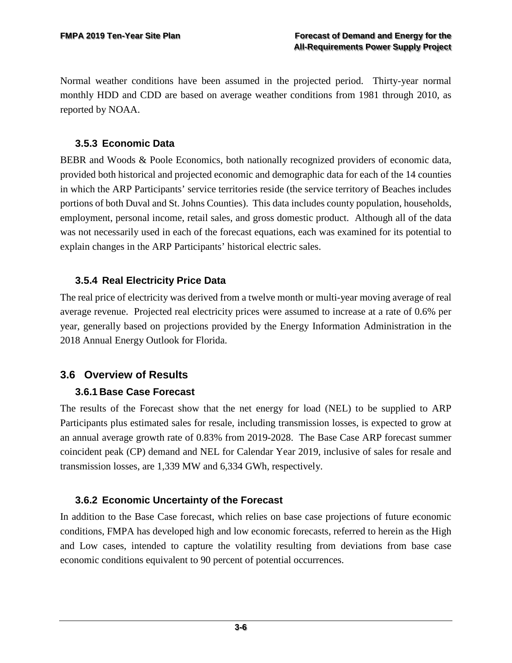Normal weather conditions have been assumed in the projected period. Thirty-year normal monthly HDD and CDD are based on average weather conditions from 1981 through 2010, as reported by NOAA.

### <span id="page-29-0"></span>**3.5.3 Economic Data**

BEBR and Woods & Poole Economics, both nationally recognized providers of economic data, provided both historical and projected economic and demographic data for each of the 14 counties in which the ARP Participants' service territories reside (the service territory of Beaches includes portions of both Duval and St. Johns Counties). This data includes county population, households, employment, personal income, retail sales, and gross domestic product. Although all of the data was not necessarily used in each of the forecast equations, each was examined for its potential to explain changes in the ARP Participants' historical electric sales.

### <span id="page-29-1"></span>**3.5.4 Real Electricity Price Data**

The real price of electricity was derived from a twelve month or multi-year moving average of real average revenue. Projected real electricity prices were assumed to increase at a rate of 0.6% per year, generally based on projections provided by the Energy Information Administration in the 2018 Annual Energy Outlook for Florida.

## <span id="page-29-2"></span>**3.6 Overview of Results**

### <span id="page-29-3"></span>**3.6.1 Base Case Forecast**

The results of the Forecast show that the net energy for load (NEL) to be supplied to ARP Participants plus estimated sales for resale, including transmission losses, is expected to grow at an annual average growth rate of 0.83% from 2019-2028. The Base Case ARP forecast summer coincident peak (CP) demand and NEL for Calendar Year 2019, inclusive of sales for resale and transmission losses, are 1,339 MW and 6,334 GWh, respectively.

### <span id="page-29-4"></span>**3.6.2 Economic Uncertainty of the Forecast**

In addition to the Base Case forecast, which relies on base case projections of future economic conditions, FMPA has developed high and low economic forecasts, referred to herein as the High and Low cases, intended to capture the volatility resulting from deviations from base case economic conditions equivalent to 90 percent of potential occurrences.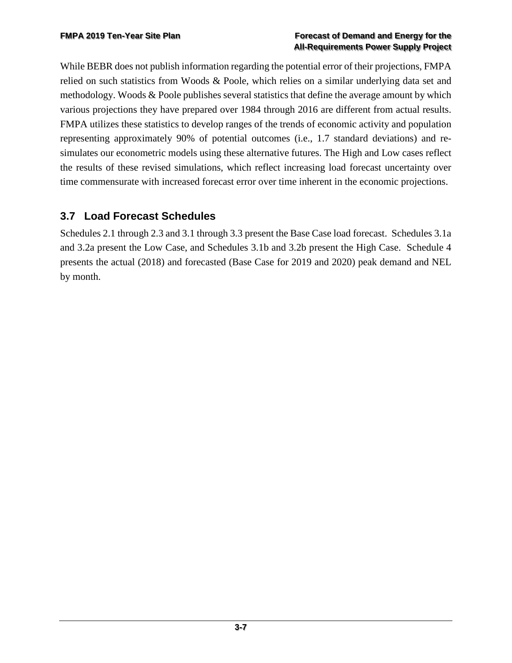#### **FMPA 2019 Ten-Year Site Plan Forecast of Demand and Energy for the All-Requirements Power Supply Project**

While BEBR does not publish information regarding the potential error of their projections, FMPA relied on such statistics from Woods & Poole, which relies on a similar underlying data set and methodology. Woods & Poole publishes several statistics that define the average amount by which various projections they have prepared over 1984 through 2016 are different from actual results. FMPA utilizes these statistics to develop ranges of the trends of economic activity and population representing approximately 90% of potential outcomes (i.e., 1.7 standard deviations) and resimulates our econometric models using these alternative futures. The High and Low cases reflect the results of these revised simulations, which reflect increasing load forecast uncertainty over time commensurate with increased forecast error over time inherent in the economic projections.

# <span id="page-30-0"></span>**3.7 Load Forecast Schedules**

Schedules 2.1 through 2.3 and 3.1 through 3.3 present the Base Case load forecast. Schedules 3.1a and 3.2a present the Low Case, and Schedules 3.1b and 3.2b present the High Case. Schedule 4 presents the actual (2018) and forecasted (Base Case for 2019 and 2020) peak demand and NEL by month.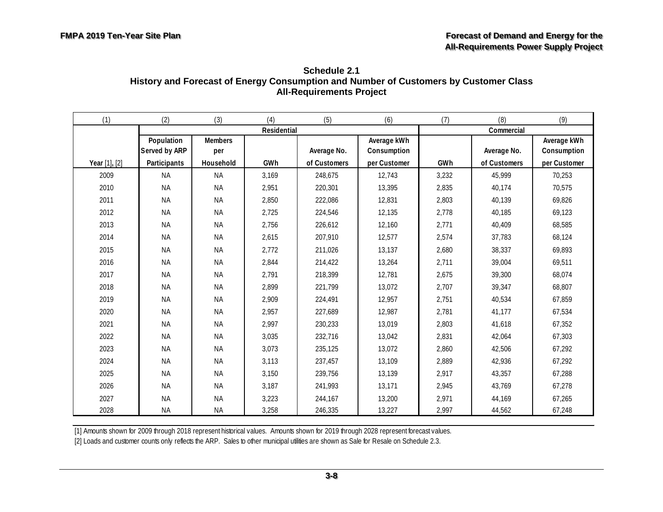| Schedule 2.1                                                                         |
|--------------------------------------------------------------------------------------|
| History and Forecast of Energy Consumption and Number of Customers by Customer Class |
| <b>All-Requirements Project</b>                                                      |

<span id="page-31-0"></span>

| (1)           | (2)           | (3)            | (4)         | (5)          | (6)          | (7)   | (8)          | (9)          |
|---------------|---------------|----------------|-------------|--------------|--------------|-------|--------------|--------------|
|               |               |                | Residential |              |              |       | Commercial   |              |
|               | Population    | <b>Members</b> |             |              | Average kWh  |       |              | Average kWh  |
|               | Served by ARP | per            |             | Average No.  | Consumption  |       | Average No.  | Consumption  |
| Year [1], [2] | Participants  | Household      | GWh         | of Customers | per Customer | GWh   | of Customers | per Customer |
| 2009          | <b>NA</b>     | <b>NA</b>      | 3,169       | 248,675      | 12,743       | 3,232 | 45,999       | 70,253       |
| 2010          | <b>NA</b>     | <b>NA</b>      | 2,951       | 220,301      | 13,395       | 2,835 | 40,174       | 70,575       |
| 2011          | <b>NA</b>     | <b>NA</b>      | 2,850       | 222,086      | 12,831       | 2,803 | 40,139       | 69,826       |
| 2012          | <b>NA</b>     | <b>NA</b>      | 2,725       | 224,546      | 12,135       | 2,778 | 40,185       | 69,123       |
| 2013          | <b>NA</b>     | <b>NA</b>      | 2,756       | 226,612      | 12,160       | 2,771 | 40,409       | 68,585       |
| 2014          | <b>NA</b>     | <b>NA</b>      | 2,615       | 207,910      | 12,577       | 2,574 | 37,783       | 68,124       |
| 2015          | <b>NA</b>     | <b>NA</b>      | 2,772       | 211,026      | 13,137       | 2,680 | 38,337       | 69,893       |
| 2016          | <b>NA</b>     | <b>NA</b>      | 2,844       | 214,422      | 13,264       | 2,711 | 39,004       | 69,511       |
| 2017          | <b>NA</b>     | <b>NA</b>      | 2,791       | 218,399      | 12,781       | 2,675 | 39,300       | 68,074       |
| 2018          | <b>NA</b>     | <b>NA</b>      | 2,899       | 221,799      | 13,072       | 2,707 | 39,347       | 68,807       |
| 2019          | <b>NA</b>     | <b>NA</b>      | 2,909       | 224,491      | 12,957       | 2,751 | 40,534       | 67,859       |
| 2020          | <b>NA</b>     | <b>NA</b>      | 2,957       | 227,689      | 12,987       | 2,781 | 41,177       | 67,534       |
| 2021          | <b>NA</b>     | <b>NA</b>      | 2,997       | 230,233      | 13,019       | 2,803 | 41,618       | 67,352       |
| 2022          | <b>NA</b>     | <b>NA</b>      | 3,035       | 232,716      | 13,042       | 2,831 | 42,064       | 67,303       |
| 2023          | <b>NA</b>     | <b>NA</b>      | 3,073       | 235,125      | 13,072       | 2,860 | 42,506       | 67,292       |
| 2024          | <b>NA</b>     | <b>NA</b>      | 3,113       | 237,457      | 13,109       | 2,889 | 42,936       | 67,292       |
| 2025          | <b>NA</b>     | <b>NA</b>      | 3,150       | 239,756      | 13,139       | 2,917 | 43,357       | 67,288       |
| 2026          | <b>NA</b>     | <b>NA</b>      | 3,187       | 241,993      | 13,171       | 2,945 | 43,769       | 67,278       |
| 2027          | <b>NA</b>     | <b>NA</b>      | 3,223       | 244,167      | 13,200       | 2,971 | 44,169       | 67,265       |
| 2028          | <b>NA</b>     | <b>NA</b>      | 3,258       | 246,335      | 13,227       | 2,997 | 44,562       | 67,248       |

[2] Loads and customer counts only reflects the ARP. Sales to other municipal utilities are shown as Sale for Resale on Schedule 2.3.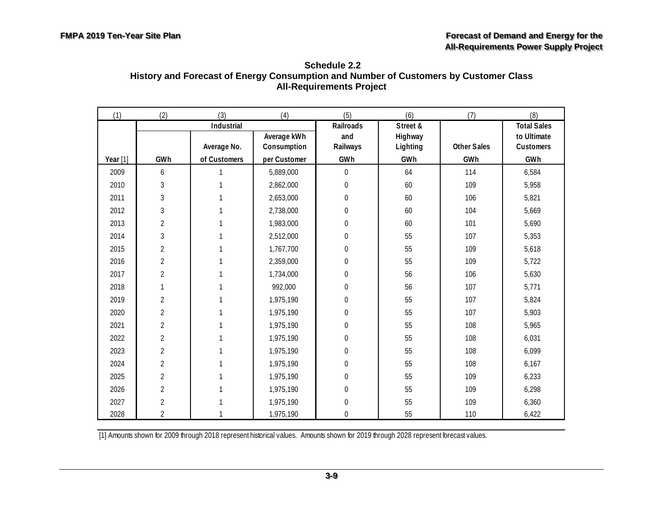| Schedule 2.2                                                                         |
|--------------------------------------------------------------------------------------|
| History and Forecast of Energy Consumption and Number of Customers by Customer Class |
| <b>All-Requirements Project</b>                                                      |

<span id="page-32-0"></span>

| (1)        | (2)            | (3)          | (4)          | (5)              | (6)      | (7)                | (8)                |
|------------|----------------|--------------|--------------|------------------|----------|--------------------|--------------------|
|            |                | Industrial   |              | Railroads        | Street & |                    | <b>Total Sales</b> |
|            |                |              | Average kWh  | and              | Highway  |                    | to Ultimate        |
|            |                | Average No.  | Consumption  | Railways         | Lighting | <b>Other Sales</b> | Customers          |
| Year $[1]$ | GWh            | of Customers | per Customer | GWh              | GWh      | GWh                | GWh                |
| 2009       | 6              |              | 5,889,000    | $\overline{0}$   | 64       | 114                | 6,584              |
| 2010       | $\mathfrak{Z}$ |              | 2,862,000    | $\boldsymbol{0}$ | 60       | 109                | 5,958              |
| 2011       | 3              |              | 2,653,000    | $\boldsymbol{0}$ | 60       | 106                | 5,821              |
| 2012       | $\sqrt{3}$     |              | 2,738,000    | 0                | 60       | 104                | 5,669              |
| 2013       | $\overline{2}$ |              | 1,983,000    | 0                | 60       | 101                | 5,690              |
| 2014       | 3              |              | 2,512,000    | 0                | 55       | 107                | 5,353              |
| 2015       | $\overline{2}$ |              | 1,767,700    | 0                | 55       | 109                | 5,618              |
| 2016       | $\overline{2}$ |              | 2,359,000    | 0                | 55       | 109                | 5,722              |
| 2017       | $\overline{c}$ |              | 1,734,000    | $\boldsymbol{0}$ | 56       | 106                | 5,630              |
| 2018       | 1              |              | 992,000      | $\boldsymbol{0}$ | 56       | 107                | 5,771              |
| 2019       | $\overline{2}$ |              | 1,975,190    | $\boldsymbol{0}$ | 55       | 107                | 5,824              |
| 2020       | $\overline{2}$ |              | 1,975,190    | 0                | 55       | 107                | 5,903              |
| 2021       | $\overline{2}$ |              | 1,975,190    | 0                | 55       | 108                | 5,965              |
| 2022       | $\overline{2}$ |              | 1,975,190    | 0                | 55       | 108                | 6,031              |
| 2023       | $\overline{2}$ |              | 1,975,190    | 0                | 55       | 108                | 6,099              |
| 2024       | $\overline{2}$ |              | 1,975,190    | 0                | 55       | 108                | 6,167              |
| 2025       | $\overline{2}$ |              | 1,975,190    | $\boldsymbol{0}$ | 55       | 109                | 6,233              |
| 2026       | $\overline{2}$ |              | 1,975,190    | 0                | 55       | 109                | 6,298              |
| 2027       | $\overline{2}$ |              | 1,975,190    | 0                | 55       | 109                | 6,360              |
| 2028       | $\overline{2}$ |              | 1,975,190    | 0                | 55       | 110                | 6,422              |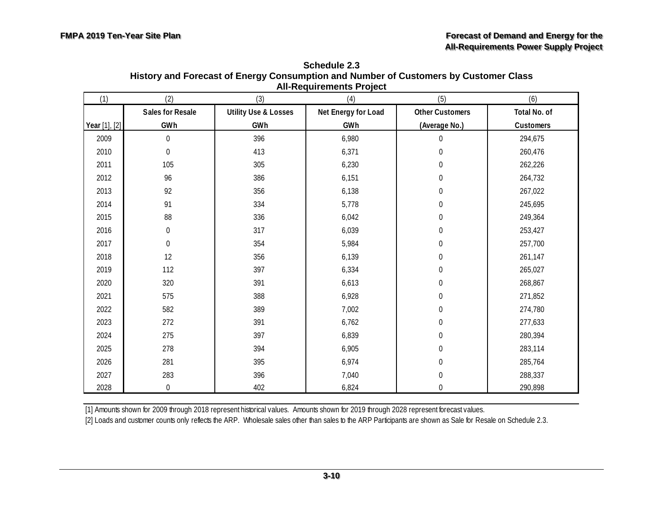| (1)           | (2)              | (3)                             | All-Requirements Froject<br>(4) | (5)                    | (6)          |
|---------------|------------------|---------------------------------|---------------------------------|------------------------|--------------|
|               | Sales for Resale | <b>Utility Use &amp; Losses</b> | Net Energy for Load             | <b>Other Customers</b> | Total No. of |
| Year [1], [2] | GWh              | GWh                             | GWh                             | (Average No.)          | Customers    |
| 2009          | $\boldsymbol{0}$ | 396                             | 6,980                           | 0                      | 294,675      |
| 2010          | $\boldsymbol{0}$ | 413                             | 6,371                           | $\boldsymbol{0}$       | 260,476      |
| 2011          | 105              | 305                             | 6,230                           | $\boldsymbol{0}$       | 262,226      |
| 2012          | 96               | 386                             | 6,151                           | $\boldsymbol{0}$       | 264,732      |
| 2013          | 92               | 356                             | 6,138                           | $\boldsymbol{0}$       | 267,022      |
| 2014          | 91               | 334                             | 5,778                           | $\boldsymbol{0}$       | 245,695      |
| 2015          | 88               | 336                             | 6,042                           | $\boldsymbol{0}$       | 249,364      |
| 2016          | $\boldsymbol{0}$ | 317                             | 6,039                           | $\boldsymbol{0}$       | 253,427      |
| 2017          | $\boldsymbol{0}$ | 354                             | 5,984                           | $\boldsymbol{0}$       | 257,700      |
| 2018          | 12               | 356                             | 6,139                           | $\boldsymbol{0}$       | 261,147      |
| 2019          | 112              | 397                             | 6,334                           | 0                      | 265,027      |
| 2020          | 320              | 391                             | 6,613                           | $\boldsymbol{0}$       | 268,867      |
| 2021          | 575              | 388                             | 6,928                           | $\boldsymbol{0}$       | 271,852      |
| 2022          | 582              | 389                             | 7,002                           | 0                      | 274,780      |
| 2023          | 272              | 391                             | 6,762                           | $\boldsymbol{0}$       | 277,633      |
| 2024          | 275              | 397                             | 6,839                           | $\boldsymbol{0}$       | 280,394      |
| 2025          | 278              | 394                             | 6,905                           | $\boldsymbol{0}$       | 283,114      |
| 2026          | 281              | 395                             | 6,974                           | $\boldsymbol{0}$       | 285,764      |
| 2027          | 283              | 396                             | 7,040                           | $\boldsymbol{0}$       | 288,337      |
| 2028          | 0                | 402                             | 6,824                           | $\overline{0}$         | 290,898      |

**Schedule 2.3 History and Forecast of Energy Consumption and Number of Customers by Customer Class All-Requirements Project**

[2] Loads and customer counts only reflects the ARP. Wholesale sales other than sales to the ARP Participants are shown as Sale for Resale on Schedule 2.3.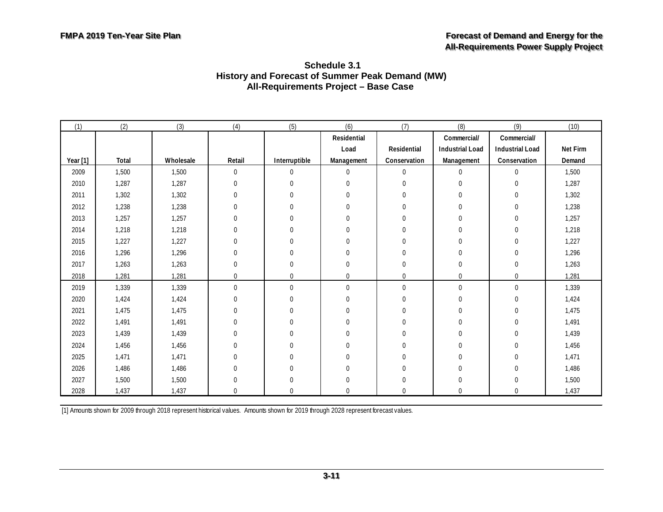| (1)      | (2)   | (3)       | (4)      | (5)            | (6)                | (7)                | (8)                    | (9)                    | (10)     |
|----------|-------|-----------|----------|----------------|--------------------|--------------------|------------------------|------------------------|----------|
|          |       |           |          |                | <b>Residential</b> |                    | Commercial/            | Commercial/            |          |
|          |       |           |          |                | Load               | <b>Residential</b> | <b>Industrial Load</b> | <b>Industrial Load</b> | Net Firm |
| Year [1] | Total | Wholesale | Retail   | Interruptible  | Management         | Conservation       | Management             | Conservation           | Demand   |
| 2009     | 1,500 | 1,500     | 0        | $\mathbf 0$    | $\mathbf{0}$       | $\mathbf 0$        | $\mathbf{0}$           | $\overline{0}$         | 1,500    |
| 2010     | 1,287 | 1,287     | 0        | $\overline{0}$ | $\mathbf{0}$       | $\mathbf 0$        | $\mathbf 0$            | $\overline{0}$         | 1,287    |
| 2011     | 1,302 | 1,302     | 0        | 0              | $\overline{0}$     | 0                  | $\mathbf 0$            | 0                      | 1,302    |
| 2012     | 1,238 | 1,238     | 0        | 0              | $\mathbf 0$        | 0                  | $\mathbf 0$            | 0                      | 1,238    |
| 2013     | 1,257 | 1,257     | 0        | 0              | $\mathbf 0$        | 0                  | $\mathbf 0$            | 0                      | 1,257    |
| 2014     | 1,218 | 1,218     | 0        | 0              | $\Omega$           | 0                  | $\mathbf{0}$           | 0                      | 1,218    |
| 2015     | 1,227 | 1,227     | 0        | $\mathbf 0$    | $\Omega$           | $\Omega$           | $\mathbf 0$            | 0                      | 1,227    |
| 2016     | 1,296 | 1,296     | 0        | 0              | $\Omega$           | $\mathbf 0$        | $\mathbf 0$            | 0                      | 1,296    |
| 2017     | 1,263 | 1,263     | 0        | $\Omega$       | $\Omega$           | $\mathbf 0$        | $\mathbf 0$            | 0                      | 1,263    |
| 2018     | 1,281 | 1,281     | 0        | $\mathbf 0$    | $\mathbf 0$        | $\mathbf 0$        | $\overline{0}$         | $\mathbf 0$            | 1,281    |
| 2019     | 1,339 | 1,339     | 0        | $\overline{0}$ | $\mathbf{0}$       | $\mathbf 0$        | $\mathbf 0$            | $\overline{0}$         | 1,339    |
| 2020     | 1,424 | 1,424     | 0        | 0              | $\mathbf{0}$       | 0                  | $\boldsymbol{0}$       | 0                      | 1,424    |
| 2021     | 1,475 | 1,475     | 0        | 0              | $\overline{0}$     | $\overline{0}$     | $\mathbf{0}$           | 0                      | 1,475    |
| 2022     | 1,491 | 1,491     | 0        | 0              | $\mathbf 0$        | $\mathbf 0$        | $\boldsymbol{0}$       | 0                      | 1,491    |
| 2023     | 1,439 | 1,439     | 0        | $\mathbf 0$    | $\Omega$           | $\mathbf 0$        | $\mathbf 0$            | 0                      | 1,439    |
| 2024     | 1,456 | 1,456     | 0        | 0              | $\mathbf{0}$       | 0                  | $\boldsymbol{0}$       | 0                      | 1,456    |
| 2025     | 1,471 | 1,471     | 0        | 0              | $\mathbf{0}$       | $\mathbf 0$        | $\boldsymbol{0}$       | 0                      | 1,471    |
| 2026     | 1,486 | 1,486     | 0        | 0              | 0                  | $\mathbf 0$        | $\boldsymbol{0}$       | 0                      | 1,486    |
| 2027     | 1,500 | 1,500     | 0        | 0              | $\overline{0}$     | $\overline{0}$     | $\overline{0}$         | 0                      | 1,500    |
| 2028     | 1,437 | 1,437     | $\Omega$ | $\Omega$       | $\Omega$           | $\Omega$           | $\Omega$               | $\Omega$               | 1,437    |

#### <span id="page-34-0"></span>**Schedule 3.1 History and Forecast of Summer Peak Demand (MW) All-Requirements Project – Base Case**

[1] Amounts shown for 2009 through 2018 represent historical values. Amounts shown for 2019 through 2028 represent forecast values.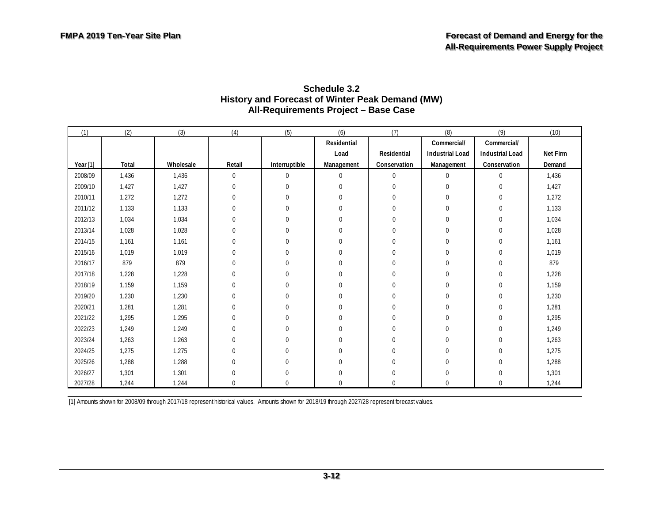| Schedule 3.2                                    |  |  |  |  |  |  |
|-------------------------------------------------|--|--|--|--|--|--|
| History and Forecast of Winter Peak Demand (MW) |  |  |  |  |  |  |
| All-Requirements Project - Base Case            |  |  |  |  |  |  |

<span id="page-35-0"></span>

| (1)      | (2)   | (3)       | (4)              | (5)           | (6)          | (7)          | (8)                    | (9)                    | (10)     |
|----------|-------|-----------|------------------|---------------|--------------|--------------|------------------------|------------------------|----------|
|          |       |           |                  |               | Residential  |              | Commercial/            | Commercial/            |          |
|          |       |           |                  |               | Load         | Residential  | <b>Industrial Load</b> | <b>Industrial Load</b> | Net Firm |
| Year [1] | Total | Wholesale | Retail           | Interruptible | Management   | Conservation | Management             | Conservation           | Demand   |
| 2008/09  | 1,436 | 1,436     | $\pmb{0}$        | 0             | $\Omega$     | $\mathbf 0$  | 0                      | $\Omega$               | 1,436    |
| 2009/10  | 1,427 | 1,427     | $\mathbf{0}$     | 0             | $\Omega$     | 0            | $\Omega$               | 0                      | 1,427    |
| 2010/11  | 1,272 | 1,272     | $\mathbf{0}$     | 0             | 0            | 0            | 0                      | 0                      | 1,272    |
| 2011/12  | 1,133 | 1,133     | 0                | 0             | 0            | 0            | 0                      | 0                      | 1,133    |
| 2012/13  | 1,034 | 1,034     | $\mathbf{0}$     | 0             | $\theta$     | 0            | 0                      | 0                      | 1,034    |
| 2013/14  | 1,028 | 1,028     | 0                | 0             | $\Omega$     | 0            | $\Omega$               | 0                      | 1,028    |
| 2014/15  | 1,161 | 1,161     | $\mathbf 0$      | 0             | $\Omega$     | 0            | $\Omega$               | 0                      | 1,161    |
| 2015/16  | 1,019 | 1,019     | $\mathbf 0$      | 0             | $\Omega$     | $\Omega$     | 0                      | 0                      | 1,019    |
| 2016/17  | 879   | 879       | $\mathbf{0}$     | 0             | $\mathbf{0}$ | 0            | $\Omega$               | 0                      | 879      |
| 2017/18  | 1,228 | 1,228     | $\mathbf{0}$     | 0             | 0            | 0            | 0                      | 0                      | 1,228    |
| 2018/19  | 1,159 | 1,159     | $\Omega$         | 0             | $\Omega$     | $\Omega$     | $\Omega$               | 0                      | 1,159    |
| 2019/20  | 1,230 | 1,230     | $\mathbf 0$      | 0             | $\Omega$     | 0            | $\Omega$               | 0                      | 1,230    |
| 2020/21  | 1,281 | 1,281     | $\mathbf{0}$     | 0             | $\Omega$     | 0            | $\Omega$               | 0                      | 1,281    |
| 2021/22  | 1,295 | 1,295     | $\mathbf{0}$     | 0             | $\Omega$     | 0            | $\theta$               | 0                      | 1,295    |
| 2022/23  | 1,249 | 1,249     | $\mathbf 0$      | 0             | $\Omega$     | 0            | 0                      | 0                      | 1,249    |
| 2023/24  | 1,263 | 1,263     | $\mathbf 0$      | 0             | $\Omega$     | 0            | 0                      | 0                      | 1,263    |
| 2024/25  | 1,275 | 1,275     | $\boldsymbol{0}$ | 0             | $\mathbf 0$  | 0            | 0                      | 0                      | 1,275    |
| 2025/26  | 1,288 | 1,288     | $\mathbf 0$      | 0             | $\mathbf 0$  | 0            | $\mathbf 0$            | 0                      | 1,288    |
| 2026/27  | 1,301 | 1,301     | $\mathbf 0$      | $\mathbf 0$   | $\mathbf 0$  | 0            | 0                      | 0                      | 1,301    |
| 2027/28  | 1,244 | 1,244     | $\mathbf 0$      | $\mathbf 0$   | $\mathbf 0$  | 0            | 0                      | 0                      | 1,244    |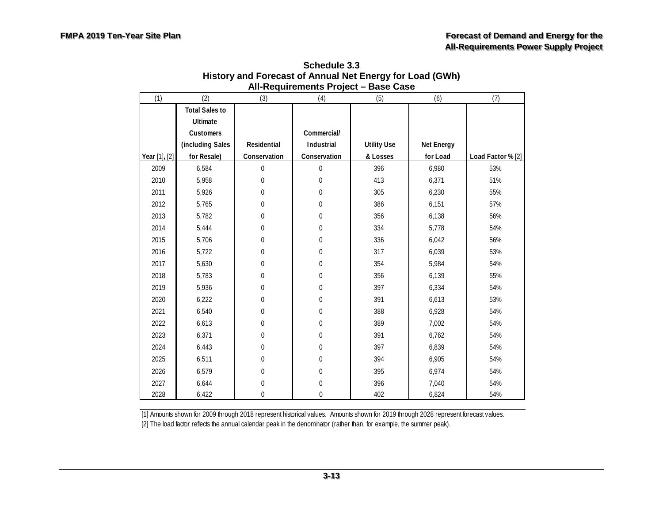<span id="page-36-0"></span>

| (1)           | (2)                   | (3)              | נטו ו שווטוושוואטו וורז<br>(4) | (5)                | (6)        | (7)               |
|---------------|-----------------------|------------------|--------------------------------|--------------------|------------|-------------------|
|               | <b>Total Sales to</b> |                  |                                |                    |            |                   |
|               | <b>Ultimate</b>       |                  |                                |                    |            |                   |
|               | Customers             |                  | Commercial/                    |                    |            |                   |
|               | (including Sales      | Residential      | Industrial                     | <b>Utility Use</b> | Net Energy |                   |
|               |                       | Conservation     |                                |                    | for Load   |                   |
| Year [1], [2] | for Resale)           |                  | Conservation                   | & Losses           |            | Load Factor % [2] |
| 2009          | 6,584                 | $\mathbf 0$      | $\mathbf 0$                    | 396                | 6,980      | 53%               |
| 2010          | 5,958                 | $\boldsymbol{0}$ | $\boldsymbol{0}$               | 413                | 6,371      | 51%               |
| 2011          | 5,926                 | $\mathbf 0$      | 0                              | 305                | 6,230      | 55%               |
| 2012          | 5,765                 | $\mathbf 0$      | 0                              | 386                | 6,151      | 57%               |
| 2013          | 5,782                 | $\mathbf{0}$     | 0                              | 356                | 6,138      | 56%               |
| 2014          | 5,444                 | $\mathbf 0$      | 0                              | 334                | 5,778      | 54%               |
| 2015          | 5,706                 | $\mathbf{0}$     | $\mathbf 0$                    | 336                | 6,042      | 56%               |
| 2016          | 5,722                 | $\mathbf{0}$     | $\theta$                       | 317                | 6,039      | 53%               |
| 2017          | 5,630                 | $\mathbf 0$      | $\mathbf 0$                    | 354                | 5,984      | 54%               |
| 2018          | 5,783                 | $\mathbf 0$      | $\mathbf 0$                    | 356                | 6,139      | 55%               |
| 2019          | 5,936                 | $\mathbf 0$      | $\mathbf 0$                    | 397                | 6,334      | 54%               |
| 2020          | 6,222                 | $\mathbf 0$      | $\mathbf 0$                    | 391                | 6,613      | 53%               |
| 2021          | 6,540                 | 0                | $\Omega$                       | 388                | 6,928      | 54%               |
| 2022          | 6,613                 | $\Omega$         | $\Omega$                       | 389                | 7,002      | 54%               |
| 2023          | 6,371                 | $\Omega$         | $\Omega$                       | 391                | 6,762      | 54%               |
| 2024          | 6,443                 | $\mathbf 0$      | $\mathbf 0$                    | 397                | 6,839      | 54%               |
| 2025          | 6,511                 | $\mathbf 0$      | $\mathbf 0$                    | 394                | 6,905      | 54%               |
| 2026          | 6,579                 | $\mathbf 0$      | $\mathbf 0$                    | 395                | 6,974      | 54%               |
| 2027          | 6,644                 | $\mathbf 0$      | $\mathbf 0$                    | 396                | 7,040      | 54%               |
| 2028          | 6,422                 | $\mathbf{0}$     | $\mathbf 0$                    | 402                | 6,824      | 54%               |

**Schedule 3.3 History and Forecast of Annual Net Energy for Load (GWh) All-Requirements Project – Base Case**

[2] The load factor reflects the annual calendar peak in the denominator (rather than, for example, the summer peak).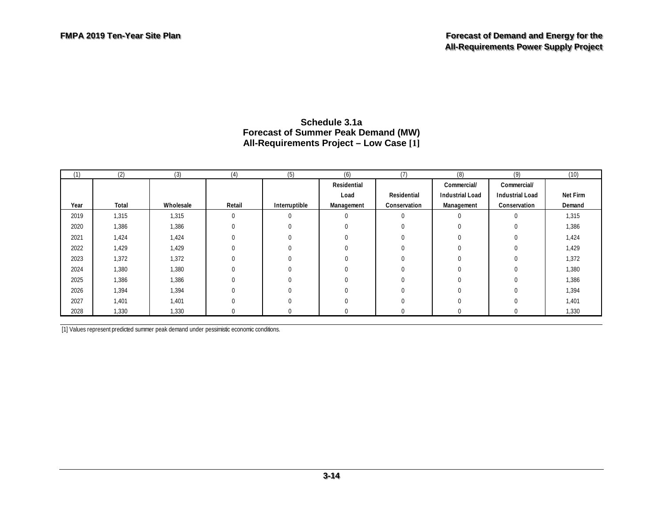| (1)  | (2)   | (3)       | (4)      | (5)           | (6)         | (7)          | (8)                    | (9)                    | (10)     |
|------|-------|-----------|----------|---------------|-------------|--------------|------------------------|------------------------|----------|
|      |       |           |          |               | Residential |              | Commercial/            | Commercial/            |          |
|      |       |           |          |               | Load        | Residential  | <b>Industrial Load</b> | <b>Industrial Load</b> | Net Firm |
| Year | Total | Wholesale | Retail   | Interruptible | Management  | Conservation | Management             | Conservation           | Demand   |
| 2019 | 1,315 | 1,315     | 0        | $\Omega$      | $\Omega$    | $\Omega$     | 0                      | $\mathbf 0$            | 1,315    |
| 2020 | 1,386 | 1,386     | 0        | $\Omega$      |             |              |                        | $\Omega$               | 1,386    |
| 2021 | 1,424 | 1,424     | $\Omega$ | 0             |             |              |                        | $\Omega$               | 1,424    |
| 2022 | 1,429 | 1,429     | $\Omega$ | $\Omega$      |             | $\Omega$     | 0                      | $\Omega$               | 1,429    |
| 2023 | 1,372 | 1,372     | $\Omega$ |               |             |              |                        | $\Omega$               | 1,372    |
| 2024 | 1,380 | 1,380     | $\Omega$ | $\Omega$      |             |              |                        | $\Omega$               | 1,380    |
| 2025 | 1,386 | 1,386     | 0        |               |             | $\Omega$     |                        | $\Omega$               | 1,386    |
| 2026 | 1,394 | 1,394     | $\Omega$ |               |             | $\Omega$     |                        | $\Omega$               | 1,394    |
| 2027 | 1,401 | 1,401     | $\Omega$ | $\Omega$      |             | $\Omega$     | 0                      | $\Omega$               | 1,401    |
| 2028 | 1,330 | 1,330     |          |               |             |              |                        |                        | 1,330    |

#### **Schedule 3.1a Forecast of Summer Peak Demand (MW) All-Requirements Project – Low Case [1]**

<span id="page-37-0"></span>[1] Values represent predicted summer peak demand under pessimistic economic conditions.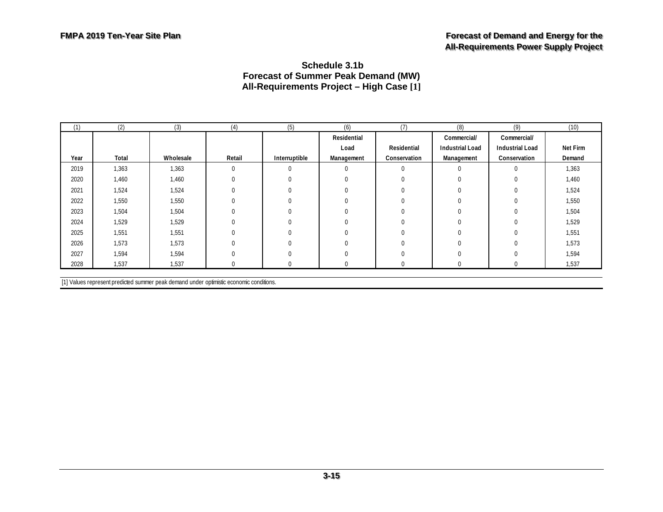#### <span id="page-38-0"></span>**Schedule 3.1b Forecast of Summer Peak Demand (MW) All-Requirements Project – High Case [1]**

| (1)  | (2)   | (3)       | (4)    | (5)           | (6)         | (7)          | (8)                    | (9)                    | (10)     |
|------|-------|-----------|--------|---------------|-------------|--------------|------------------------|------------------------|----------|
|      |       |           |        |               | Residential |              | Commercial/            | Commercial/            |          |
|      |       |           |        |               | Load        | Residential  | <b>Industrial Load</b> | <b>Industrial Load</b> | Net Firm |
| Year | Total | Wholesale | Retail | Interruptible | Management  | Conservation | Management             | Conservation           | Demand   |
| 2019 | 1,363 | 1,363     | 0      | 0             | $\Omega$    | $\Omega$     | $\Omega$               | $\Omega$               | 1,363    |
| 2020 | 1,460 | 1,460     |        |               | $\Omega$    | $\Omega$     | O                      | $\Omega$               | 1,460    |
| 2021 | 1,524 | 1,524     |        |               | $\Omega$    |              |                        |                        | 1,524    |
| 2022 | 1,550 | 1,550     |        |               | $\Omega$    |              |                        |                        | 1,550    |
| 2023 | 1,504 | 1,504     |        |               | $\Omega$    |              |                        |                        | 1,504    |
| 2024 | 1,529 | 1,529     |        |               | $\Omega$    |              |                        |                        | 1,529    |
| 2025 | 1,551 | 1,551     |        |               | $\Omega$    |              |                        |                        | 1,551    |
| 2026 | 1,573 | 1,573     |        |               | $\Omega$    |              |                        |                        | 1,573    |
| 2027 | 1,594 | 1,594     |        |               | $\Omega$    |              |                        |                        | 1,594    |
| 2028 | 1,537 | 1,537     |        |               | 0           |              |                        |                        | 1,537    |

[1] Values represent predicted summer peak demand under optimistic economic conditions.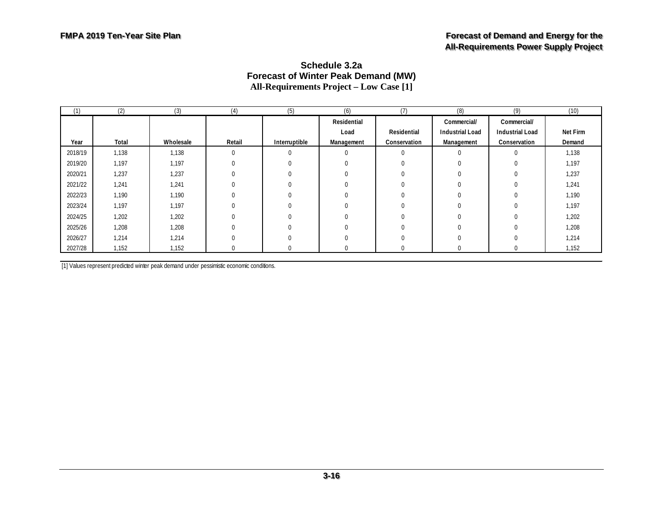| (1)     | (2)   | (3)       | (4)      | (5)           | (6)         | (7)          | (8)                    | (9)                    | (10)     |
|---------|-------|-----------|----------|---------------|-------------|--------------|------------------------|------------------------|----------|
|         |       |           |          |               | Residential |              | Commercial/            | Commercial/            |          |
|         |       |           |          |               | Load        | Residential  | <b>Industrial Load</b> | <b>Industrial Load</b> | Net Firm |
| Year    | Total | Wholesale | Retail   | Interruptible | Management  | Conservation | Management             | Conservation           | Demand   |
| 2018/19 | 1,138 | 1,138     | $\Omega$ | $\mathbf{0}$  | $\Omega$    | $\mathbf 0$  | $\Omega$               | $\Omega$               | 1,138    |
| 2019/20 | 1,197 | 1,197     |          | $\Omega$      |             | 0            |                        |                        | 1,197    |
| 2020/21 | 1,237 | 1,237     |          | 0             |             | $\Omega$     |                        |                        | 1,237    |
| 2021/22 | 1,241 | 1,241     |          | 0             |             | 0            |                        |                        | 1,241    |
| 2022/23 | 1,190 | 1,190     |          | $\Omega$      |             | 0            |                        |                        | 1,190    |
| 2023/24 | 1,197 | 1,197     |          | $\Omega$      |             | 0            |                        |                        | 1,197    |
| 2024/25 | 1,202 | 1,202     |          |               |             |              |                        |                        | 1,202    |
| 2025/26 | 1,208 | 1,208     |          | $\Omega$      |             | 0            | $\Omega$               |                        | 1,208    |
| 2026/27 | 1,214 | 1,214     |          | $\Omega$      |             | $\Omega$     | $\Omega$               |                        | 1,214    |
| 2027/28 | 1,152 | 1,152     |          |               |             | 0            |                        |                        | 1,152    |

#### **Schedule 3.2a Forecast of Winter Peak Demand (MW) All-Requirements Project – Low Case [1]**

<span id="page-39-0"></span>[1] Values represent predicted winter peak demand under pessimistic economic conditions.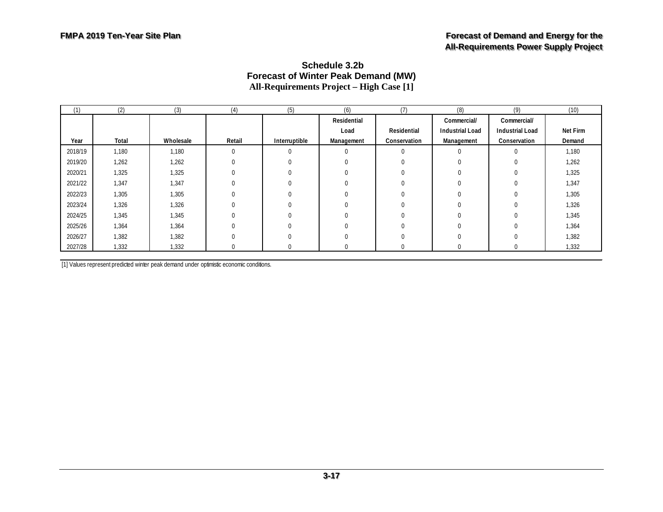#### <span id="page-40-0"></span>**Schedule 3.2b Forecast of Winter Peak Demand (MW) All-Requirements Project – High Case [1]**

| (1)     | (2)   | (3)       | (4)         | (5)           | (6)         | (7)          | (8)                    | (9)                    | (10)     |
|---------|-------|-----------|-------------|---------------|-------------|--------------|------------------------|------------------------|----------|
|         |       |           |             |               | Residential |              | Commercial/            | Commercial/            |          |
|         |       |           |             |               | Load        | Residential  | <b>Industrial Load</b> | <b>Industrial Load</b> | Net Firm |
| Year    | Total | Wholesale | Retail      | Interruptible | Management  | Conservation | Management             | Conservation           | Demand   |
| 2018/19 | 1,180 | 1,180     | $\mathbf 0$ | $\Omega$      |             | $\Omega$     | $\Omega$               | $\Omega$               | 1,180    |
| 2019/20 | 1,262 | 1,262     |             | $\Omega$      |             |              | $\Omega$               |                        | 1,262    |
| 2020/21 | 1,325 | 1,325     |             |               |             |              |                        |                        | 1,325    |
| 2021/22 | 1,347 | 1,347     |             |               |             |              |                        |                        | 1,347    |
| 2022/23 | 1,305 | 1,305     |             | 0             |             |              |                        |                        | 1,305    |
| 2023/24 | 1,326 | 1,326     |             |               |             |              |                        |                        | 1,326    |
| 2024/25 | 1,345 | 1,345     |             |               |             |              |                        |                        | 1,345    |
| 2025/26 | 1,364 | 1,364     |             |               |             |              |                        |                        | 1,364    |
| 2026/27 | 1,382 | 1,382     |             | $\Omega$      |             | 0            |                        |                        | 1,382    |
| 2027/28 | 1,332 | 1,332     |             |               |             |              |                        |                        | 1,332    |

[1] Values represent predicted winter peak demand under optimistic economic conditions.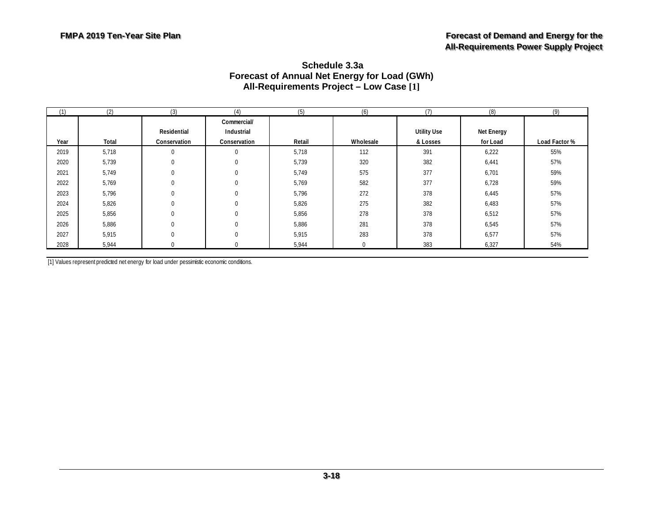<span id="page-41-0"></span>

| Schedule 3.3a                                       |
|-----------------------------------------------------|
| <b>Forecast of Annual Net Energy for Load (GWh)</b> |
| All-Requirements Project - Low Case [1]             |

| (1)  | (2)   | (3)                         | (4)                                       | (5)    | (6)       | (7)                            | (8)                    | (9)           |
|------|-------|-----------------------------|-------------------------------------------|--------|-----------|--------------------------------|------------------------|---------------|
| Year | Total | Residential<br>Conservation | Commercial/<br>Industrial<br>Conservation | Retail | Wholesale | <b>Utility Use</b><br>& Losses | Net Energy<br>for Load | Load Factor % |
| 2019 | 5,718 |                             | 0                                         | 5,718  | 112       | 391                            | 6,222                  | 55%           |
| 2020 | 5,739 |                             | 0                                         | 5,739  | 320       | 382                            | 6,441                  | 57%           |
| 2021 | 5,749 |                             | $\Omega$                                  | 5,749  | 575       | 377                            | 6,701                  | 59%           |
| 2022 | 5,769 |                             | 0                                         | 5,769  | 582       | 377                            | 6,728                  | 59%           |
| 2023 | 5,796 |                             | 0                                         | 5,796  | 272       | 378                            | 6,445                  | 57%           |
| 2024 | 5,826 |                             | $\Omega$                                  | 5,826  | 275       | 382                            | 6,483                  | 57%           |
| 2025 | 5,856 |                             | 0                                         | 5,856  | 278       | 378                            | 6,512                  | 57%           |
| 2026 | 5,886 |                             | 0                                         | 5,886  | 281       | 378                            | 6,545                  | 57%           |
| 2027 | 5,915 |                             | 0                                         | 5,915  | 283       | 378                            | 6,577                  | 57%           |
| 2028 | 5,944 |                             | 0                                         | 5,944  | 0         | 383                            | 6,327                  | 54%           |

[1] Values represent predicted net energy for load under pessimistic economic conditions.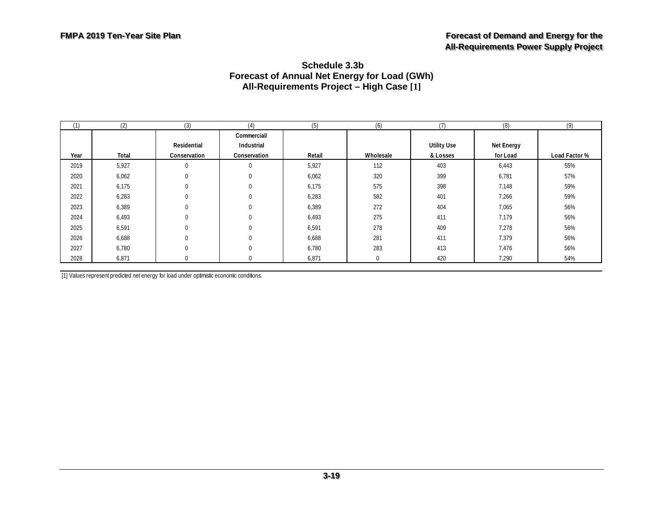#### <span id="page-42-0"></span>**Schedule 3.3b Forecast of Annual Net Energy for Load (GWh) All-Requirements Project – High Case [1]**

| (1)  | (2)   | (3)          | (4)          | (5)    | (6)       | (7)                | (8)        | (9)           |
|------|-------|--------------|--------------|--------|-----------|--------------------|------------|---------------|
|      |       |              | Commercial/  |        |           |                    |            |               |
|      |       | Residential  | Industrial   |        |           | <b>Utility Use</b> | Net Energy |               |
| Year | Total | Conservation | Conservation | Retail | Wholesale | & Losses           | for Load   | Load Factor % |
| 2019 | 5,927 |              | $\mathbf 0$  | 5,927  | 112       | 403                | 6,443      | 55%           |
| 2020 | 6,062 |              | $\mathbf 0$  | 6,062  | 320       | 399                | 6,781      | 57%           |
| 2021 | 6,175 |              | $\mathbf 0$  | 6,175  | 575       | 398                | 7,148      | 59%           |
| 2022 | 6,283 |              | $\mathbf 0$  | 6,283  | 582       | 401                | 7,266      | 59%           |
| 2023 | 6,389 |              | $\mathbf 0$  | 6,389  | 272       | 404                | 7,065      | 56%           |
| 2024 | 6,493 |              | $\mathbf 0$  | 6,493  | 275       | 411                | 7,179      | 56%           |
| 2025 | 6,591 |              | $\mathbf 0$  | 6,591  | 278       | 409                | 7,278      | 56%           |
| 2026 | 6,688 |              | $\mathbf 0$  | 6,688  | 281       | 411                | 7,379      | 56%           |
| 2027 | 6,780 | $\Omega$     | $\Omega$     | 6,780  | 283       | 413                | 7,476      | 56%           |
| 2028 | 6,871 |              | 0            | 6,871  | 0         | 420                | 7,290      | 54%           |

[1] Values represent predicted net energy for load under optimistic economic conditions.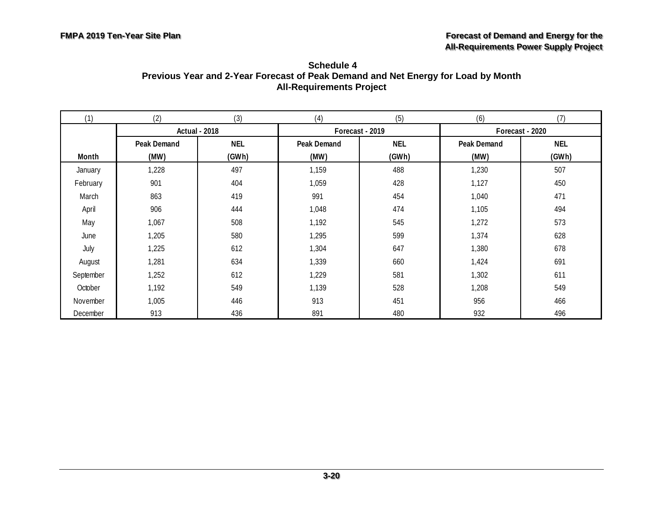<span id="page-43-0"></span>

| Schedule 4                                                                        |
|-----------------------------------------------------------------------------------|
| Previous Year and 2-Year Forecast of Peak Demand and Net Energy for Load by Month |
| <b>All-Requirements Project</b>                                                   |

| (1)       | (2)                  | (3)        | (4)         | (5)             | (6)             | (7)        |  |
|-----------|----------------------|------------|-------------|-----------------|-----------------|------------|--|
|           | <b>Actual - 2018</b> |            |             | Forecast - 2019 | Forecast - 2020 |            |  |
|           | Peak Demand          | <b>NEL</b> | Peak Demand | NEL             | Peak Demand     | <b>NEL</b> |  |
| Month     | (MW)                 | (GWh)      | (MW)        | (GWh)           | (MW)            | (GWh)      |  |
| January   | 1,228                | 497        | 1,159       | 488             | 1,230           | 507        |  |
| February  | 901                  | 404        | 1,059       | 428             | 1,127           | 450        |  |
| March     | 863                  | 419        | 991         | 454             | 1,040           | 471        |  |
| April     | 906                  | 444        | 1,048       | 474             | 1,105           | 494        |  |
| May       | 1,067                | 508        | 1,192       | 545             | 1,272           | 573        |  |
| June      | 1,205                | 580        | 1,295       | 599             | 1,374           | 628        |  |
| July      | 1,225                | 612        | 1,304       | 647             | 1,380           | 678        |  |
| August    | 1,281                | 634        | 1,339       | 660             | 1,424           | 691        |  |
| September | 1,252                | 612        | 1,229       | 581             | 1,302           | 611        |  |
| October   | 1,192                | 549        | 1,139       | 528             | 1,208           | 549        |  |
| November  | 1,005                | 446        | 913         | 451             | 956             | 466        |  |
| December  | 913                  | 436        | 891         | 480             | 932             | 496        |  |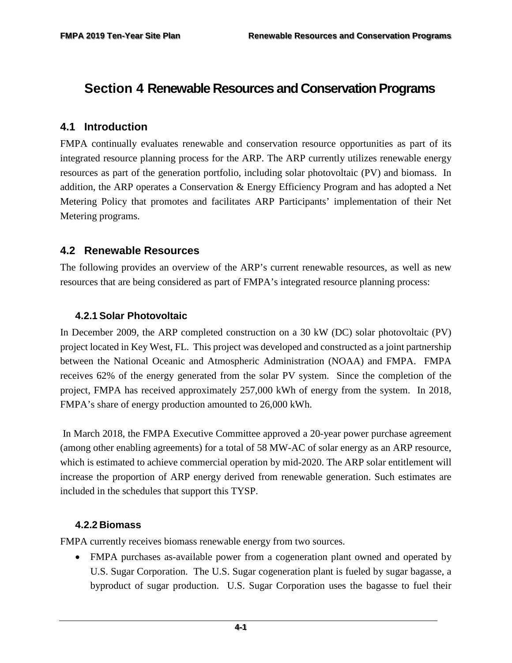# <span id="page-44-0"></span>**Section 4 Renewable Resources and Conservation Programs**

#### <span id="page-44-1"></span>**4.1 Introduction**

FMPA continually evaluates renewable and conservation resource opportunities as part of its integrated resource planning process for the ARP. The ARP currently utilizes renewable energy resources as part of the generation portfolio, including solar photovoltaic (PV) and biomass. In addition, the ARP operates a Conservation & Energy Efficiency Program and has adopted a Net Metering Policy that promotes and facilitates ARP Participants' implementation of their Net Metering programs.

#### <span id="page-44-2"></span>**4.2 Renewable Resources**

The following provides an overview of the ARP's current renewable resources, as well as new resources that are being considered as part of FMPA's integrated resource planning process:

#### <span id="page-44-3"></span>**4.2.1 Solar Photovoltaic**

In December 2009, the ARP completed construction on a 30 kW (DC) solar photovoltaic (PV) project located in Key West, FL. This project was developed and constructed as a joint partnership between the National Oceanic and Atmospheric Administration (NOAA) and FMPA. FMPA receives 62% of the energy generated from the solar PV system. Since the completion of the project, FMPA has received approximately 257,000 kWh of energy from the system. In 2018, FMPA's share of energy production amounted to 26,000 kWh.

In March 2018, the FMPA Executive Committee approved a 20-year power purchase agreement (among other enabling agreements) for a total of 58 MW-AC of solar energy as an ARP resource, which is estimated to achieve commercial operation by mid-2020. The ARP solar entitlement will increase the proportion of ARP energy derived from renewable generation. Such estimates are included in the schedules that support this TYSP.

#### <span id="page-44-4"></span>**4.2.2 Biomass**

FMPA currently receives biomass renewable energy from two sources.

• FMPA purchases as-available power from a cogeneration plant owned and operated by U.S. Sugar Corporation. The U.S. Sugar cogeneration plant is fueled by sugar bagasse, a byproduct of sugar production. U.S. Sugar Corporation uses the bagasse to fuel their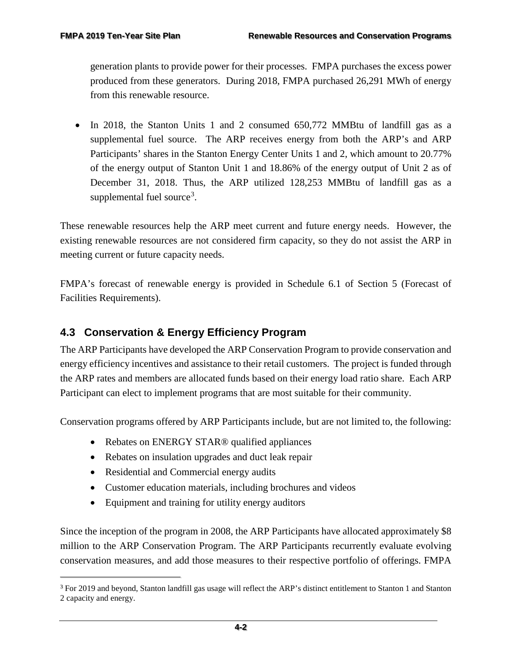generation plants to provide power for their processes. FMPA purchases the excess power produced from these generators. During 2018, FMPA purchased 26,291 MWh of energy from this renewable resource.

• In 2018, the Stanton Units 1 and 2 consumed 650,772 MMBtu of landfill gas as a supplemental fuel source. The ARP receives energy from both the ARP's and ARP Participants' shares in the Stanton Energy Center Units 1 and 2, which amount to 20.77% of the energy output of Stanton Unit 1 and 18.86% of the energy output of Unit 2 as of December 31, 2018. Thus, the ARP utilized 128,253 MMBtu of landfill gas as a supplemental fuel source<sup>[3](#page-45-1)</sup>.

These renewable resources help the ARP meet current and future energy needs. However, the existing renewable resources are not considered firm capacity, so they do not assist the ARP in meeting current or future capacity needs.

FMPA's forecast of renewable energy is provided in Schedule 6.1 of Section 5 (Forecast of Facilities Requirements).

### <span id="page-45-0"></span>**4.3 Conservation & Energy Efficiency Program**

The ARP Participants have developed the ARP Conservation Program to provide conservation and energy efficiency incentives and assistance to their retail customers. The project is funded through the ARP rates and members are allocated funds based on their energy load ratio share. Each ARP Participant can elect to implement programs that are most suitable for their community.

Conservation programs offered by ARP Participants include, but are not limited to, the following:

- Rebates on ENERGY STAR® qualified appliances
- Rebates on insulation upgrades and duct leak repair
- Residential and Commercial energy audits

f

- Customer education materials, including brochures and videos
- Equipment and training for utility energy auditors

Since the inception of the program in 2008, the ARP Participants have allocated approximately \$8 million to the ARP Conservation Program. The ARP Participants recurrently evaluate evolving conservation measures, and add those measures to their respective portfolio of offerings. FMPA

<span id="page-45-1"></span><sup>3</sup> For 2019 and beyond, Stanton landfill gas usage will reflect the ARP's distinct entitlement to Stanton 1 and Stanton 2 capacity and energy.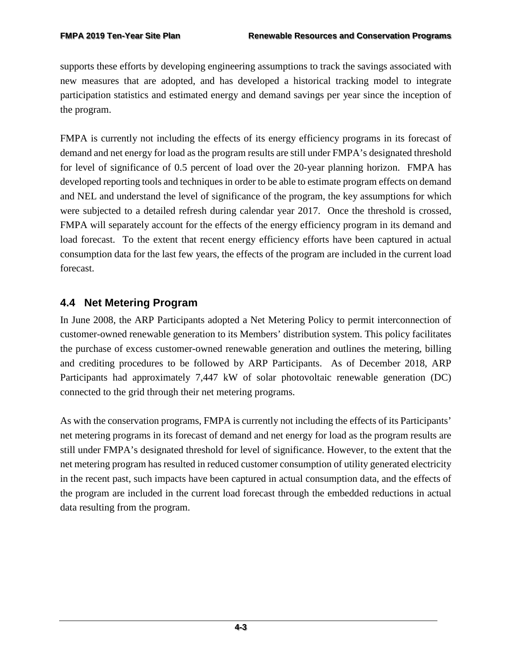supports these efforts by developing engineering assumptions to track the savings associated with new measures that are adopted, and has developed a historical tracking model to integrate participation statistics and estimated energy and demand savings per year since the inception of the program.

FMPA is currently not including the effects of its energy efficiency programs in its forecast of demand and net energy for load as the program results are still under FMPA's designated threshold for level of significance of 0.5 percent of load over the 20-year planning horizon. FMPA has developed reporting tools and techniques in order to be able to estimate program effects on demand and NEL and understand the level of significance of the program, the key assumptions for which were subjected to a detailed refresh during calendar year 2017. Once the threshold is crossed, FMPA will separately account for the effects of the energy efficiency program in its demand and load forecast. To the extent that recent energy efficiency efforts have been captured in actual consumption data for the last few years, the effects of the program are included in the current load forecast.

# <span id="page-46-0"></span>**4.4 Net Metering Program**

In June 2008, the ARP Participants adopted a Net Metering Policy to permit interconnection of customer-owned renewable generation to its Members' distribution system. This policy facilitates the purchase of excess customer-owned renewable generation and outlines the metering, billing and crediting procedures to be followed by ARP Participants. As of December 2018, ARP Participants had approximately 7,447 kW of solar photovoltaic renewable generation (DC) connected to the grid through their net metering programs.

As with the conservation programs, FMPA is currently not including the effects of its Participants' net metering programs in its forecast of demand and net energy for load as the program results are still under FMPA's designated threshold for level of significance. However, to the extent that the net metering program has resulted in reduced customer consumption of utility generated electricity in the recent past, such impacts have been captured in actual consumption data, and the effects of the program are included in the current load forecast through the embedded reductions in actual data resulting from the program.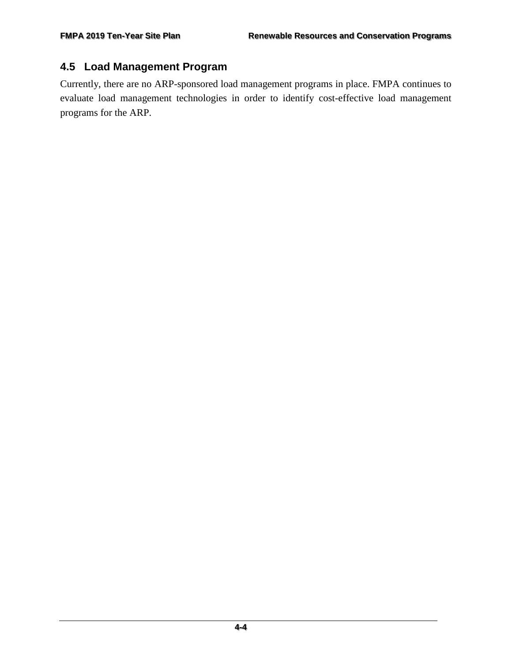## <span id="page-47-0"></span>**4.5 Load Management Program**

Currently, there are no ARP-sponsored load management programs in place. FMPA continues to evaluate load management technologies in order to identify cost-effective load management programs for the ARP.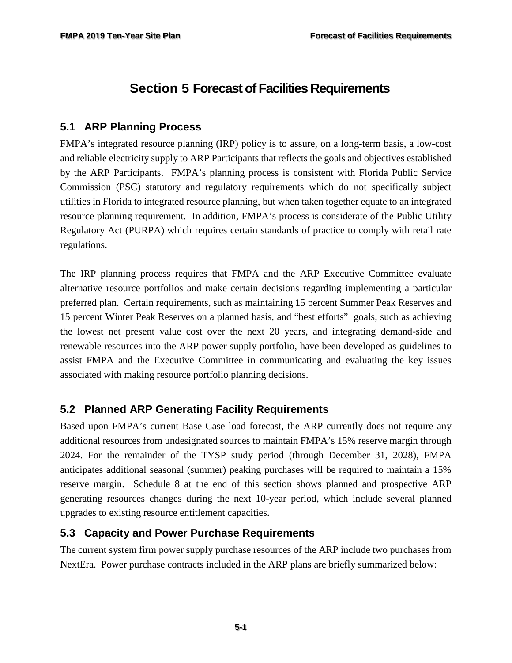# <span id="page-48-0"></span>**Section 5 Forecast of Facilities Requirements**

## <span id="page-48-1"></span>**5.1 ARP Planning Process**

FMPA's integrated resource planning (IRP) policy is to assure, on a long-term basis, a low-cost and reliable electricity supply to ARP Participants that reflects the goals and objectives established by the ARP Participants. FMPA's planning process is consistent with Florida Public Service Commission (PSC) statutory and regulatory requirements which do not specifically subject utilities in Florida to integrated resource planning, but when taken together equate to an integrated resource planning requirement. In addition, FMPA's process is considerate of the Public Utility Regulatory Act (PURPA) which requires certain standards of practice to comply with retail rate regulations.

The IRP planning process requires that FMPA and the ARP Executive Committee evaluate alternative resource portfolios and make certain decisions regarding implementing a particular preferred plan. Certain requirements, such as maintaining 15 percent Summer Peak Reserves and 15 percent Winter Peak Reserves on a planned basis, and "best efforts" goals, such as achieving the lowest net present value cost over the next 20 years, and integrating demand-side and renewable resources into the ARP power supply portfolio, have been developed as guidelines to assist FMPA and the Executive Committee in communicating and evaluating the key issues associated with making resource portfolio planning decisions.

## <span id="page-48-2"></span>**5.2 Planned ARP Generating Facility Requirements**

Based upon FMPA's current Base Case load forecast, the ARP currently does not require any additional resources from undesignated sources to maintain FMPA's 15% reserve margin through 2024. For the remainder of the TYSP study period (through December 31, 2028), FMPA anticipates additional seasonal (summer) peaking purchases will be required to maintain a 15% reserve margin. Schedule 8 at the end of this section shows planned and prospective ARP generating resources changes during the next 10-year period, which include several planned upgrades to existing resource entitlement capacities.

### <span id="page-48-3"></span>**5.3 Capacity and Power Purchase Requirements**

The current system firm power supply purchase resources of the ARP include two purchases from NextEra. Power purchase contracts included in the ARP plans are briefly summarized below: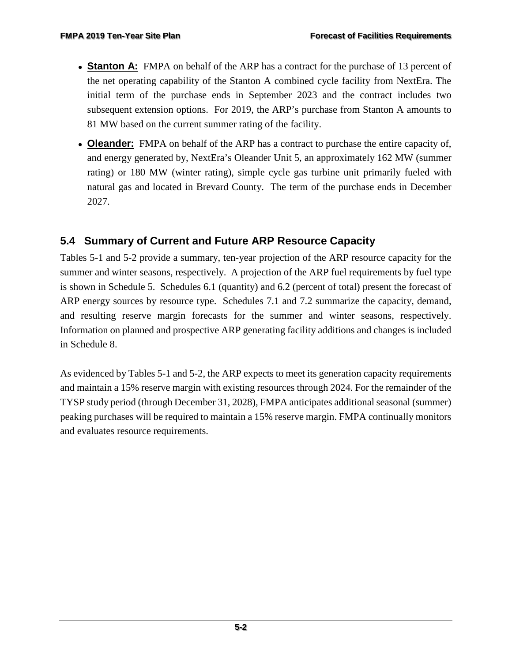- **Stanton A:** FMPA on behalf of the ARP has a contract for the purchase of 13 percent of the net operating capability of the Stanton A combined cycle facility from NextEra. The initial term of the purchase ends in September 2023 and the contract includes two subsequent extension options. For 2019, the ARP's purchase from Stanton A amounts to 81 MW based on the current summer rating of the facility.
- **Oleander:** FMPA on behalf of the ARP has a contract to purchase the entire capacity of, and energy generated by, NextEra's Oleander Unit 5, an approximately 162 MW (summer rating) or 180 MW (winter rating), simple cycle gas turbine unit primarily fueled with natural gas and located in Brevard County. The term of the purchase ends in December 2027.

# <span id="page-49-0"></span>**5.4 Summary of Current and Future ARP Resource Capacity**

Tables 5-1 and 5-2 provide a summary, ten-year projection of the ARP resource capacity for the summer and winter seasons, respectively. A projection of the ARP fuel requirements by fuel type is shown in Schedule 5. Schedules 6.1 (quantity) and 6.2 (percent of total) present the forecast of ARP energy sources by resource type. Schedules 7.1 and 7.2 summarize the capacity, demand, and resulting reserve margin forecasts for the summer and winter seasons, respectively. Information on planned and prospective ARP generating facility additions and changes is included in Schedule 8.

As evidenced by Tables 5-1 and 5-2, the ARP expects to meet its generation capacity requirements and maintain a 15% reserve margin with existing resources through 2024. For the remainder of the TYSP study period (through December 31, 2028), FMPA anticipates additional seasonal (summer) peaking purchases will be required to maintain a 15% reserve margin. FMPA continually monitors and evaluates resource requirements.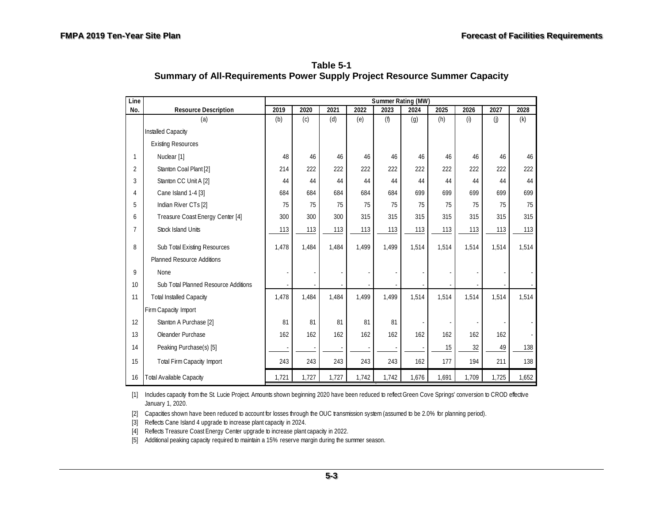| Table 5-1                                                                        |
|----------------------------------------------------------------------------------|
| <b>Summary of All-Requirements Power Supply Project Resource Summer Capacity</b> |

<span id="page-50-0"></span>

| Line           |                                      | Summer Rating (MW) |       |       |       |       |       |       |       |       |       |
|----------------|--------------------------------------|--------------------|-------|-------|-------|-------|-------|-------|-------|-------|-------|
| No.            | <b>Resource Description</b>          | 2019               | 2020  | 2021  | 2022  | 2023  | 2024  | 2025  | 2026  | 2027  | 2028  |
|                | (a)                                  | (b)                | (c)   | (d)   | (e)   | (f)   | (g)   | (h)   | (i)   | (j)   | (k)   |
|                | Installed Capacity                   |                    |       |       |       |       |       |       |       |       |       |
|                | <b>Existing Resources</b>            |                    |       |       |       |       |       |       |       |       |       |
| 1              | Nuclear [1]                          | 48                 | 46    | 46    | 46    | 46    | 46    | 46    | 46    | 46    | 46    |
| 2              | Stanton Coal Plant [2]               | 214                | 222   | 222   | 222   | 222   | 222   | 222   | 222   | 222   | 222   |
| 3              | Stanton CC Unit A [2]                | 44                 | 44    | 44    | 44    | 44    | 44    | 44    | 44    | 44    | 44    |
| 4              | Cane Island 1-4 [3]                  | 684                | 684   | 684   | 684   | 684   | 699   | 699   | 699   | 699   | 699   |
| 5              | Indian River CTs [2]                 | 75                 | 75    | 75    | 75    | 75    | 75    | 75    | 75    | 75    | 75    |
| 6              | Treasure Coast Energy Center [4]     | 300                | 300   | 300   | 315   | 315   | 315   | 315   | 315   | 315   | 315   |
| $\overline{7}$ | <b>Stock Island Units</b>            | 113                | 113   | 113   | 113   | 113   | 113   | 113   | 113   | 113   | 113   |
| 8              | Sub Total Existing Resources         | 1,478              | 1,484 | 1,484 | 1,499 | 1,499 | 1,514 | 1,514 | 1,514 | 1,514 | 1,514 |
|                | <b>Planned Resource Additions</b>    |                    |       |       |       |       |       |       |       |       |       |
| 9              | None                                 |                    |       |       |       |       |       |       |       |       |       |
| 10             | Sub Total Planned Resource Additions |                    |       |       |       |       |       |       |       |       |       |
| 11             | <b>Total Installed Capacity</b>      | 1,478              | 1,484 | 1,484 | 1,499 | 1,499 | 1,514 | 1,514 | 1,514 | 1,514 | 1,514 |
|                | Firm Capacity Import                 |                    |       |       |       |       |       |       |       |       |       |
| 12             | Stanton A Purchase [2]               | 81                 | 81    | 81    | 81    | 81    |       |       |       |       |       |
| 13             | Oleander Purchase                    | 162                | 162   | 162   | 162   | 162   | 162   | 162   | 162   | 162   |       |
| 14             | Peaking Purchase(s) [5]              |                    |       |       |       |       |       | 15    | 32    | 49    | 138   |
| 15             | <b>Total Firm Capacity Import</b>    | 243                | 243   | 243   | 243   | 243   | 162   | 177   | 194   | 211   | 138   |
| 16             | <b>Total Available Capacity</b>      | 1,721              | 1,727 | 1,727 | 1,742 | 1,742 | 1,676 | 1,691 | 1,709 | 1,725 | 1,652 |

[1] Includes capacity from the St. Lucie Project. Amounts shown beginning 2020 have been reduced to reflect Green Cove Springs' conversion to CROD effective January 1, 2020.

[2] Capacities shown have been reduced to account for losses through the OUC transmission system (assumed to be 2.0% for planning period).

[3] Reflects Cane Island 4 upgrade to increase plant capacity in 2024.

[4] Reflects Treasure Coast Energy Center upgrade to increase plant capacity in 2022.

[5] Additional peaking capacity required to maintain a 15% reserve margin during the summer season.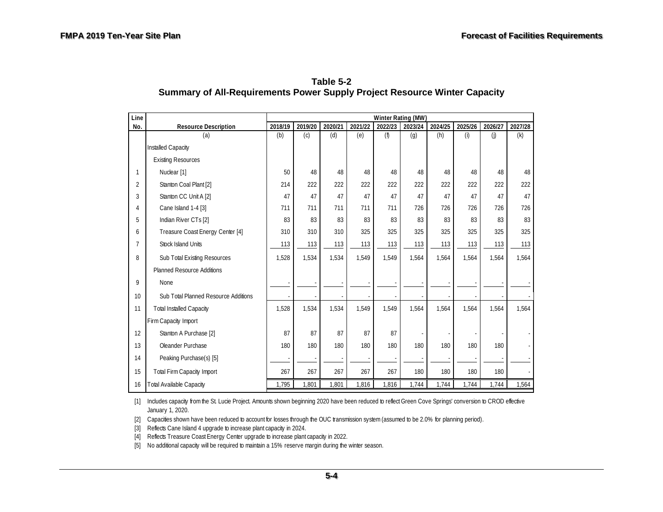<span id="page-51-0"></span>

| Line           |                                      | Winter Rating (MW) |         |         |         |         |         |         |         |         |         |
|----------------|--------------------------------------|--------------------|---------|---------|---------|---------|---------|---------|---------|---------|---------|
| No.            | <b>Resource Description</b>          | 2018/19            | 2019/20 | 2020/21 | 2021/22 | 2022/23 | 2023/24 | 2024/25 | 2025/26 | 2026/27 | 2027/28 |
|                | (a)                                  | (b)                | (c)     | (d)     | (e)     | (f)     | (g)     | (h)     | (i)     | (i)     | (k)     |
|                | Installed Capacity                   |                    |         |         |         |         |         |         |         |         |         |
|                | <b>Existing Resources</b>            |                    |         |         |         |         |         |         |         |         |         |
|                | Nuclear [1]                          | 50                 | 48      | 48      | 48      | 48      | 48      | 48      | 48      | 48      | 48      |
| $\overline{2}$ | Stanton Coal Plant [2]               | 214                | 222     | 222     | 222     | 222     | 222     | 222     | 222     | 222     | 222     |
| 3              | Stanton CC Unit A [2]                | 47                 | 47      | 47      | 47      | 47      | 47      | 47      | 47      | 47      | 47      |
| 4              | Cane Island 1-4 [3]                  | 711                | 711     | 711     | 711     | 711     | 726     | 726     | 726     | 726     | 726     |
| 5              | Indian River CTs [2]                 | 83                 | 83      | 83      | 83      | 83      | 83      | 83      | 83      | 83      | 83      |
| 6              | Treasure Coast Energy Center [4]     | 310                | 310     | 310     | 325     | 325     | 325     | 325     | 325     | 325     | 325     |
| $\overline{7}$ | <b>Stock Island Units</b>            | 113                | 113     | 113     | 113     | 113     | 113     | 113     | 113     | 113     | 113     |
| 8              | Sub Total Existing Resources         | 1,528              | 1,534   | 1,534   | 1,549   | 1.549   | 1,564   | 1,564   | 1,564   | 1,564   | 1,564   |
|                | <b>Planned Resource Additions</b>    |                    |         |         |         |         |         |         |         |         |         |
| 9              | None                                 |                    |         |         |         |         |         |         |         |         |         |
| 10             | Sub Total Planned Resource Additions |                    |         |         |         |         |         |         |         |         |         |
| 11             | <b>Total Installed Capacity</b>      | 1,528              | 1,534   | 1,534   | 1,549   | 1.549   | 1,564   | 1.564   | 1,564   | 1,564   | 1,564   |
|                | Firm Capacity Import                 |                    |         |         |         |         |         |         |         |         |         |
| 12             | Stanton A Purchase [2]               | 87                 | 87      | 87      | 87      | 87      |         |         |         |         |         |
| 13             | Oleander Purchase                    | 180                | 180     | 180     | 180     | 180     | 180     | 180     | 180     | 180     |         |
| 14             | Peaking Purchase(s) [5]              |                    |         |         |         |         |         |         |         |         |         |
| 15             | <b>Total Firm Capacity Import</b>    | 267                | 267     | 267     | 267     | 267     | 180     | 180     | 180     | 180     |         |
| 16             | <b>Total Available Capacity</b>      | 1,795              | 1,801   | 1,801   | 1,816   | 1,816   | 1,744   | 1,744   | 1,744   | 1,744   | 1,564   |

| Table 5-2                                                                        |
|----------------------------------------------------------------------------------|
| <b>Summary of All-Requirements Power Supply Project Resource Winter Capacity</b> |

[1] Includes capacity from the St. Lucie Project. Amounts shown beginning 2020 have been reduced to reflect Green Cove Springs' conversion to CROD effective January 1, 2020.

[2] Capacities shown have been reduced to account for losses through the OUC transmission system (assumed to be 2.0% for planning period).

[3] Reflects Cane Island 4 upgrade to increase plant capacity in 2024.

[4] Reflects Treasure Coast Energy Center upgrade to increase plant capacity in 2022.

[5] No additional capacity will be required to maintain a 15% reserve margin during the winter season.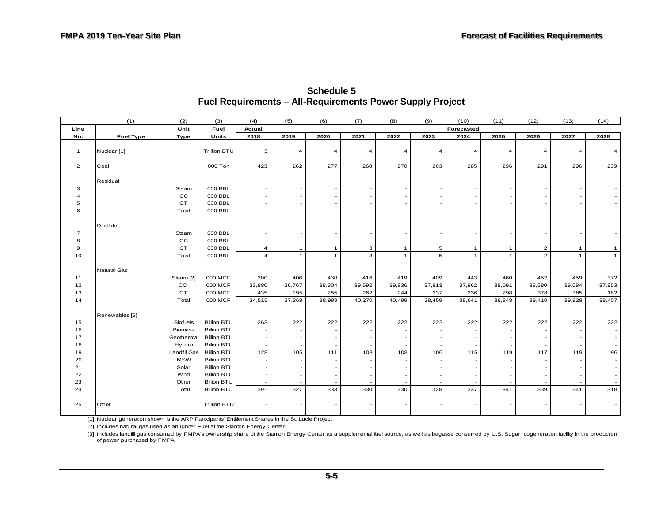<span id="page-52-0"></span>

|                | (1)              | (2)             | (3)                | (4)            | (5)            | (6)            | (7)            | (8)            | (9)                      | (10)           | (11)           | (12)           | (13)           | (14)         |
|----------------|------------------|-----------------|--------------------|----------------|----------------|----------------|----------------|----------------|--------------------------|----------------|----------------|----------------|----------------|--------------|
| Line           |                  | Unit            | Fuel               | Actual         |                |                |                |                |                          | Forecasted     |                |                |                |              |
| No.            | <b>Fuel Type</b> | Type            | Units              | 2018           | 2019           | 2020           | 2021           | 2022           | 2023                     | 2024           | 2025           | 2026           | 2027           | 2028         |
| $\mathbf{1}$   | Nuclear [1]      |                 | Trillion BTU       | 3              | $\overline{4}$ | $\overline{4}$ | $\overline{4}$ | $\overline{A}$ | $\overline{4}$           | $\overline{4}$ | $\overline{4}$ | 4              | $\overline{4}$ | 4            |
| $\overline{2}$ | Coal             |                 | 000 Ton            | 423            | 262            | 277            | 268            | 270            | 263                      | 285            | 296            | 291            | 296            | 239          |
|                | Residual         |                 |                    |                |                |                |                |                |                          |                |                |                |                |              |
| 3              |                  | Steam           | 000 BBL            |                |                |                |                |                |                          |                |                |                |                |              |
| $\overline{4}$ |                  | $_{\rm CC}$     | 000 BBL            |                |                |                |                |                |                          |                |                |                |                |              |
| 5              |                  | $C$ T           | 000 BBL            |                |                |                |                |                | $\overline{\phantom{a}}$ |                | $\sim$         |                |                |              |
| 6              |                  | Total           | 000 BBL            |                |                |                |                |                | $\overline{\phantom{a}}$ |                |                |                |                |              |
|                | Distillate       |                 |                    |                |                |                |                |                |                          |                |                |                |                |              |
| $\overline{7}$ |                  | Steam           | 000 BBL            |                |                |                |                |                |                          |                |                |                |                |              |
| 8              |                  | CC              | 000 BBL            |                |                |                |                |                |                          |                |                |                |                |              |
| 9              |                  | CT              | 000 BBL            | $\overline{4}$ | $\mathbf{1}$   | $\mathbf{1}$   | 3              | $\mathbf{1}$   | 5                        | $\mathbf{1}$   | $\mathbf{1}$   | $\overline{2}$ | $\mathbf{1}$   | $\mathbf{1}$ |
| 10             |                  | Total           | 000 BBL            | $\overline{4}$ | $\mathbf{1}$   | $\mathbf{1}$   | $\overline{3}$ | $\mathbf{1}$   | 5                        | $\overline{1}$ | $\mathbf{1}$   | $\overline{2}$ | $\mathbf{1}$   | $\mathbf{1}$ |
|                | Natural Gas      |                 |                    |                |                |                |                |                |                          |                |                |                |                |              |
| 11             |                  | Steam [2]       | 000 MCF            | 200            | 406            | 430            | 416            | 419            | 409                      | 443            | 460            | 452            | 459            | 372          |
| 12             |                  | $_{\rm CC}$     | 000 MCF            | 33,880         | 36,767         | 38,304         | 39,592         | 39,836         | 37,813                   | 37,962         | 38,091         | 38,580         | 39,084         | 37,853       |
| 13             |                  | <b>CT</b>       | 000 MCF            | 435            | 195            | 255            | 262            | 244            | 237                      | 236            | 298            | 378            | 385            | 182          |
| 14             |                  | Total           | 000 MCF            | 34,515         | 37,368         | 38,989         | 40,270         | 40,499         | 38,459                   | 38,641         | 38,848         | 39,410         | 39,928         | 38,407       |
|                | Renewables [3]   |                 |                    |                |                |                |                |                |                          |                |                |                |                |              |
| 15             |                  | <b>Biofuels</b> | <b>Billion BTU</b> | 263            | 222            | 222            | 222            | 222            | 222                      | 222            | 222            | 222            | 222            | 222          |
| 16             |                  | <b>Biomass</b>  | <b>Billion BTU</b> |                |                |                |                |                | $\overline{\phantom{a}}$ |                |                |                |                |              |
| 17             |                  | Geothermal      | <b>Billion BTU</b> |                |                |                |                |                | $\overline{\phantom{a}}$ |                |                |                |                |              |
| 18             |                  | Hyrdro          | <b>Billion BTU</b> |                |                |                |                |                |                          |                |                |                |                |              |
| 19             |                  | Landfill Gas    | <b>Billion BTU</b> | 128            | 105            | 111            | 108            | 108            | 106                      | 115            | 119            | 117            | 119            | 96           |
| 20             |                  | <b>MSW</b>      | <b>Billion BTU</b> |                |                |                |                |                |                          |                |                |                |                |              |
| 21             |                  | Solar           | <b>Billion BTU</b> |                |                |                |                |                |                          |                |                |                |                |              |
| 22             |                  | Wind            | <b>Billion BTU</b> |                |                |                |                |                | $\sim$                   |                |                |                |                |              |
| 23             |                  | Other           | <b>Billion BTU</b> |                |                |                |                |                | $\sim$                   |                |                |                |                |              |
| 24             |                  | Total           | <b>Billion BTU</b> | 391            | 327            | 333            | 330            | 330            | 328                      | 337            | 341            | 339            | 341            | 318          |
| 25             | Other            |                 | Trillion BTU       |                |                |                |                |                |                          |                |                |                |                |              |

**Schedule 5 Fuel Requirements – All-Requirements Power Supply Project** 

[1] Nuclear generation shown is the ARP Participants' Entitlement Shares in the St. Lucie Project.

[2] Includes natural gas used as an Igniter Fuel at the Stanton Energy Center.

[3] Includes landfill gas consumed by FMPA's ownership share of the Stanton Energy Center as a supplemental fuel source, as well as bagasse consumed by U.S. Sugar cogeneration facility in the production of power purchased by FMPA.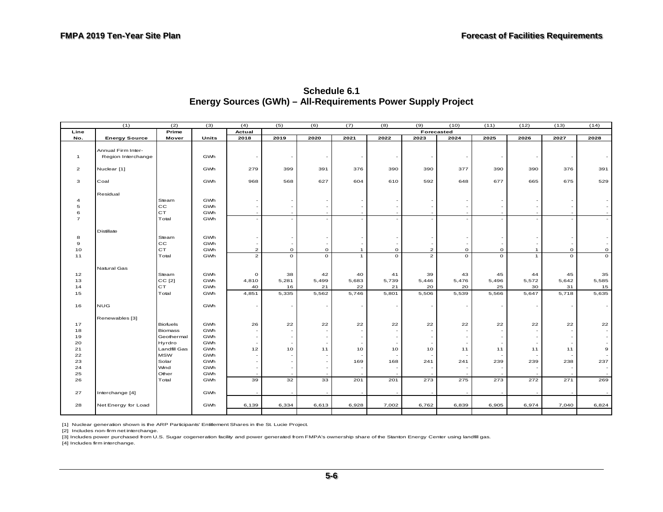<span id="page-53-0"></span>

|                           | (1)                  | (2)             | (3)          | (4)                      | (5)         | (6)                      | (7)          | (8)                      | (9)                     | (10)                     | (11)        | (12)                     | (13)    | (14)        |
|---------------------------|----------------------|-----------------|--------------|--------------------------|-------------|--------------------------|--------------|--------------------------|-------------------------|--------------------------|-------------|--------------------------|---------|-------------|
| Line                      |                      | Prime           |              | Actual                   |             |                          |              |                          | Forecasted              |                          |             |                          |         |             |
| No.                       | <b>Energy Source</b> | Mover           | <b>Units</b> | 2018                     | 2019        | 2020                     | 2021         | 2022                     | 2023                    | 2024                     | 2025        | 2026                     | 2027    | 2028        |
|                           |                      |                 |              |                          |             |                          |              |                          |                         |                          |             |                          |         |             |
|                           | Annual Firm Inter-   |                 |              |                          |             |                          |              |                          |                         |                          |             |                          |         |             |
| $\mathbf{1}$              | Region Interchange   |                 | GWh          | $\sim$                   |             | $\sim$                   |              | $\overline{\phantom{a}}$ |                         | $\overline{\phantom{a}}$ |             | $\overline{\phantom{a}}$ |         |             |
|                           |                      |                 |              |                          |             |                          |              |                          |                         |                          |             |                          |         |             |
| $\overline{\mathbf{c}}$   | Nuclear [1]          |                 | GWh          | 279                      | 399         | 391                      | 376          | 390                      | 390                     | 377                      | 390         | 390                      | 376     | 391         |
| $\overline{\mathbf{3}}$   |                      |                 |              |                          |             |                          |              |                          |                         |                          | 677         |                          |         |             |
|                           | Coal                 |                 | GWh          | 968                      | 568         | 627                      | 604          | 610                      | 592                     | 648                      |             | 665                      | 675     | 529         |
|                           | Residual             |                 |              |                          |             |                          |              |                          |                         |                          |             |                          |         |             |
| $\ensuremath{\mathsf{4}}$ |                      | Steam           | GWh          |                          |             |                          |              |                          |                         |                          |             |                          |         |             |
| $\mathbf 5$               |                      | $_{\rm CC}$     | GWh          | $\sim$                   |             | $\sim$                   |              |                          |                         |                          |             |                          |         |             |
| 6                         |                      | CT              | GWh          | $\sim$                   |             |                          |              |                          |                         |                          |             |                          |         |             |
| $\overline{7}$            |                      | Total           | GWh          | $\overline{\phantom{a}}$ |             |                          |              |                          |                         |                          |             |                          |         |             |
|                           |                      |                 |              |                          |             |                          |              |                          |                         |                          |             |                          |         |             |
|                           | Distillate           |                 |              |                          |             |                          |              |                          |                         |                          |             |                          |         |             |
| $^{\rm 8}$                |                      | Steam           | GWh          | $\sim$                   |             | $\sim$                   |              |                          |                         |                          |             |                          |         |             |
| $\mathbf{9}$              |                      | cc              | GWh          |                          |             | $\sim$                   |              |                          |                         | $\overline{\phantom{a}}$ |             |                          |         |             |
| 10                        |                      | CT              | GWh          | $\overline{a}$           | $\mathbf O$ | $\mathsf O$              | $\mathbf{1}$ | $\circ$                  | $\overline{\mathbf{c}}$ | $\mathsf O$              | $\mathbf O$ | $\mathbf{1}$             | $\circ$ | $\mathbf O$ |
| 11                        |                      | Total           | GWh          | $\overline{2}$           | $\circ$     | $\circ$                  | $\mathbf{1}$ | $\circ$                  | $\overline{2}$          | $\circ$                  | $\circ$     | $\mathbf{1}$             | $\circ$ | $\circ$     |
|                           |                      |                 |              |                          |             |                          |              |                          |                         |                          |             |                          |         |             |
|                           | Natural Gas          |                 |              |                          |             |                          |              |                          |                         |                          |             |                          |         |             |
| 12                        |                      | Steam           | GWh          | $\mathsf O$              | 38          | 42                       | 40           | 41                       | 39                      | 43                       | 45          | 44                       | 45      | 35          |
| 13                        |                      | $CC$ [2]        | GWh          | 4,810                    | 5,281       | 5,499                    | 5,683        | 5,739                    | 5,446                   | 5,476                    | 5,496       | 5,572                    | 5,642   | 5,585       |
| 14                        |                      | CT              | GWh          | 40                       | 16          | 21                       | 22           | 21                       | 20                      | 20                       | 25          | 30                       | 31      | 15          |
| 15                        |                      | Total           | GWh          | 4,851                    | 5,335       | 5,562                    | 5,746        | 5,801                    | 5,506                   | 5,539                    | 5,566       | 5,647                    | 5,718   | 5,635       |
|                           |                      |                 |              |                          |             |                          |              |                          |                         |                          |             |                          |         |             |
| 16                        | <b>NUG</b>           |                 | GWh          | $\overline{\phantom{a}}$ |             | $\sim$                   |              | $\overline{\phantom{a}}$ |                         |                          |             |                          |         |             |
|                           |                      |                 |              |                          |             |                          |              |                          |                         |                          |             |                          |         |             |
|                           | Renewables [3]       |                 |              |                          |             |                          |              |                          |                         |                          |             |                          |         |             |
| 17                        |                      | <b>Biofuels</b> | GWh          | 26                       | 22          | 22                       | 22           | 22                       | 22                      | 22                       | 22          | 22                       | 22      | 22          |
| 18                        |                      | <b>Biomass</b>  | GWh          | $\overline{\phantom{a}}$ |             | $\sim$                   |              | $\sim$                   |                         | ٠                        |             | $\sim$                   |         |             |
| 19                        |                      | Geothermal      | GWh          | $\sim$                   |             | $\overline{\phantom{a}}$ |              |                          |                         | $\bar{a}$                |             |                          |         |             |
| 20                        |                      | Hyrdro          | GWh          | $\sim$                   |             | $\overline{\phantom{a}}$ |              | $\sim$                   |                         | $\overline{\phantom{a}}$ |             | $\sim$                   |         |             |
| 21                        |                      | Landfill Gas    | GWh          | 12                       | 10          | 11                       | 10           | 10                       | 10                      | 11                       | 11          | 11                       | 11      | 9           |
| 22                        |                      | <b>MSW</b>      | GWh          | $\overline{\phantom{a}}$ |             | $\overline{\phantom{a}}$ |              |                          |                         |                          |             |                          |         |             |
| 23                        |                      | Solar           | GWh          | $\sim$                   |             | $\sim$                   | 169          | 168                      | 241                     | 241                      | 239         | 239                      | 238     | 237         |
| 24                        |                      | Wind            | GWh          | $\overline{\phantom{a}}$ |             | $\sim$                   |              | $\overline{\phantom{a}}$ |                         |                          |             |                          |         |             |
| 25                        |                      | Other           | GWh          |                          |             |                          |              |                          |                         |                          |             |                          |         |             |
| 26                        |                      | Total           | GWh          | 39                       | 32          | 33                       | 201          | 201                      | 273                     | 275                      | 273         | 272                      | 271     | 269         |
|                           |                      |                 |              |                          |             |                          |              |                          |                         |                          |             |                          |         |             |
| 27                        | Interchange [4]      |                 | GWh          | $\sim$                   |             |                          |              | $\sim$                   |                         |                          |             |                          |         |             |
|                           |                      |                 |              |                          |             |                          |              |                          |                         |                          |             |                          |         |             |
| 28                        | Net Energy for Load  |                 | GWh          | 6,139                    | 6,334       | 6,613                    | 6,928        | 7,002                    | 6,762                   | 6,839                    | 6,905       | 6,974                    | 7,040   | 6,824       |
|                           |                      |                 |              |                          |             |                          |              |                          |                         |                          |             |                          |         |             |

**Schedule 6.1 Energy Sources (GWh) – All-Requirements Power Supply Project**

[1] Nuclear generation shown is the ARP Participants' Entitlement Shares in the St. Lucie Project.

[2] Includes non-firm net interchange.

[3] Includes power purchased from U.S. Sugar cogeneration facility and power generated from FMPA's ownership share of the Stanton Energy Center using landfill gas.

[4] Includes firm interchange.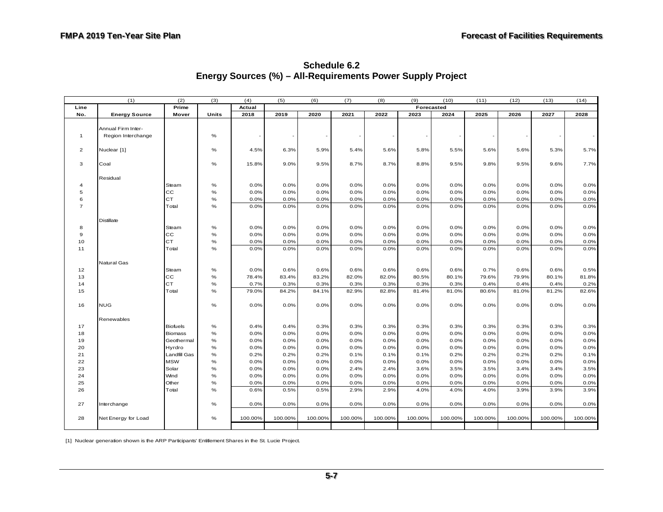<span id="page-54-0"></span>

|                | (1)                  | (2)             | (3)   | (4)     | (5)     | (6)     | (7)     | (8)     | (9)        | (10)                     | (11)    | (12)    | (13)    | (14)    |
|----------------|----------------------|-----------------|-------|---------|---------|---------|---------|---------|------------|--------------------------|---------|---------|---------|---------|
| Line           |                      | Prime           |       | Actual  |         |         |         |         | Forecasted |                          |         |         |         |         |
| No.            | <b>Energy Source</b> | Mover           | Units | 2018    | 2019    | 2020    | 2021    | 2022    | 2023       | 2024                     | 2025    | 2026    | 2027    | 2028    |
|                |                      |                 |       |         |         |         |         |         |            |                          |         |         |         |         |
|                | Annual Firm Inter-   |                 |       |         |         |         |         |         |            |                          |         |         |         |         |
| $\mathbf{1}$   | Region Interchange   |                 | $\%$  |         |         |         |         |         |            | $\overline{\phantom{a}}$ |         |         |         |         |
|                |                      |                 |       |         |         |         |         |         |            |                          |         |         |         |         |
| $\mathbf{2}$   | Nuclear [1]          |                 | $\%$  | 4.5%    | 6.3%    | 5.9%    | 5.4%    | 5.6%    | 5.8%       | 5.5%                     | 5.6%    | 5.6%    | 5.3%    | 5.7%    |
|                |                      |                 |       |         |         |         |         |         |            |                          |         |         |         |         |
| 3              | Coal                 |                 | %     | 15.8%   | 9.0%    | 9.5%    | 8.7%    | 8.7%    | 8.8%       | 9.5%                     | 9.8%    | 9.5%    | 9.6%    | 7.7%    |
|                |                      |                 |       |         |         |         |         |         |            |                          |         |         |         |         |
|                | Residual             |                 |       |         |         |         |         |         |            |                          |         |         |         |         |
| 4              |                      | Steam<br>cc     | $\%$  | 0.0%    | 0.0%    | 0.0%    | 0.0%    | 0.0%    | 0.0%       | 0.0%                     | 0.0%    | 0.0%    | 0.0%    | 0.0%    |
| 5              |                      | <b>CT</b>       | $\%$  | 0.0%    | 0.0%    | 0.0%    | 0.0%    | 0.0%    | 0.0%       | 0.0%                     | 0.0%    | 0.0%    | 0.0%    | 0.0%    |
| 6              |                      |                 | $\%$  | 0.0%    | 0.0%    | 0.0%    | 0.0%    | 0.0%    | 0.0%       | 0.0%                     | 0.0%    | 0.0%    | 0.0%    | 0.0%    |
| $\overline{7}$ |                      | Total           | %     | 0.0%    | 0.0%    | 0.0%    | 0.0%    | 0.0%    | 0.0%       | 0.0%                     | 0.0%    | 0.0%    | 0.0%    | 0.0%    |
|                |                      |                 |       |         |         |         |         |         |            |                          |         |         |         |         |
| 8              | <b>Distillate</b>    | Steam           | $\%$  | 0.0%    | 0.0%    | 0.0%    | 0.0%    | 0.0%    | 0.0%       | 0.0%                     | 0.0%    | 0.0%    | 0.0%    | 0.0%    |
| 9              |                      | $_{\rm CC}$     | $\%$  | 0.0%    | 0.0%    | 0.0%    | 0.0%    | 0.0%    | 0.0%       | 0.0%                     | 0.0%    | 0.0%    | 0.0%    | 0.0%    |
| 10             |                      | CT              | $\%$  | 0.0%    | 0.0%    | 0.0%    | 0.0%    | 0.0%    | 0.0%       | 0.0%                     | 0.0%    | 0.0%    | 0.0%    | 0.0%    |
| 11             |                      | Total           | $\%$  | 0.0%    | 0.0%    | 0.0%    | 0.0%    | 0.0%    | 0.0%       | 0.0%                     | 0.0%    | 0.0%    | 0.0%    | 0.0%    |
|                |                      |                 |       |         |         |         |         |         |            |                          |         |         |         |         |
|                | Natural Gas          |                 |       |         |         |         |         |         |            |                          |         |         |         |         |
| 12             |                      | Steam           | $\%$  | 0.0%    | 0.6%    | 0.6%    | 0.6%    | 0.6%    | 0.6%       | 0.6%                     | 0.7%    | 0.6%    | 0.6%    | 0.5%    |
| 13             |                      | $_{\rm CC}$     | $\%$  | 78.4%   | 83.4%   | 83.2%   | 82.0%   | 82.0%   | 80.5%      | 80.1%                    | 79.6%   | 79.9%   | 80.1%   | 81.8%   |
| 14             |                      | CT              | $\%$  | 0.7%    | 0.3%    | 0.3%    | 0.3%    | 0.3%    | 0.3%       | 0.3%                     | 0.4%    | 0.4%    | 0.4%    | 0.2%    |
| 15             |                      | Total           | %     | 79.0%   | 84.2%   | 84.1%   | 82.9%   | 82.8%   | 81.4%      | 81.0%                    | 80.6%   | 81.0%   | 81.2%   | 82.6%   |
|                |                      |                 |       |         |         |         |         |         |            |                          |         |         |         |         |
| 16             | <b>NUG</b>           |                 | %     | 0.0%    | 0.0%    | 0.0%    | 0.0%    | 0.0%    | 0.0%       | 0.0%                     | 0.0%    | 0.0%    | 0.0%    | 0.0%    |
|                |                      |                 |       |         |         |         |         |         |            |                          |         |         |         |         |
|                | Renewables           |                 |       |         |         |         |         |         |            |                          |         |         |         |         |
| 17             |                      | <b>Biofuels</b> | $\%$  | 0.4%    | 0.4%    | 0.3%    | 0.3%    | 0.3%    | 0.3%       | 0.3%                     | 0.3%    | 0.3%    | 0.3%    | 0.3%    |
| 18             |                      | <b>Biomass</b>  | $\%$  | 0.0%    | 0.0%    | 0.0%    | 0.0%    | 0.0%    | 0.0%       | 0.0%                     | 0.0%    | 0.0%    | 0.0%    | 0.0%    |
| 19             |                      | Geothermal      | $\%$  | 0.0%    | 0.0%    | 0.0%    | 0.0%    | 0.0%    | 0.0%       | 0.0%                     | 0.0%    | 0.0%    | 0.0%    | 0.0%    |
| 20             |                      | Hyrdro          | $\%$  | 0.0%    | 0.0%    | 0.0%    | 0.0%    | 0.0%    | 0.0%       | 0.0%                     | 0.0%    | 0.0%    | 0.0%    | 0.0%    |
| 21             |                      | Landfill Gas    | $\%$  | 0.2%    | 0.2%    | 0.2%    | 0.1%    | 0.1%    | 0.1%       | 0.2%                     | 0.2%    | 0.2%    | 0.2%    | 0.1%    |
| 22             |                      | <b>MSW</b>      | $\%$  | 0.0%    | 0.0%    | 0.0%    | 0.0%    | 0.0%    | 0.0%       | 0.0%                     | 0.0%    | 0.0%    | 0.0%    | 0.0%    |
| 23             |                      | Solar           | $\%$  | 0.0%    | 0.0%    | 0.0%    | 2.4%    | 2.4%    | 3.6%       | 3.5%                     | 3.5%    | 3.4%    | 3.4%    | 3.5%    |
| 24             |                      | Wind            | $\%$  | 0.0%    | 0.0%    | 0.0%    | 0.0%    | 0.0%    | 0.0%       | 0.0%                     | 0.0%    | 0.0%    | 0.0%    | 0.0%    |
| 25             |                      | Other           | $\%$  | 0.0%    | 0.0%    | 0.0%    | 0.0%    | 0.0%    | 0.0%       | 0.0%                     | 0.0%    | 0.0%    | 0.0%    | 0.0%    |
| 26             |                      | Total           | $\%$  | 0.6%    | 0.5%    | 0.5%    | 2.9%    | 2.9%    | 4.0%       | 4.0%                     | 4.0%    | 3.9%    | 3.9%    | 3.9%    |
|                |                      |                 |       |         |         |         |         |         |            |                          |         |         |         |         |
| 27             | Interchange          |                 | $\%$  | 0.0%    | 0.0%    | 0.0%    | 0.0%    | 0.0%    | 0.0%       | 0.0%                     | 0.0%    | 0.0%    | 0.0%    | 0.0%    |
|                |                      |                 |       |         |         |         |         |         |            |                          |         |         |         |         |
| 28             | Net Energy for Load  |                 | $\%$  | 100.00% | 100.00% | 100.00% | 100.00% | 100.00% | 100.00%    | 100.00%                  | 100.00% | 100.00% | 100.00% | 100.00% |
|                |                      |                 |       |         |         |         |         |         |            |                          |         |         |         |         |

**Schedule 6.2 Energy Sources (%) – All-Requirements Power Supply Project** 

[1] Nuclear generation shown is the ARP Participants' Entitlement Shares in the St. Lucie Project.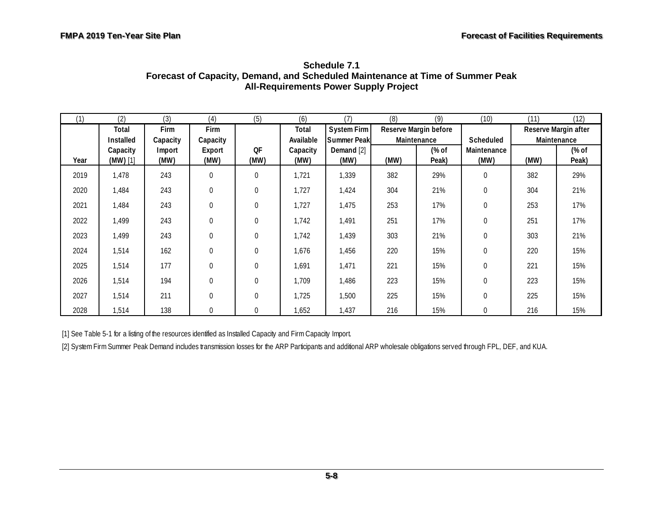<span id="page-55-0"></span>

| (1)  | (2)        | (3)      | (4)              | (5)          | (6)       | (7)         | (8)         | (9)                   | (10)             | (11)                 | (12)  |
|------|------------|----------|------------------|--------------|-----------|-------------|-------------|-----------------------|------------------|----------------------|-------|
|      | Total      | Firm     | Firm             |              | Total     | System Firm |             | Reserve Margin before |                  | Reserve Margin after |       |
|      | Installed  | Capacity | Capacity         |              | Available | Summer Peak | Maintenance |                       | Scheduled        | Maintenance          |       |
|      | Capacity   | Import   | Export           | QF           | Capacity  | Demand [2]  |             | (% of                 | Maintenance      |                      | (% of |
| Year | $(MW)$ [1] | (MW)     | (MW)             | (MW)         | (MW)      | (MW)        | (MW)        | Peak)                 | (MW)             | (MW)                 | Peak) |
| 2019 | 1,478      | 243      | $\mathbf{0}$     | $\Omega$     | 1,721     | 1,339       | 382         | 29%                   | 0                | 382                  | 29%   |
| 2020 | 1,484      | 243      | $\boldsymbol{0}$ | $\mathbf 0$  | 1,727     | 1,424       | 304         | 21%                   | $\boldsymbol{0}$ | 304                  | 21%   |
| 2021 | 1,484      | 243      | $\boldsymbol{0}$ | $\mathbf 0$  | 1,727     | 1,475       | 253         | 17%                   | $\boldsymbol{0}$ | 253                  | 17%   |
| 2022 | 1,499      | 243      | $\boldsymbol{0}$ | $\mathbf{0}$ | 1,742     | 1,491       | 251         | 17%                   | $\boldsymbol{0}$ | 251                  | 17%   |
| 2023 | 1,499      | 243      | $\boldsymbol{0}$ | $\mathbf{0}$ | 1,742     | 1,439       | 303         | 21%                   | $\boldsymbol{0}$ | 303                  | 21%   |
| 2024 | 1,514      | 162      | $\mathbf{0}$     | $\Omega$     | 1,676     | 1,456       | 220         | 15%                   | $\mathbf 0$      | 220                  | 15%   |
| 2025 | 1,514      | 177      | $\boldsymbol{0}$ | $\mathbf{0}$ | 1,691     | 1,471       | 221         | 15%                   | $\boldsymbol{0}$ | 221                  | 15%   |
| 2026 | 1,514      | 194      | $\mathbf{0}$     | $\theta$     | 1,709     | 1,486       | 223         | 15%                   | $\mathbf{0}$     | 223                  | 15%   |
| 2027 | 1,514      | 211      | $\mathbf{0}$     | $\mathbf{0}$ | 1,725     | 1,500       | 225         | 15%                   | $\mathbf{0}$     | 225                  | 15%   |
| 2028 | 1,514      | 138      | $\boldsymbol{0}$ | $\mathbf{0}$ | 1,652     | 1,437       | 216         | 15%                   | 0                | 216                  | 15%   |

**Schedule 7.1 Forecast of Capacity, Demand, and Scheduled Maintenance at Time of Summer Peak All-Requirements Power Supply Project** 

[1] See Table 5-1 for a listing of the resources identified as Installed Capacity and Firm Capacity Import.

[2] System Firm Summer Peak Demand includes transmission losses for the ARP Participants and additional ARP wholesale obligations served through FPL, DEF, and KUA.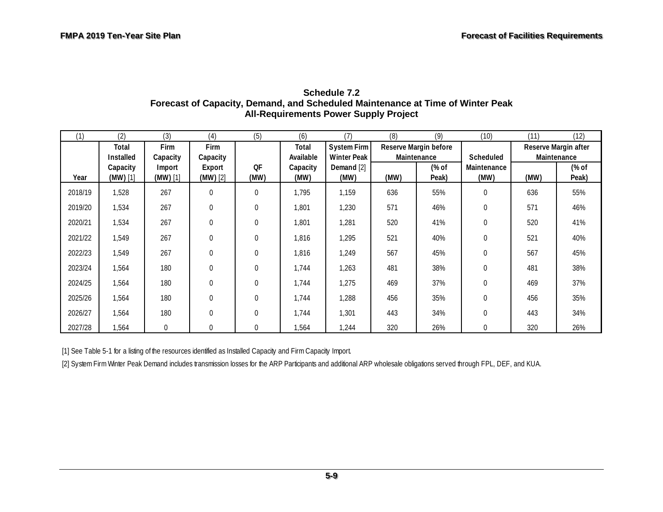| (1)     | (2)        | (3)            | (4)              | (5)              | (6)       | (7)                | (8)  | (9)                   | (10)             | (11)                 | (12)  |
|---------|------------|----------------|------------------|------------------|-----------|--------------------|------|-----------------------|------------------|----------------------|-------|
|         | Total      | Firm           | Firm             |                  | Total     | System Firm        |      | Reserve Margin before |                  | Reserve Margin after |       |
|         | Installed  | Capacity       | Capacity         |                  | Available | <b>Winter Peak</b> |      | Maintenance           | Scheduled        | Maintenance          |       |
|         | Capacity   | Import         | Export           | <b>OF</b>        | Capacity  | Demand [2]         |      | (% of                 | Maintenance      |                      | (% of |
| Year    | $(MW)$ [1] | $(MW)$ [1]     | $(MW)$ [2]       | (MW)             | (MW)      | (MW)               | (MW) | Peak)                 | (MW)             | (MW)                 | Peak) |
| 2018/19 | 1,528      | 267            | $\mathbf 0$      | $\mathbf{0}$     | 1,795     | 1,159              | 636  | 55%                   | $\mathbf 0$      | 636                  | 55%   |
| 2019/20 | 1,534      | 267            | $\mathbf{0}$     | $\Omega$         | 1,801     | 1,230              | 571  | 46%                   | $\mathbf 0$      | 571                  | 46%   |
| 2020/21 | 1,534      | 267            | $\boldsymbol{0}$ | $\Omega$         | 1,801     | 1,281              | 520  | 41%                   | $\mathbf 0$      | 520                  | 41%   |
| 2021/22 | 1,549      | 267            | $\boldsymbol{0}$ | $\boldsymbol{0}$ | 1,816     | 1,295              | 521  | 40%                   | $\boldsymbol{0}$ | 521                  | 40%   |
| 2022/23 | 1,549      | 267            | $\mathbf{0}$     | $\Omega$         | 1,816     | 1,249              | 567  | 45%                   | $\mathbf 0$      | 567                  | 45%   |
| 2023/24 | 1,564      | 180            | $\boldsymbol{0}$ | $\mathbf 0$      | 1,744     | 1,263              | 481  | 38%                   | $\mathbf 0$      | 481                  | 38%   |
| 2024/25 | 1,564      | 180            | $\boldsymbol{0}$ | $\mathbf{0}$     | 1,744     | 1,275              | 469  | 37%                   | 0                | 469                  | 37%   |
| 2025/26 | 1,564      | 180            | $\boldsymbol{0}$ | $\Omega$         | 1,744     | 1,288              | 456  | 35%                   | $\mathbf 0$      | 456                  | 35%   |
| 2026/27 | 1,564      | 180            | $\mathbf{0}$     | $\Omega$         | 1,744     | 1,301              | 443  | 34%                   | $\mathbf 0$      | 443                  | 34%   |
| 2027/28 | 1,564      | $\overline{0}$ | $\mathbf{0}$     | $\overline{0}$   | 1,564     | 1,244              | 320  | 26%                   | $\mathbf 0$      | 320                  | 26%   |

#### **Schedule 7.2 Forecast of Capacity, Demand, and Scheduled Maintenance at Time of Winter Peak All-Requirements Power Supply Project**

<span id="page-56-0"></span>[1] See Table 5-1 for a listing of the resources identified as Installed Capacity and Firm Capacity Import.

[2] System Firm Winter Peak Demand includes transmission losses for the ARP Participants and additional ARP wholesale obligations served through FPL, DEF, and KUA.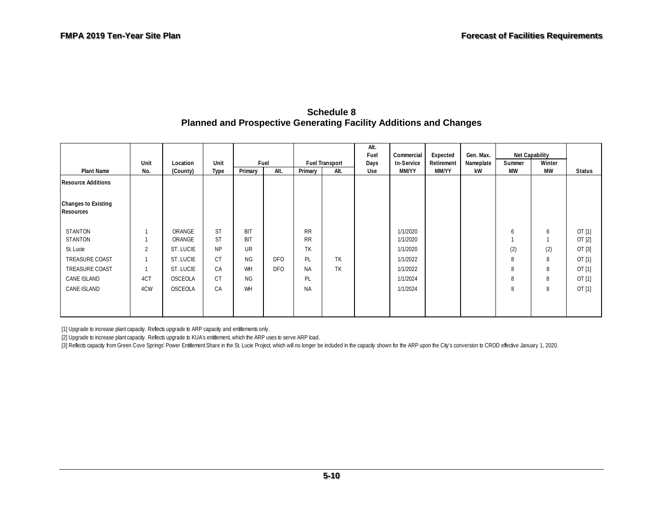#### **Schedule 8 Planned and Prospective Generating Facility Additions and Changes**

|                                                |                |                |           |            |            |           |                       | Alt.<br>Fuel | Commercial | Expected   | Gen. Max. |           | <b>Net Capability</b> |        |
|------------------------------------------------|----------------|----------------|-----------|------------|------------|-----------|-----------------------|--------------|------------|------------|-----------|-----------|-----------------------|--------|
|                                                | Unit           | Location       | Unit      |            | Fuel       |           | <b>Fuel Transport</b> | Days         | In-Service | Retirement | Nameplate | Summer    | Winter                |        |
| <b>Plant Name</b>                              | No.            | (County)       | Type      | Primary    | Alt.       | Primary   | Alt.                  | Use          | MM/YY      | MM/YY      | kW        | <b>MW</b> | MW                    | Status |
| <b>Resource Additions</b>                      |                |                |           |            |            |           |                       |              |            |            |           |           |                       |        |
| <b>Changes to Existing</b><br><b>Resources</b> |                |                |           |            |            |           |                       |              |            |            |           |           |                       |        |
| <b>STANTON</b>                                 |                | ORANGE         | <b>ST</b> | <b>BIT</b> |            | <b>RR</b> |                       |              | 1/1/2020   |            |           | 6         | 6                     | OT[1]  |
| <b>STANTON</b>                                 |                | ORANGE         | <b>ST</b> | <b>BIT</b> |            | <b>RR</b> |                       |              | 1/1/2020   |            |           |           |                       | OT[2]  |
| St. Lucie                                      | $\overline{2}$ | ST. LUCIE      | <b>NP</b> | <b>UR</b>  |            | TK        |                       |              | 1/1/2020   |            |           | (2)       | (2)                   | OT[3]  |
| TREASURE COAST                                 |                | ST. LUCIE      | <b>CT</b> | <b>NG</b>  | <b>DFO</b> | PL        | <b>TK</b>             |              | 1/1/2022   |            |           | 8         | 8                     | OT [1] |
| TREASURE COAST                                 |                | ST. LUCIE      | CA        | <b>WH</b>  | <b>DFO</b> | <b>NA</b> | <b>TK</b>             |              | 1/1/2022   |            |           | 8         | 8                     | OT [1] |
| CANE ISLAND                                    | 4CT            | OSCEOLA        | <b>CT</b> | NG.        |            | PL        |                       |              | 1/1/2024   |            |           | 8         | 8                     | OT [1] |
| CANE ISLAND                                    | 4CW            | <b>OSCEOLA</b> | CA        | <b>WH</b>  |            | <b>NA</b> |                       |              | 1/1/2024   |            |           | 8         | 8                     | OT[1]  |
|                                                |                |                |           |            |            |           |                       |              |            |            |           |           |                       |        |

<span id="page-57-0"></span>[1] Upgrade to increase plant capacity. Reflects upgrade to ARP capacity and entitlements only.

[2] Upgrade to increase plant capacity. Reflects upgrade to KUA's entitlement, which the ARP uses to serve ARP load.

[3] Reflects capacity from Green Cove Springs' Power Entitlement Share in the St. Lucie Project, which will no longer be included in the capacity shown for the ARP upon the City's conversion to CROD effective January 1, 20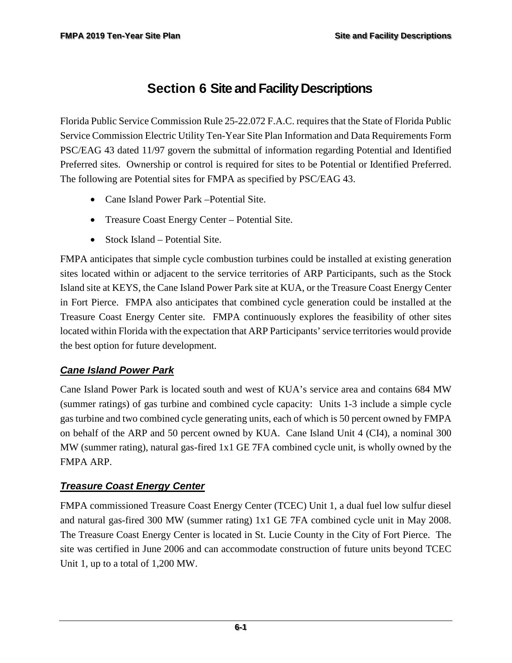# <span id="page-58-0"></span>**Section 6 Site and Facility Descriptions**

Florida Public Service Commission Rule 25-22.072 F.A.C. requires that the State of Florida Public Service Commission Electric Utility Ten-Year Site Plan Information and Data Requirements Form PSC/EAG 43 dated 11/97 govern the submittal of information regarding Potential and Identified Preferred sites. Ownership or control is required for sites to be Potential or Identified Preferred. The following are Potential sites for FMPA as specified by PSC/EAG 43.

- Cane Island Power Park Potential Site.
- Treasure Coast Energy Center Potential Site.
- Stock Island Potential Site.

FMPA anticipates that simple cycle combustion turbines could be installed at existing generation sites located within or adjacent to the service territories of ARP Participants, such as the Stock Island site at KEYS, the Cane Island Power Park site at KUA, or the Treasure Coast Energy Center in Fort Pierce. FMPA also anticipates that combined cycle generation could be installed at the Treasure Coast Energy Center site. FMPA continuously explores the feasibility of other sites located within Florida with the expectation that ARP Participants' service territories would provide the best option for future development.

### *Cane Island Power Park*

Cane Island Power Park is located south and west of KUA's service area and contains 684 MW (summer ratings) of gas turbine and combined cycle capacity: Units 1-3 include a simple cycle gas turbine and two combined cycle generating units, each of which is 50 percent owned by FMPA on behalf of the ARP and 50 percent owned by KUA. Cane Island Unit 4 (CI4), a nominal 300 MW (summer rating), natural gas-fired 1x1 GE 7FA combined cycle unit, is wholly owned by the FMPA ARP.

### *Treasure Coast Energy Center*

FMPA commissioned Treasure Coast Energy Center (TCEC) Unit 1, a dual fuel low sulfur diesel and natural gas-fired 300 MW (summer rating) 1x1 GE 7FA combined cycle unit in May 2008. The Treasure Coast Energy Center is located in St. Lucie County in the City of Fort Pierce. The site was certified in June 2006 and can accommodate construction of future units beyond TCEC Unit 1, up to a total of 1,200 MW.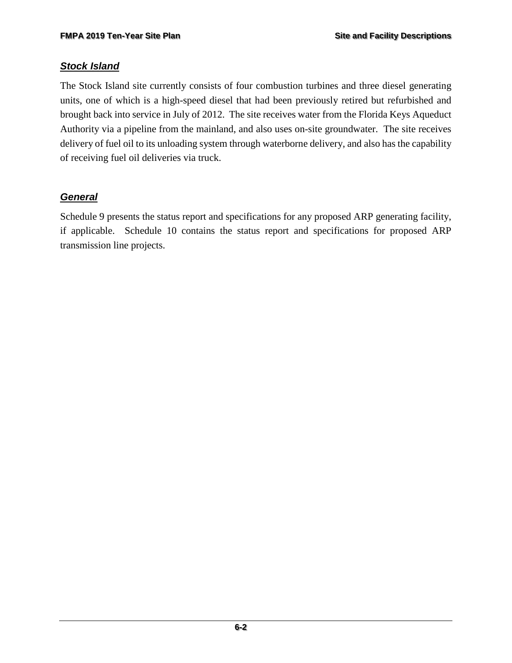#### *Stock Island*

The Stock Island site currently consists of four combustion turbines and three diesel generating units, one of which is a high-speed diesel that had been previously retired but refurbished and brought back into service in July of 2012. The site receives water from the Florida Keys Aqueduct Authority via a pipeline from the mainland, and also uses on-site groundwater. The site receives delivery of fuel oil to its unloading system through waterborne delivery, and also has the capability of receiving fuel oil deliveries via truck.

### *General*

Schedule 9 presents the status report and specifications for any proposed ARP generating facility, if applicable. Schedule 10 contains the status report and specifications for proposed ARP transmission line projects.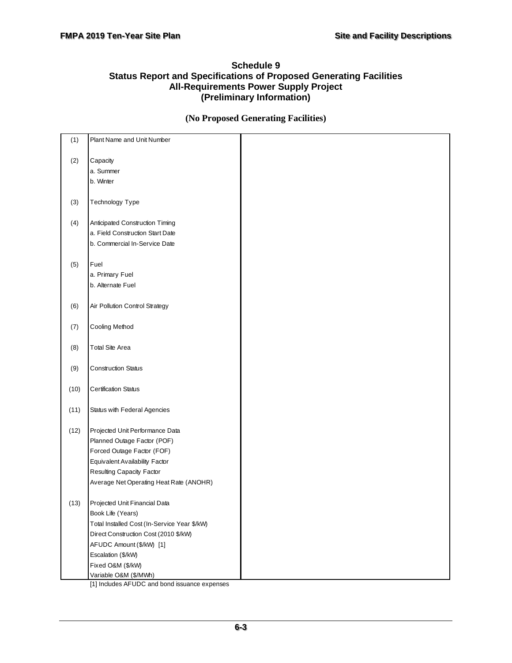#### <span id="page-60-0"></span>**Schedule 9 Status Report and Specifications of Proposed Generating Facilities All-Requirements Power Supply Project (Preliminary Information)**

#### **(No Proposed Generating Facilities)**

| (1)             | Plant Name and Unit Number                   |  |
|-----------------|----------------------------------------------|--|
| (2)<br>Capacity |                                              |  |
|                 | a. Summer                                    |  |
| b. Winter       |                                              |  |
|                 |                                              |  |
| (3)             | Technology Type                              |  |
|                 |                                              |  |
| (4)             | Anticipated Construction Timing              |  |
|                 | a. Field Construction Start Date             |  |
|                 | b. Commercial In-Service Date                |  |
| (5)<br>Fuel     |                                              |  |
|                 | a. Primary Fuel                              |  |
|                 | b. Alternate Fuel                            |  |
|                 |                                              |  |
| (6)             | Air Pollution Control Strategy               |  |
|                 |                                              |  |
| (7)             | Cooling Method                               |  |
|                 |                                              |  |
| (8)             | Total Site Area                              |  |
| (9)             | <b>Construction Status</b>                   |  |
|                 |                                              |  |
| (10)            | <b>Certification Status</b>                  |  |
| (11)            | Status with Federal Agencies                 |  |
|                 |                                              |  |
| (12)            | Projected Unit Performance Data              |  |
|                 | Planned Outage Factor (POF)                  |  |
|                 | Forced Outage Factor (FOF)                   |  |
|                 | Equivalent Availability Factor               |  |
|                 | Resulting Capacity Factor                    |  |
|                 | Average Net Operating Heat Rate (ANOHR)      |  |
| (13)            | Projected Unit Financial Data                |  |
|                 | Book Life (Years)                            |  |
|                 | Total Installed Cost (In-Service Year \$/kW) |  |
|                 | Direct Construction Cost (2010 \$/kW)        |  |
|                 | AFUDC Amount (\$/kW) [1]                     |  |
|                 | Escalation (\$/kW)                           |  |
|                 | Fixed O&M (\$/kW)                            |  |
|                 | Variable O&M (\$/MWh)                        |  |

[1] Includes AFUDC and bond issuance expenses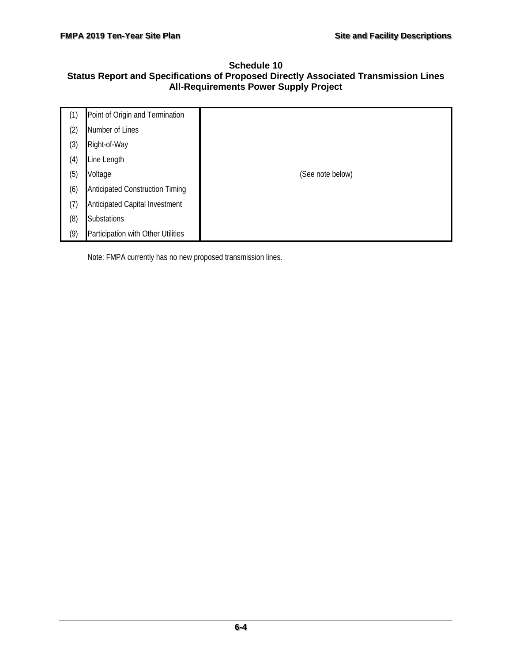#### <span id="page-61-0"></span>**Schedule 10 Status Report and Specifications of Proposed Directly Associated Transmission Lines All-Requirements Power Supply Project**

| (1) | Point of Origin and Termination        |                  |
|-----|----------------------------------------|------------------|
| (2) | Number of Lines                        |                  |
| (3) | Right-of-Way                           |                  |
| (4) | Line Length                            |                  |
| (5) | Voltage                                | (See note below) |
| (6) | <b>Anticipated Construction Timing</b> |                  |
| (7) | Anticipated Capital Investment         |                  |
| (8) | Substations                            |                  |
| (9) | Participation with Other Utilities     |                  |

Note: FMPA currently has no new proposed transmission lines.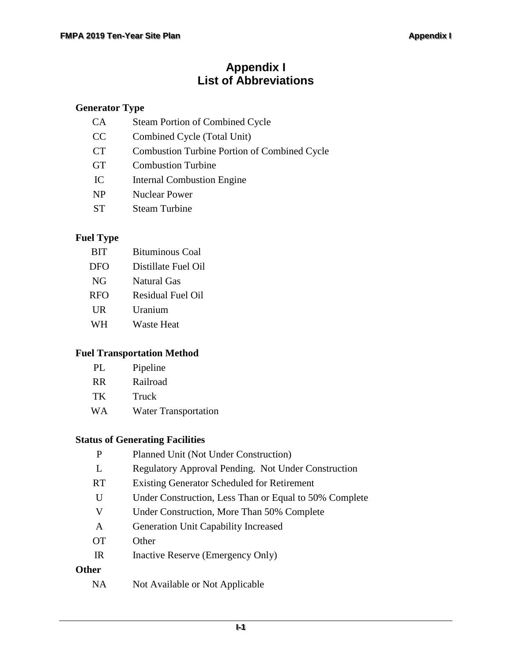# **Appendix I List of Abbreviations**

#### **Generator Type**

| <b>CA</b> | <b>Steam Portion of Combined Cycle</b>              |
|-----------|-----------------------------------------------------|
| CC        | Combined Cycle (Total Unit)                         |
| <b>CT</b> | <b>Combustion Turbine Portion of Combined Cycle</b> |
| <b>GT</b> | <b>Combustion Turbine</b>                           |
| IC        | <b>Internal Combustion Engine</b>                   |
| <b>NP</b> | <b>Nuclear Power</b>                                |
| <b>ST</b> | <b>Steam Turbine</b>                                |

### **Fuel Type**

| <b>BIT</b>   | <b>Bituminous Coal</b>   |
|--------------|--------------------------|
| DFO          | Distillate Fuel Oil      |
| NG           | Natural Gas              |
| <b>RFO</b>   | <b>Residual Fuel Oil</b> |
| $_{\rm{UR}}$ | Uranium                  |
| <b>WH</b>    | <b>Waste Heat</b>        |

#### **Fuel Transportation Method**

| Pipeline |
|----------|
|          |

- TK Truck
- WA Water Transportation

## **Status of Generating Facilities**

| P            | Planned Unit (Not Under Construction)                  |
|--------------|--------------------------------------------------------|
| L            | Regulatory Approval Pending. Not Under Construction    |
| RT.          | <b>Existing Generator Scheduled for Retirement</b>     |
| U            | Under Construction, Less Than or Equal to 50% Complete |
| V            | Under Construction, More Than 50% Complete             |
| A            | <b>Generation Unit Capability Increased</b>            |
| <b>OT</b>    | Other                                                  |
| IR           | Inactive Reserve (Emergency Only)                      |
| <b>Other</b> |                                                        |
| NA           | Not Available or Not Applicable                        |